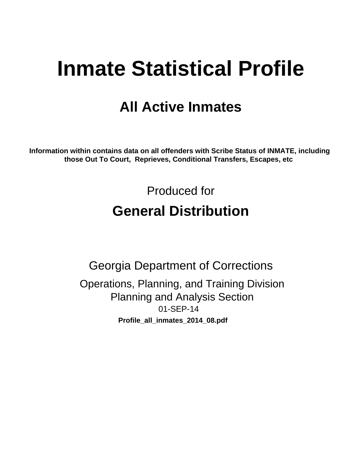# **Inmate Statistical Profile**

## **All Active Inmates**

Information within contains data on all offenders with Scribe Status of INMATE, including those Out To Court, Reprieves, Conditional Transfers, Escapes, etc

> Produced for **General Distribution**

**Georgia Department of Corrections** Operations, Planning, and Training Division **Planning and Analysis Section** 01-SEP-14 Profile\_all\_inmates\_2014\_08.pdf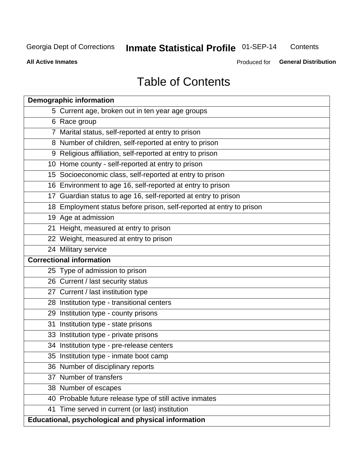#### Inmate Statistical Profile 01-SEP-14 Contents

**All Active Inmates** 

Produced for General Distribution

## **Table of Contents**

|    | <b>Demographic information</b>                                       |
|----|----------------------------------------------------------------------|
|    | 5 Current age, broken out in ten year age groups                     |
|    | 6 Race group                                                         |
|    | 7 Marital status, self-reported at entry to prison                   |
|    | 8 Number of children, self-reported at entry to prison               |
|    | 9 Religious affiliation, self-reported at entry to prison            |
|    | 10 Home county - self-reported at entry to prison                    |
|    | 15 Socioeconomic class, self-reported at entry to prison             |
|    | 16 Environment to age 16, self-reported at entry to prison           |
|    | 17 Guardian status to age 16, self-reported at entry to prison       |
|    | 18 Employment status before prison, self-reported at entry to prison |
|    | 19 Age at admission                                                  |
|    | 21 Height, measured at entry to prison                               |
|    | 22 Weight, measured at entry to prison                               |
|    | 24 Military service                                                  |
|    | <b>Correctional information</b>                                      |
|    | 25 Type of admission to prison                                       |
|    | 26 Current / last security status                                    |
|    | 27 Current / last institution type                                   |
|    | 28 Institution type - transitional centers                           |
|    | 29 Institution type - county prisons                                 |
| 31 | Institution type - state prisons                                     |
|    | 33 Institution type - private prisons                                |
|    | 34 Institution type - pre-release centers                            |
|    | 35 Institution type - inmate boot camp                               |
|    | 36 Number of disciplinary reports                                    |
|    | 37 Number of transfers                                               |
|    | 38 Number of escapes                                                 |
|    | 40 Probable future release type of still active inmates              |
|    | 41 Time served in current (or last) institution                      |
|    | Educational, psychological and physical information                  |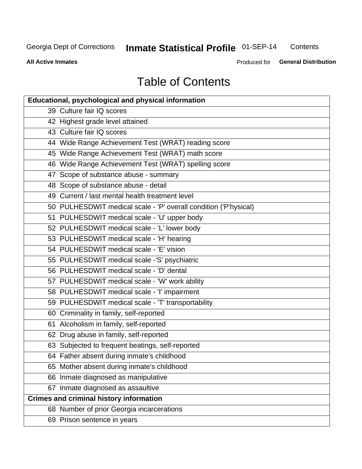#### Inmate Statistical Profile 01-SEP-14 Contents

**All Active Inmates** 

Produced for General Distribution

## **Table of Contents**

| <b>Educational, psychological and physical information</b>       |
|------------------------------------------------------------------|
| 39 Culture fair IQ scores                                        |
| 42 Highest grade level attained                                  |
| 43 Culture fair IQ scores                                        |
| 44 Wide Range Achievement Test (WRAT) reading score              |
| 45 Wide Range Achievement Test (WRAT) math score                 |
| 46 Wide Range Achievement Test (WRAT) spelling score             |
| 47 Scope of substance abuse - summary                            |
| 48 Scope of substance abuse - detail                             |
| 49 Current / last mental health treatment level                  |
| 50 PULHESDWIT medical scale - 'P' overall condition ('P'hysical) |
| 51 PULHESDWIT medical scale - 'U' upper body                     |
| 52 PULHESDWIT medical scale - 'L' lower body                     |
| 53 PULHESDWIT medical scale - 'H' hearing                        |
| 54 PULHESDWIT medical scale - 'E' vision                         |
| 55 PULHESDWIT medical scale -'S' psychiatric                     |
| 56 PULHESDWIT medical scale - 'D' dental                         |
| 57 PULHESDWIT medical scale - 'W' work ability                   |
| 58 PULHESDWIT medical scale - 'I' impairment                     |
| 59 PULHESDWIT medical scale - 'T' transportability               |
| 60 Criminality in family, self-reported                          |
| 61 Alcoholism in family, self-reported                           |
| 62 Drug abuse in family, self-reported                           |
| 63 Subjected to frequent beatings, self-reported                 |
| 64 Father absent during inmate's childhood                       |
| 65 Mother absent during inmate's childhood                       |
| 66 Inmate diagnosed as manipulative                              |
| 67 Inmate diagnosed as assaultive                                |
| <b>Crimes and criminal history information</b>                   |
| 68 Number of prior Georgia incarcerations                        |
| 69 Prison sentence in years                                      |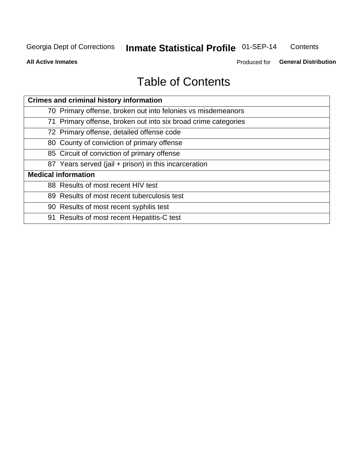#### Inmate Statistical Profile 01-SEP-14 Contents

**All Active Inmates** 

Produced for General Distribution

## **Table of Contents**

| <b>Crimes and criminal history information</b>                 |
|----------------------------------------------------------------|
| 70 Primary offense, broken out into felonies vs misdemeanors   |
| 71 Primary offense, broken out into six broad crime categories |
| 72 Primary offense, detailed offense code                      |
| 80 County of conviction of primary offense                     |
| 85 Circuit of conviction of primary offense                    |
| 87 Years served (jail + prison) in this incarceration          |
| <b>Medical information</b>                                     |
| 88 Results of most recent HIV test                             |
| 89 Results of most recent tuberculosis test                    |
| 90 Results of most recent syphilis test                        |
| 91 Results of most recent Hepatitis-C test                     |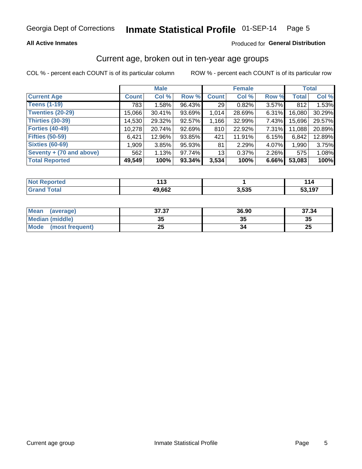#### Inmate Statistical Profile 01-SEP-14 Page 5

## **All Active Inmates**

## Produced for General Distribution

## Current age, broken out in ten-year age groups

COL % - percent each COUNT is of its particular column

|                            |              | <b>Male</b> |        |              | <b>Female</b> |       |              | <b>Total</b> |
|----------------------------|--------------|-------------|--------|--------------|---------------|-------|--------------|--------------|
| <b>Current Age</b>         | <b>Count</b> | Col %       | Row %  | <b>Count</b> | Col %         | Row % | <b>Total</b> | Col %        |
| <b>Teens (1-19)</b>        | 783          | 1.58%       | 96.43% | 29           | 0.82%         | 3.57% | 812          | 1.53%        |
| <b>Twenties (20-29)</b>    | 15,066       | 30.41%      | 93.69% | 1,014        | 28.69%        | 6.31% | 16.080       | 30.29%       |
| <b>Thirties (30-39)</b>    | 14,530       | 29.32%      | 92.57% | 1,166        | 32.99%        | 7.43% | 15,696       | 29.57%       |
| <b>Forties (40-49)</b>     | 10,278       | 20.74%      | 92.69% | 810          | 22.92%        | 7.31% | 11,088       | 20.89%       |
| <b>Fifties (50-59)</b>     | 6,421        | 12.96%      | 93.85% | 421          | 11.91%        | 6.15% | 6,842        | 12.89%       |
| <b>Sixties (60-69)</b>     | 1,909        | 3.85%       | 95.93% | 81           | 2.29%         | 4.07% | 1,990        | 3.75%        |
| Seventy $+$ (70 and above) | 562          | 1.13%       | 97.74% | 13           | 0.37%         | 2.26% | 575          | 1.08%        |
| <b>Total Reported</b>      | 49,549       | 100%        | 93.34% | 3,534        | 100%          | 6.66% | 53,083       | 100%         |

| <b>Not Repo</b><br><b>ported</b> | $\overline{A}$<br>. |       |             |
|----------------------------------|---------------------|-------|-------------|
| Total                            | 49,662              | 3,535 | .197<br>- - |

| <b>Mean</b><br>(average)       | 37.37     | 36.90 | 37.34    |
|--------------------------------|-----------|-------|----------|
| Median (middle)                | -25<br>vu | JJ    | 35       |
| <b>Mode</b><br>(most frequent) | つら<br>⊷   |       | つじ<br>ZJ |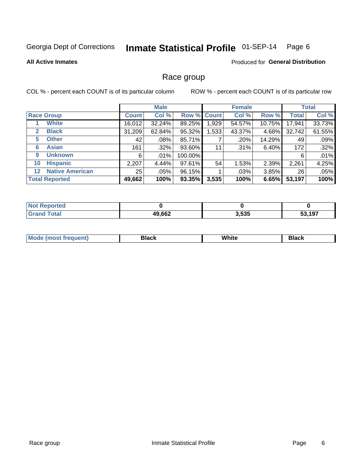#### Inmate Statistical Profile 01-SEP-14 Page 6

### **All Active Inmates**

### Produced for General Distribution

## Race group

COL % - percent each COUNT is of its particular column

|                                   |                 | <b>Male</b> |         |             | <b>Female</b> |          |              | <b>Total</b> |
|-----------------------------------|-----------------|-------------|---------|-------------|---------------|----------|--------------|--------------|
| <b>Race Group</b>                 | <b>Count</b>    | Col %       |         | Row % Count | Col %         | Row %    | <b>Total</b> | Col %        |
| <b>White</b>                      | 16,012          | 32.24%      | 89.25%  | 1,929       | 54.57%        | 10.75%   | 17,941       | 33.73%       |
| <b>Black</b><br>2                 | 31,209          | 62.84%      | 95.32%  | .533        | 43.37%        | 4.68%    | 32,742       | 61.55%       |
| <b>Other</b><br>5.                | 42              | $.08\%$     | 85.71%  |             | .20%          | 14.29%   | 49           | .09%         |
| <b>Asian</b><br>6                 | 161             | $.32\%$     | 93.60%  | 11          | .31%          | 6.40%    | 172          | .32%         |
| <b>Unknown</b><br>9               | 6               | $.01\%$     | 100.00% |             |               |          | 6            | .01%         |
| <b>Hispanic</b><br>10             | 2,207           | 4.44%       | 97.61%  | 54          | 1.53%         | 2.39%    | 2,261        | 4.25%        |
| <b>Native American</b><br>$12 \,$ | 25 <sub>1</sub> | $.05\%$     | 96.15%  |             | .03%          | $3.85\%$ | 26           | .05%         |
| <b>Total Reported</b>             | 49,662          | 100%        | 93.35%  | 3,535       | 100%          | 6.65%    | 53,197       | 100%         |

| orted<br>Nt    |        |       |        |
|----------------|--------|-------|--------|
| `otal<br>''Gra | 49,662 | 3,535 | 53.197 |

| M.<br>____ | . | ------- |
|------------|---|---------|
|            |   |         |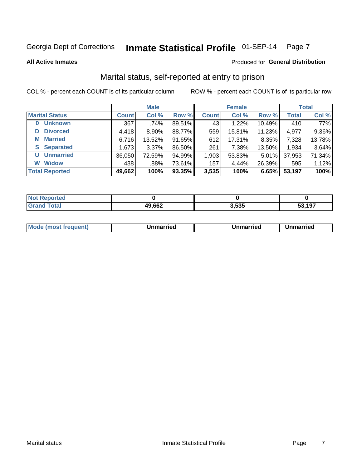#### Inmate Statistical Profile 01-SEP-14 Page 7

**All Active Inmates** 

## **Produced for General Distribution**

## Marital status, self-reported at entry to prison

COL % - percent each COUNT is of its particular column

|                            |              | <b>Male</b> |        |              | <b>Female</b> |        |              | <b>Total</b> |
|----------------------------|--------------|-------------|--------|--------------|---------------|--------|--------------|--------------|
| <b>Marital Status</b>      | <b>Count</b> | Col %       | Row %  | <b>Count</b> | Col %         | Row %  | <b>Total</b> | Col %        |
| <b>Unknown</b><br>$\bf{0}$ | 367          | .74%        | 89.51% | 43           | 1.22%         | 10.49% | 410          | .77%         |
| <b>Divorced</b><br>D       | 4,418        | $8.90\%$    | 88.77% | 559          | 15.81%        | 11.23% | 4,977        | 9.36%        |
| <b>Married</b><br>М        | 6,716        | 13.52%      | 91.65% | 612          | 17.31%        | 8.35%  | 7,328        | 13.78%       |
| <b>Separated</b><br>S      | 1,673        | 3.37%       | 86.50% | 261          | 7.38%         | 13.50% | 1,934        | 3.64%        |
| <b>Unmarried</b><br>U      | 36,050       | 72.59%      | 94.99% | 1,903        | 53.83%        | 5.01%  | 37,953       | 71.34%       |
| <b>Widow</b><br>W          | 438          | .88%        | 73.61% | 157          | 4.44%         | 26.39% | 595          | 1.12%        |
| <b>Total Reported</b>      | 49,662       | 100%        | 93.35% | 3,535        | 100%          | 6.65%  | 53,197       | 100%         |

| <b>Not Repo</b><br><b>ported</b> |        |            |        |
|----------------------------------|--------|------------|--------|
| <b>Total</b>                     | 49,662 | <b>EOF</b> | 53,197 |

|--|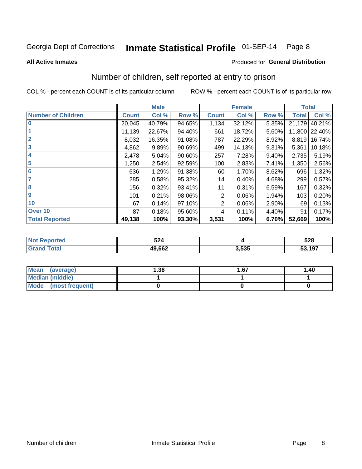#### Inmate Statistical Profile 01-SEP-14 Page 8

**All Active Inmates** 

## **Produced for General Distribution**

## Number of children, self reported at entry to prison

COL % - percent each COUNT is of its particular column

|                           |              | <b>Male</b> |        |                | <b>Female</b> |       | <b>Total</b> |        |
|---------------------------|--------------|-------------|--------|----------------|---------------|-------|--------------|--------|
| <b>Number of Children</b> | <b>Count</b> | Col %       | Row %  | <b>Count</b>   | Col %         | Row % | <b>Total</b> | Col %  |
| $\bf{0}$                  | 20,045       | 40.79%      | 94.65% | 1,134          | 32.12%        | 5.35% | 21,179       | 40.21% |
|                           | 11,139       | 22.67%      | 94.40% | 661            | 18.72%        | 5.60% | 11,800       | 22.40% |
| $\overline{2}$            | 8,032        | 16.35%      | 91.08% | 787            | 22.29%        | 8.92% | 8,819        | 16.74% |
| 3                         | 4,862        | 9.89%       | 90.69% | 499            | 14.13%        | 9.31% | 5,361        | 10.18% |
| 4                         | 2,478        | 5.04%       | 90.60% | 257            | 7.28%         | 9.40% | 2,735        | 5.19%  |
| 5                         | 1,250        | 2.54%       | 92.59% | 100            | 2.83%         | 7.41% | 1,350        | 2.56%  |
| $6\phantom{1}6$           | 636          | 1.29%       | 91.38% | 60             | 1.70%         | 8.62% | 696          | 1.32%  |
| 7                         | 285          | 0.58%       | 95.32% | 14             | 0.40%         | 4.68% | 299          | 0.57%  |
| 8                         | 156          | 0.32%       | 93.41% | 11             | 0.31%         | 6.59% | 167          | 0.32%  |
| $\boldsymbol{9}$          | 101          | 0.21%       | 98.06% | 2              | 0.06%         | 1.94% | 103          | 0.20%  |
| 10                        | 67           | 0.14%       | 97.10% | $\overline{2}$ | 0.06%         | 2.90% | 69           | 0.13%  |
| Over 10                   | 87           | 0.18%       | 95.60% | 4              | 0.11%         | 4.40% | 91           | 0.17%  |
| <b>Total Reported</b>     | 49,138       | 100%        | 93.30% | 3,531          | 100%          | 6.70% | 52,669       | 100%   |

| NG | ra 1<br>944 |      | 528             |
|----|-------------|------|-----------------|
|    | 49,662      | .535 | 53,197<br>. აა. |

| <b>Mean</b><br>(average) | 1.38 | 1.67 | 1.40 |  |  |
|--------------------------|------|------|------|--|--|
| Median (middle)          |      |      |      |  |  |
| Mode<br>(most frequent)  |      |      |      |  |  |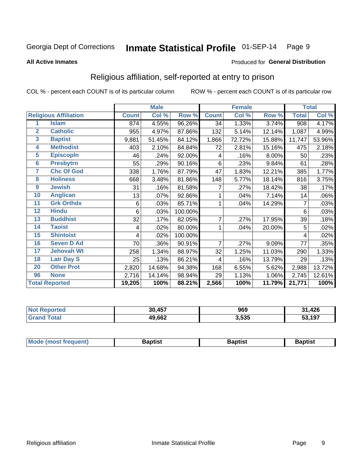#### Inmate Statistical Profile 01-SEP-14 Page 9

### **All Active Inmates**

### Produced for General Distribution

## Religious affiliation, self-reported at entry to prison

COL % - percent each COUNT is of its particular column

|                 |                              | <b>Male</b>  |        | <b>Female</b> |                |        | <b>Total</b> |              |        |
|-----------------|------------------------------|--------------|--------|---------------|----------------|--------|--------------|--------------|--------|
|                 | <b>Religious Affiliation</b> | <b>Count</b> | Col %  | Row %         | <b>Count</b>   | Col %  | Row %        | <b>Total</b> | Col %  |
| 1               | <b>Islam</b>                 | 874          | 4.55%  | 96.26%        | 34             | 1.33%  | 3.74%        | 908          | 4.17%  |
| $\overline{2}$  | <b>Catholic</b>              | 955          | 4.97%  | 87.86%        | 132            | 5.14%  | 12.14%       | 1,087        | 4.99%  |
| $\mathbf{3}$    | <b>Baptist</b>               | 9,881        | 51.45% | 84.12%        | 1,866          | 72.72% | 15.88%       | 11,747       | 53.96% |
| 4               | <b>Methodist</b>             | 403          | 2.10%  | 84.84%        | 72             | 2.81%  | 15.16%       | 475          | 2.18%  |
| 5               | <b>EpiscopIn</b>             | 46           | .24%   | 92.00%        | 4              | .16%   | 8.00%        | 50           | .23%   |
| $6\phantom{a}$  | <b>Presbytrn</b>             | 55           | .29%   | 90.16%        | 6              | .23%   | 9.84%        | 61           | .28%   |
| 7               | <b>Chc Of God</b>            | 338          | 1.76%  | 87.79%        | 47             | 1.83%  | 12.21%       | 385          | 1.77%  |
| 8               | <b>Holiness</b>              | 668          | 3.48%  | 81.86%        | 148            | 5.77%  | 18.14%       | 816          | 3.75%  |
| $\overline{9}$  | <b>Jewish</b>                | 31           | .16%   | 81.58%        | 7              | .27%   | 18.42%       | 38           | .17%   |
| 10              | <b>Anglican</b>              | 13           | .07%   | 92.86%        |                | .04%   | 7.14%        | 14           | .06%   |
| 11              | <b>Grk Orthdx</b>            | 6            | .03%   | 85.71%        | 1              | .04%   | 14.29%       | 7            | .03%   |
| 12              | <b>Hindu</b>                 | 6            | .03%   | 100.00%       |                |        |              | 6            | .03%   |
| 13              | <b>Buddhist</b>              | 32           | .17%   | 82.05%        | $\overline{7}$ | .27%   | 17.95%       | 39           | .18%   |
| 14              | <b>Taoist</b>                | 4            | .02%   | 80.00%        |                | .04%   | 20.00%       | 5            | .02%   |
| 15              | <b>Shintoist</b>             | 4            | .02%   | 100.00%       |                |        |              | 4            | .02%   |
| 16              | <b>Seven D Ad</b>            | 70           | .36%   | 90.91%        | 7              | .27%   | 9.09%        | 77           | .35%   |
| 17 <sub>2</sub> | <b>Jehovah Wt</b>            | 258          | 1.34%  | 88.97%        | 32             | 1.25%  | 11.03%       | 290          | 1.33%  |
| 18              | <b>Latr Day S</b>            | 25           | .13%   | 86.21%        | 4              | .16%   | 13.79%       | 29           | .13%   |
| 20              | <b>Other Prot</b>            | 2,820        | 14.68% | 94.38%        | 168            | 6.55%  | 5.62%        | 2,988        | 13.72% |
| 96              | <b>None</b>                  | 2,716        | 14.14% | 98.94%        | 29             | 1.13%  | 1.06%        | 2,745        | 12.61% |
|                 | <b>Total Reported</b>        | 19,205       | 100%   | 88.21%        | 2,566          | 100%   | 11.79%       | 21,771       | 100%   |

| .457<br>30 | 969   | 426<br>- 1 |
|------------|-------|------------|
| 49,662     | 3,535 | ,197       |

| Mode (most frequent) | <b>3aptist</b> | 3aptist | <b>Baptist</b> |
|----------------------|----------------|---------|----------------|
|                      |                |         |                |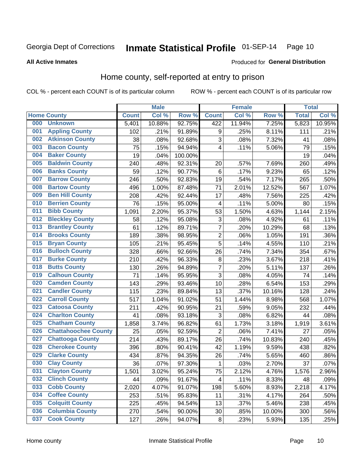## Inmate Statistical Profile 01-SEP-14 Page 10

**All Active Inmates** 

### Produced for General Distribution

## Home county, self-reported at entry to prison

COL % - percent each COUNT is of its particular column

|     |                             |              | <b>Male</b> |         |                | <b>Female</b> |        | <b>Total</b> |        |
|-----|-----------------------------|--------------|-------------|---------|----------------|---------------|--------|--------------|--------|
|     | <b>Home County</b>          | <b>Count</b> | Col %       | Row %   | <b>Count</b>   | Col %         | Row %  | <b>Total</b> | Col %  |
| 000 | <b>Unknown</b>              | 5,401        | 10.88%      | 92.75%  | 422            | 11.94%        | 7.25%  | 5,823        | 10.95% |
| 001 | <b>Appling County</b>       | 102          | .21%        | 91.89%  | 9              | .25%          | 8.11%  | 111          | .21%   |
| 002 | <b>Atkinson County</b>      | 38           | .08%        | 92.68%  | 3              | .08%          | 7.32%  | 41           | .08%   |
| 003 | <b>Bacon County</b>         | 75           | .15%        | 94.94%  | 4              | .11%          | 5.06%  | 79           | .15%   |
| 004 | <b>Baker County</b>         | 19           | .04%        | 100.00% |                |               |        | 19           | .04%   |
| 005 | <b>Baldwin County</b>       | 240          | .48%        | 92.31%  | 20             | .57%          | 7.69%  | 260          | .49%   |
| 006 | <b>Banks County</b>         | 59           | .12%        | 90.77%  | $\,6$          | .17%          | 9.23%  | 65           | .12%   |
| 007 | <b>Barrow County</b>        | 246          | .50%        | 92.83%  | 19             | .54%          | 7.17%  | 265          | .50%   |
| 008 | <b>Bartow County</b>        | 496          | 1.00%       | 87.48%  | 71             | 2.01%         | 12.52% | 567          | 1.07%  |
| 009 | <b>Ben Hill County</b>      | 208          | .42%        | 92.44%  | 17             | .48%          | 7.56%  | 225          | .42%   |
| 010 | <b>Berrien County</b>       | 76           | .15%        | 95.00%  | 4              | .11%          | 5.00%  | 80           | .15%   |
| 011 | <b>Bibb County</b>          | 1,091        | 2.20%       | 95.37%  | 53             | 1.50%         | 4.63%  | 1,144        | 2.15%  |
| 012 | <b>Bleckley County</b>      | 58           | .12%        | 95.08%  | 3              | .08%          | 4.92%  | 61           | .11%   |
| 013 | <b>Brantley County</b>      | 61           | .12%        | 89.71%  | $\overline{7}$ | .20%          | 10.29% | 68           | .13%   |
| 014 | <b>Brooks County</b>        | 189          | .38%        | 98.95%  | $\overline{2}$ | .06%          | 1.05%  | 191          | .36%   |
| 015 | <b>Bryan County</b>         | 105          | .21%        | 95.45%  | 5              | .14%          | 4.55%  | 110          | .21%   |
| 016 | <b>Bulloch County</b>       | 328          | .66%        | 92.66%  | 26             | .74%          | 7.34%  | 354          | .67%   |
| 017 | <b>Burke County</b>         | 210          | .42%        | 96.33%  | 8              | .23%          | 3.67%  | 218          | .41%   |
| 018 | <b>Butts County</b>         | 130          | .26%        | 94.89%  | $\overline{7}$ | .20%          | 5.11%  | 137          | .26%   |
| 019 | <b>Calhoun County</b>       | 71           | .14%        | 95.95%  | 3              | .08%          | 4.05%  | 74           | .14%   |
| 020 | <b>Camden County</b>        | 143          | .29%        | 93.46%  | 10             | .28%          | 6.54%  | 153          | .29%   |
| 021 | <b>Candler County</b>       | 115          | .23%        | 89.84%  | 13             | .37%          | 10.16% | 128          | .24%   |
| 022 | <b>Carroll County</b>       | 517          | 1.04%       | 91.02%  | 51             | 1.44%         | 8.98%  | 568          | 1.07%  |
| 023 | <b>Catoosa County</b>       | 211          | .42%        | 90.95%  | 21             | .59%          | 9.05%  | 232          | .44%   |
| 024 | <b>Charlton County</b>      | 41           | .08%        | 93.18%  | 3              | .08%          | 6.82%  | 44           | .08%   |
| 025 | <b>Chatham County</b>       | 1,858        | 3.74%       | 96.82%  | 61             | 1.73%         | 3.18%  | 1,919        | 3.61%  |
| 026 | <b>Chattahoochee County</b> | 25           | .05%        | 92.59%  | $\overline{2}$ | .06%          | 7.41%  | 27           | .05%   |
| 027 | <b>Chattooga County</b>     | 214          | .43%        | 89.17%  | 26             | .74%          | 10.83% | 240          | .45%   |
| 028 | <b>Cherokee County</b>      | 396          | .80%        | 90.41%  | 42             | 1.19%         | 9.59%  | 438          | .82%   |
| 029 | <b>Clarke County</b>        | 434          | .87%        | 94.35%  | 26             | .74%          | 5.65%  | 460          | .86%   |
| 030 | <b>Clay County</b>          | 36           | .07%        | 97.30%  | $\mathbf{1}$   | .03%          | 2.70%  | 37           | .07%   |
| 031 | <b>Clayton County</b>       | 1,501        | 3.02%       | 95.24%  | 75             | 2.12%         | 4.76%  | 1,576        | 2.96%  |
| 032 | <b>Clinch County</b>        | 44           | .09%        | 91.67%  | 4              | .11%          | 8.33%  | 48           | .09%   |
| 033 | <b>Cobb County</b>          | 2,020        | 4.07%       | 91.07%  | 198            | 5.60%         | 8.93%  | 2,218        | 4.17%  |
| 034 | <b>Coffee County</b>        | 253          | .51%        | 95.83%  | 11             | .31%          | 4.17%  | 264          | .50%   |
| 035 | <b>Colquitt County</b>      | 225          | .45%        | 94.54%  | 13             | .37%          | 5.46%  | 238          | .45%   |
| 036 | <b>Columbia County</b>      | 270          | .54%        | 90.00%  | 30             | .85%          | 10.00% | 300          | .56%   |
| 037 | <b>Cook County</b>          | 127          | .26%        | 94.07%  | $\bf 8$        | .23%          | 5.93%  | 135          | .25%   |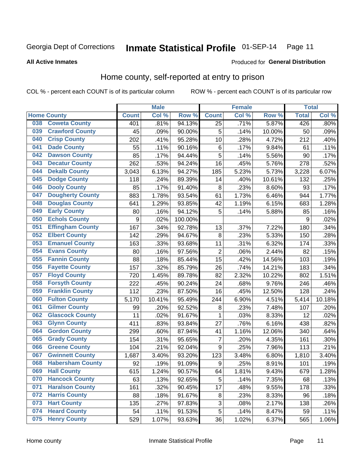## Inmate Statistical Profile 01-SEP-14 Page 11

**All Active Inmates** 

### Produced for General Distribution

## Home county, self-reported at entry to prison

COL % - percent each COUNT is of its particular column

|     |                         |              | <b>Male</b> |         |                  | <b>Female</b> |        | <b>Total</b> |        |
|-----|-------------------------|--------------|-------------|---------|------------------|---------------|--------|--------------|--------|
|     | <b>Home County</b>      | <b>Count</b> | Col %       | Row %   | <b>Count</b>     | Col %         | Row %  | <b>Total</b> | Col %  |
| 038 | <b>Coweta County</b>    | 401          | .81%        | 94.13%  | $\overline{25}$  | .71%          | 5.87%  | 426          | .80%   |
| 039 | <b>Crawford County</b>  | 45           | .09%        | 90.00%  | 5                | .14%          | 10.00% | 50           | .09%   |
| 040 | <b>Crisp County</b>     | 202          | .41%        | 95.28%  | 10               | .28%          | 4.72%  | 212          | .40%   |
| 041 | <b>Dade County</b>      | 55           | .11%        | 90.16%  | $\,6$            | .17%          | 9.84%  | 61           | .11%   |
| 042 | <b>Dawson County</b>    | 85           | .17%        | 94.44%  | 5                | .14%          | 5.56%  | 90           | .17%   |
| 043 | <b>Decatur County</b>   | 262          | .53%        | 94.24%  | 16               | .45%          | 5.76%  | 278          | .52%   |
| 044 | <b>Dekalb County</b>    | 3,043        | 6.13%       | 94.27%  | 185              | 5.23%         | 5.73%  | 3,228        | 6.07%  |
| 045 | <b>Dodge County</b>     | 118          | .24%        | 89.39%  | 14               | .40%          | 10.61% | 132          | .25%   |
| 046 | <b>Dooly County</b>     | 85           | .17%        | 91.40%  | 8                | .23%          | 8.60%  | 93           | .17%   |
| 047 | <b>Dougherty County</b> | 883          | 1.78%       | 93.54%  | 61               | 1.73%         | 6.46%  | 944          | 1.77%  |
| 048 | <b>Douglas County</b>   | 641          | 1.29%       | 93.85%  | 42               | 1.19%         | 6.15%  | 683          | 1.28%  |
| 049 | <b>Early County</b>     | 80           | .16%        | 94.12%  | 5                | .14%          | 5.88%  | 85           | .16%   |
| 050 | <b>Echols County</b>    | 9            | .02%        | 100.00% |                  |               |        | 9            | .02%   |
| 051 | <b>Effingham County</b> | 167          | .34%        | 92.78%  | 13               | .37%          | 7.22%  | 180          | .34%   |
| 052 | <b>Elbert County</b>    | 142          | .29%        | 94.67%  | 8                | .23%          | 5.33%  | 150          | .28%   |
| 053 | <b>Emanuel County</b>   | 163          | .33%        | 93.68%  | 11               | .31%          | 6.32%  | 174          | .33%   |
| 054 | <b>Evans County</b>     | 80           | .16%        | 97.56%  | $\overline{c}$   | .06%          | 2.44%  | 82           | .15%   |
| 055 | <b>Fannin County</b>    | 88           | .18%        | 85.44%  | 15               | .42%          | 14.56% | 103          | .19%   |
| 056 | <b>Fayette County</b>   | 157          | .32%        | 85.79%  | 26               | .74%          | 14.21% | 183          | .34%   |
| 057 | <b>Floyd County</b>     | 720          | 1.45%       | 89.78%  | 82               | 2.32%         | 10.22% | 802          | 1.51%  |
| 058 | <b>Forsyth County</b>   | 222          | .45%        | 90.24%  | 24               | .68%          | 9.76%  | 246          | .46%   |
| 059 | <b>Franklin County</b>  | 112          | .23%        | 87.50%  | 16               | .45%          | 12.50% | 128          | .24%   |
| 060 | <b>Fulton County</b>    | 5,170        | 10.41%      | 95.49%  | 244              | 6.90%         | 4.51%  | 5,414        | 10.18% |
| 061 | <b>Gilmer County</b>    | 99           | .20%        | 92.52%  | 8                | .23%          | 7.48%  | 107          | .20%   |
| 062 | <b>Glascock County</b>  | 11           | .02%        | 91.67%  | 1                | .03%          | 8.33%  | 12           | .02%   |
| 063 | <b>Glynn County</b>     | 411          | .83%        | 93.84%  | 27               | .76%          | 6.16%  | 438          | .82%   |
| 064 | <b>Gordon County</b>    | 299          | .60%        | 87.94%  | 41               | 1.16%         | 12.06% | 340          | .64%   |
| 065 | <b>Grady County</b>     | 154          | .31%        | 95.65%  | $\overline{7}$   | .20%          | 4.35%  | 161          | .30%   |
| 066 | <b>Greene County</b>    | 104          | .21%        | 92.04%  | 9                | .25%          | 7.96%  | 113          | .21%   |
| 067 | <b>Gwinnett County</b>  | 1,687        | 3.40%       | 93.20%  | 123              | 3.48%         | 6.80%  | 1,810        | 3.40%  |
| 068 | <b>Habersham County</b> | 92           | .19%        | 91.09%  | $\boldsymbol{9}$ | .25%          | 8.91%  | 101          | .19%   |
| 069 | <b>Hall County</b>      | 615          | 1.24%       | 90.57%  | 64               | 1.81%         | 9.43%  | 679          | 1.28%  |
| 070 | <b>Hancock County</b>   | 63           | .13%        | 92.65%  | 5                | .14%          | 7.35%  | 68           | .13%   |
| 071 | <b>Haralson County</b>  | 161          | .32%        | 90.45%  | 17               | .48%          | 9.55%  | 178          | .33%   |
| 072 | <b>Harris County</b>    | 88           | .18%        | 91.67%  | $\bf 8$          | .23%          | 8.33%  | 96           | .18%   |
| 073 | <b>Hart County</b>      | 135          | .27%        | 97.83%  | 3                | .08%          | 2.17%  | 138          | .26%   |
| 074 | <b>Heard County</b>     | 54           | .11%        | 91.53%  | 5                | .14%          | 8.47%  | 59           | .11%   |
| 075 | <b>Henry County</b>     | 529          | 1.07%       | 93.63%  | 36               | 1.02%         | 6.37%  | 565          | 1.06%  |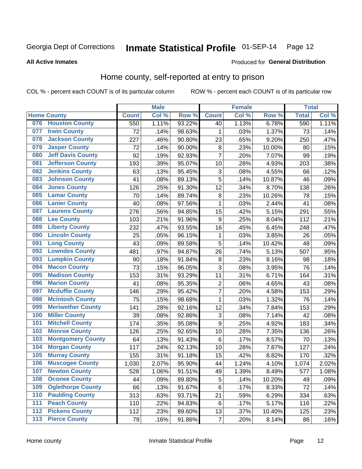## Inmate Statistical Profile 01-SEP-14 Page 12

Produced for General Distribution

## **All Active Inmates**

## Home county, self-reported at entry to prison

COL % - percent each COUNT is of its particular column

|     |                          |              | <b>Male</b> |        |                  | <b>Female</b> |        | <b>Total</b> |       |
|-----|--------------------------|--------------|-------------|--------|------------------|---------------|--------|--------------|-------|
|     | <b>Home County</b>       | <b>Count</b> | Col %       | Row %  | <b>Count</b>     | Col %         | Row %  | <b>Total</b> | Col % |
| 076 | <b>Houston County</b>    | 550          | 1.11%       | 93.22% | 40               | 1.13%         | 6.78%  | 590          | 1.11% |
| 077 | <b>Irwin County</b>      | 72           | .14%        | 98.63% | 1                | .03%          | 1.37%  | 73           | .14%  |
| 078 | <b>Jackson County</b>    | 227          | .46%        | 90.80% | 23               | .65%          | 9.20%  | 250          | .47%  |
| 079 | <b>Jasper County</b>     | 72           | .14%        | 90.00% | 8                | .23%          | 10.00% | 80           | .15%  |
| 080 | <b>Jeff Davis County</b> | 92           | .19%        | 92.93% | $\overline{7}$   | .20%          | 7.07%  | 99           | .19%  |
| 081 | <b>Jefferson County</b>  | 193          | .39%        | 95.07% | 10               | .28%          | 4.93%  | 203          | .38%  |
| 082 | <b>Jenkins County</b>    | 63           | .13%        | 95.45% | $\mathbf{3}$     | .08%          | 4.55%  | 66           | .12%  |
| 083 | <b>Johnson County</b>    | 41           | .08%        | 89.13% | 5                | .14%          | 10.87% | 46           | .09%  |
| 084 | <b>Jones County</b>      | 126          | .25%        | 91.30% | 12               | .34%          | 8.70%  | 138          | .26%  |
| 085 | <b>Lamar County</b>      | 70           | .14%        | 89.74% | $\bf 8$          | .23%          | 10.26% | 78           | .15%  |
| 086 | <b>Lanier County</b>     | 40           | .08%        | 97.56% | 1                | .03%          | 2.44%  | 41           | .08%  |
| 087 | <b>Laurens County</b>    | 276          | .56%        | 94.85% | 15               | .42%          | 5.15%  | 291          | .55%  |
| 088 | <b>Lee County</b>        | 103          | .21%        | 91.96% | $\boldsymbol{9}$ | .25%          | 8.04%  | 112          | .21%  |
| 089 | <b>Liberty County</b>    | 232          | .47%        | 93.55% | 16               | .45%          | 6.45%  | 248          | .47%  |
| 090 | <b>Lincoln County</b>    | 25           | .05%        | 96.15% | 1                | .03%          | 3.85%  | 26           | .05%  |
| 091 | <b>Long County</b>       | 43           | .09%        | 89.58% | 5                | .14%          | 10.42% | 48           | .09%  |
| 092 | <b>Lowndes County</b>    | 481          | .97%        | 94.87% | 26               | .74%          | 5.13%  | 507          | .95%  |
| 093 | <b>Lumpkin County</b>    | 90           | .18%        | 91.84% | $\bf 8$          | .23%          | 8.16%  | 98           | .18%  |
| 094 | <b>Macon County</b>      | 73           | .15%        | 96.05% | $\overline{3}$   | .08%          | 3.95%  | 76           | .14%  |
| 095 | <b>Madison County</b>    | 153          | .31%        | 93.29% | 11               | .31%          | 6.71%  | 164          | .31%  |
| 096 | <b>Marion County</b>     | 41           | .08%        | 95.35% | $\overline{2}$   | .06%          | 4.65%  | 43           | .08%  |
| 097 | <b>Mcduffie County</b>   | 146          | .29%        | 95.42% | 7                | .20%          | 4.58%  | 153          | .29%  |
| 098 | <b>Mcintosh County</b>   | 75           | .15%        | 98.68% | $\mathbf 1$      | .03%          | 1.32%  | 76           | .14%  |
| 099 | <b>Meriwether County</b> | 141          | .28%        | 92.16% | 12               | .34%          | 7.84%  | 153          | .29%  |
| 100 | <b>Miller County</b>     | 39           | .08%        | 92.86% | 3                | .08%          | 7.14%  | 42           | .08%  |
| 101 | <b>Mitchell County</b>   | 174          | .35%        | 95.08% | 9                | .25%          | 4.92%  | 183          | .34%  |
| 102 | <b>Monroe County</b>     | 126          | .25%        | 92.65% | 10               | .28%          | 7.35%  | 136          | .26%  |
| 103 | <b>Montgomery County</b> | 64           | .13%        | 91.43% | $\,6$            | .17%          | 8.57%  | 70           | .13%  |
| 104 | <b>Morgan County</b>     | 117          | .24%        | 92.13% | 10               | .28%          | 7.87%  | 127          | .24%  |
| 105 | <b>Murray County</b>     | 155          | .31%        | 91.18% | 15               | .42%          | 8.82%  | 170          | .32%  |
| 106 | <b>Muscogee County</b>   | 1,030        | 2.07%       | 95.90% | 44               | 1.24%         | 4.10%  | 1,074        | 2.02% |
| 107 | <b>Newton County</b>     | 528          | 1.06%       | 91.51% | 49               | 1.39%         | 8.49%  | 577          | 1.08% |
| 108 | <b>Oconee County</b>     | 44           | .09%        | 89.80% | 5                | .14%          | 10.20% | 49           | .09%  |
| 109 | <b>Oglethorpe County</b> | 66           | .13%        | 91.67% | 6                | .17%          | 8.33%  | 72           | .14%  |
| 110 | <b>Paulding County</b>   | 313          | .63%        | 93.71% | 21               | .59%          | 6.29%  | 334          | .63%  |
| 111 | <b>Peach County</b>      | 110          | .22%        | 94.83% | $\,6$            | .17%          | 5.17%  | 116          | .22%  |
| 112 | <b>Pickens County</b>    | 112          | .23%        | 89.60% | 13               | .37%          | 10.40% | 125          | .23%  |
| 113 | <b>Pierce County</b>     | 79           | .16%        | 91.86% | $\boldsymbol{7}$ | .20%          | 8.14%  | 86           | .16%  |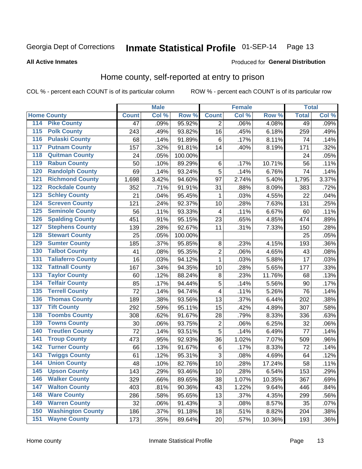## Inmate Statistical Profile 01-SEP-14 Page 13

### **All Active Inmates**

### Produced for General Distribution

## Home county, self-reported at entry to prison

COL % - percent each COUNT is of its particular column

|                    |                          |              | <b>Male</b> |         |                | <b>Female</b> |        | <b>Total</b> |       |
|--------------------|--------------------------|--------------|-------------|---------|----------------|---------------|--------|--------------|-------|
| <b>Home County</b> |                          | <b>Count</b> | Col %       | Row %   | <b>Count</b>   | Col %         | Row %  | <b>Total</b> | Col % |
| 114                | <b>Pike County</b>       | 47           | .09%        | 95.92%  | 2              | .06%          | 4.08%  | 49           | .09%  |
| 115                | <b>Polk County</b>       | 243          | .49%        | 93.82%  | 16             | .45%          | 6.18%  | 259          | .49%  |
| 116                | <b>Pulaski County</b>    | 68           | .14%        | 91.89%  | $\,6$          | .17%          | 8.11%  | 74           | .14%  |
| 117                | <b>Putnam County</b>     | 157          | .32%        | 91.81%  | 14             | .40%          | 8.19%  | 171          | .32%  |
| 118                | <b>Quitman County</b>    | 24           | .05%        | 100.00% |                |               |        | 24           | .05%  |
| 119                | <b>Rabun County</b>      | 50           | .10%        | 89.29%  | $\,6$          | .17%          | 10.71% | 56           | .11%  |
| 120                | <b>Randolph County</b>   | 69           | .14%        | 93.24%  | 5              | .14%          | 6.76%  | 74           | .14%  |
| 121                | <b>Richmond County</b>   | 1,698        | 3.42%       | 94.60%  | 97             | 2.74%         | 5.40%  | 1,795        | 3.37% |
| 122                | <b>Rockdale County</b>   | 352          | .71%        | 91.91%  | 31             | .88%          | 8.09%  | 383          | .72%  |
| 123                | <b>Schley County</b>     | 21           | .04%        | 95.45%  | 1              | .03%          | 4.55%  | 22           | .04%  |
| 124                | <b>Screven County</b>    | 121          | .24%        | 92.37%  | 10             | .28%          | 7.63%  | 131          | .25%  |
| 125                | <b>Seminole County</b>   | 56           | .11%        | 93.33%  | 4              | .11%          | 6.67%  | 60           | .11%  |
| 126                | <b>Spalding County</b>   | 451          | .91%        | 95.15%  | 23             | .65%          | 4.85%  | 474          | .89%  |
| 127                | <b>Stephens County</b>   | 139          | .28%        | 92.67%  | 11             | .31%          | 7.33%  | 150          | .28%  |
| 128                | <b>Stewart County</b>    | 25           | .05%        | 100.00% |                |               |        | 25           | .05%  |
| 129                | <b>Sumter County</b>     | 185          | .37%        | 95.85%  | 8              | .23%          | 4.15%  | 193          | .36%  |
| 130                | <b>Talbot County</b>     | 41           | .08%        | 95.35%  | $\overline{2}$ | .06%          | 4.65%  | 43           | .08%  |
| 131                | <b>Taliaferro County</b> | 16           | .03%        | 94.12%  | 1              | .03%          | 5.88%  | 17           | .03%  |
| 132                | <b>Tattnall County</b>   | 167          | .34%        | 94.35%  | 10             | .28%          | 5.65%  | 177          | .33%  |
| 133                | <b>Taylor County</b>     | 60           | .12%        | 88.24%  | 8              | .23%          | 11.76% | 68           | .13%  |
| 134                | <b>Telfair County</b>    | 85           | .17%        | 94.44%  | 5              | .14%          | 5.56%  | 90           | .17%  |
| 135                | <b>Terrell County</b>    | 72           | .14%        | 94.74%  | 4              | .11%          | 5.26%  | 76           | .14%  |
| 136                | <b>Thomas County</b>     | 189          | .38%        | 93.56%  | 13             | .37%          | 6.44%  | 202          | .38%  |
| 137                | <b>Tift County</b>       | 292          | .59%        | 95.11%  | 15             | .42%          | 4.89%  | 307          | .58%  |
| 138                | <b>Toombs County</b>     | 308          | .62%        | 91.67%  | 28             | .79%          | 8.33%  | 336          | .63%  |
| 139                | <b>Towns County</b>      | 30           | .06%        | 93.75%  | $\overline{2}$ | .06%          | 6.25%  | 32           | .06%  |
| 140                | <b>Treutlen County</b>   | 72           | .14%        | 93.51%  | $\overline{5}$ | .14%          | 6.49%  | 77           | .14%  |
| 141                | <b>Troup County</b>      | 473          | .95%        | 92.93%  | 36             | 1.02%         | 7.07%  | 509          | .96%  |
| 142                | <b>Turner County</b>     | 66           | .13%        | 91.67%  | 6              | .17%          | 8.33%  | 72           | .14%  |
| 143                | <b>Twiggs County</b>     | 61           | .12%        | 95.31%  | 3              | .08%          | 4.69%  | 64           | .12%  |
| 144                | <b>Union County</b>      | 48           | .10%        | 82.76%  | 10             | .28%          | 17.24% | 58           | .11%  |
| 145                | <b>Upson County</b>      | 143          | .29%        | 93.46%  | 10             | .28%          | 6.54%  | 153          | .29%  |
| 146                | <b>Walker County</b>     | 329          | .66%        | 89.65%  | 38             | 1.07%         | 10.35% | 367          | .69%  |
| 147                | <b>Walton County</b>     | 403          | .81%        | 90.36%  | 43             | 1.22%         | 9.64%  | 446          | .84%  |
| 148                | <b>Ware County</b>       | 286          | .58%        | 95.65%  | 13             | .37%          | 4.35%  | 299          | .56%  |
| 149                | <b>Warren County</b>     | 32           | .06%        | 91.43%  | 3              | .08%          | 8.57%  | 35           | .07%  |
| 150                | <b>Washington County</b> | 186          | .37%        | 91.18%  | 18             | .51%          | 8.82%  | 204          | .38%  |
| 151                | <b>Wayne County</b>      | 173          | .35%        | 89.64%  | 20             | .57%          | 10.36% | 193          | .36%  |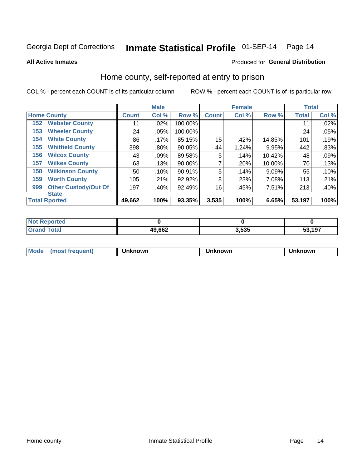## Inmate Statistical Profile 01-SEP-14 Page 14

**All Active Inmates** 

### Produced for General Distribution

## Home county, self-reported at entry to prison

COL % - percent each COUNT is of its particular column

|     |                             |              | <b>Male</b> |         |              | <b>Female</b> |           | <b>Total</b> |       |
|-----|-----------------------------|--------------|-------------|---------|--------------|---------------|-----------|--------------|-------|
|     | <b>Home County</b>          | <b>Count</b> | Col %       | Row %   | <b>Count</b> | Col %         | Row %     | <b>Total</b> | Col % |
| 152 | <b>Webster County</b>       | 11           | .02%        | 100.00% |              |               |           | 11           | .02%  |
| 153 | <b>Wheeler County</b>       | 24           | $.05\%$     | 100.00% |              |               |           | 24           | .05%  |
| 154 | <b>White County</b>         | 86           | $.17\%$     | 85.15%  | 15           | .42%          | 14.85%    | 101          | .19%  |
| 155 | <b>Whitfield County</b>     | 398          | $.80\%$     | 90.05%  | 44           | 1.24%         | 9.95%     | 442          | .83%  |
| 156 | <b>Wilcox County</b>        | 43           | .09%        | 89.58%  | 5            | .14%          | $10.42\%$ | 48           | .09%  |
| 157 | <b>Wilkes County</b>        | 63           | .13%        | 90.00%  | 7            | .20%          | 10.00%    | 70           | .13%  |
| 158 | <b>Wilkinson County</b>     | 50           | .10%        | 90.91%  | 5            | .14%          | 9.09%     | 55           | .10%  |
| 159 | <b>Worth County</b>         | 105          | .21%        | 92.92%  | 8            | .23%          | 7.08%     | 113          | .21%  |
| 999 | <b>Other Custody/Out Of</b> | 197          | .40%        | 92.49%  | 16           | .45%          | 7.51%     | 213          | .40%  |
|     | <b>State</b>                |              |             |         |              |               |           |              |       |
|     | <b>Total Rported</b>        | 49,662       | 100%        | 93.35%  | 3,535        | 100%          | 6.65%     | 53,197       | 100%  |

| <b>Not</b><br>Reported |        |       |        |
|------------------------|--------|-------|--------|
| Гоtal                  | 49,662 | 3,535 | 53,197 |

| Mode<br><b>Tequent)</b><br>ns | nown | mown | เทown |
|-------------------------------|------|------|-------|
|                               |      |      |       |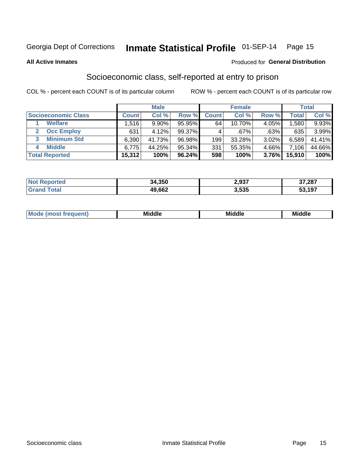## Inmate Statistical Profile 01-SEP-14 Page 15

**All Active Inmates** 

### Produced for General Distribution

## Socioeconomic class, self-reported at entry to prison

COL % - percent each COUNT is of its particular column

|                       |              | <b>Male</b> |           |              | <b>Female</b> |       |        | <b>Total</b> |
|-----------------------|--------------|-------------|-----------|--------------|---------------|-------|--------|--------------|
| Socioeconomic Class   | <b>Count</b> | Col %       | Row %     | <b>Count</b> | Col %         | Row % | Total  | Col %        |
| <b>Welfare</b>        | .516         | 9.90%       | 95.95%    | 64           | $10.70\%$     | 4.05% | 1,580  | 9.93%        |
| <b>Occ Employ</b>     | 631          | 4.12%       | $99.37\%$ |              | $.67\%$       | .63%  | 635    | 3.99%        |
| <b>Minimum Std</b>    | 6,390        | 41.73%      | 96.98%    | 199          | 33.28%        | 3.02% | 6,589  | 41.41%       |
| <b>Middle</b><br>4    | 6,775        | 44.25%      | 95.34%    | 331          | 55.35%        | 4.66% | 7.106  | 44.66%       |
| <b>Total Reported</b> | 15,312       | 100%        | 96.24%    | 598          | 100%          | 3.76% | 15,910 | 100%         |

| <b>orted</b> | 34,350 | 2,937 | 37,287 |
|--------------|--------|-------|--------|
|              | 49,662 | 3,535 | 53,197 |

| ---------<br>____ | M | . .<br>Mi<br>ddle | <b>Middle</b> | в л |
|-------------------|---|-------------------|---------------|-----|
|-------------------|---|-------------------|---------------|-----|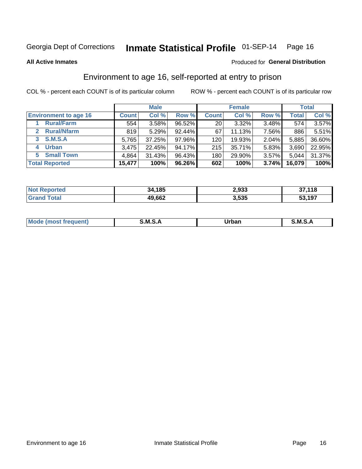## Inmate Statistical Profile 01-SEP-14 Page 16

**All Active Inmates** 

## **Produced for General Distribution**

## Environment to age 16, self-reported at entry to prison

COL % - percent each COUNT is of its particular column

|                                    |              | <b>Male</b> |           |                  | <b>Female</b> |       |              | <b>Total</b> |
|------------------------------------|--------------|-------------|-----------|------------------|---------------|-------|--------------|--------------|
| <b>Environment to age 16</b>       | <b>Count</b> | Col %       | Row %     | <b>Count</b>     | Col %         | Row % | <b>Total</b> | Col %        |
| <b>Rural/Farm</b>                  | 554          | 3.58%       | 96.52%    | 20 <sub>1</sub>  | 3.32%         | 3.48% | 574          | 3.57%        |
| <b>Rural/Nfarm</b><br>$\mathbf{2}$ | 819          | 5.29%       | $92.44\%$ | 67               | 11.13%        | 7.56% | 886          | 5.51%        |
| 3 S.M.S.A                          | 5.765        | 37.25%      | 97.96%    | 120 <sub>1</sub> | 19.93%        | 2.04% | 5,885        | 36.60%       |
| <b>Urban</b><br>4                  | 3,475        | 22.45%      | 94.17%    | 215              | 35.71%        | 5.83% | 3,690        | 22.95%       |
| 5 Small Town                       | 4,864        | 31.43%      | 96.43%    | 180              | 29.90%        | 3.57% | 5,044        | 31.37%       |
| <b>Total Reported</b>              | 15,477       | 100%        | 96.26%    | 602              | 100%          | 3.74% | 16,079       | 100%         |

| <b>Not Reported</b> | 34,185 | 2,933 | 37,118 |
|---------------------|--------|-------|--------|
| <b>Grand Total</b>  | 49,662 | 3,535 | 53,197 |

| Mo | M | -----  | M |
|----|---|--------|---|
|    |   | ______ |   |
|    |   |        |   |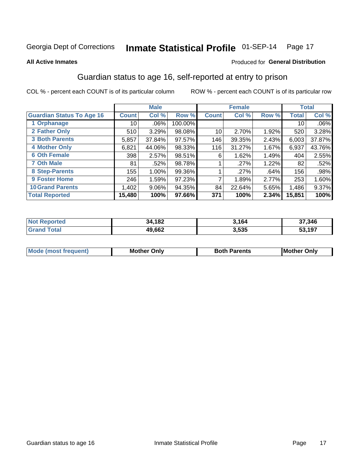## Inmate Statistical Profile 01-SEP-14 Page 17

### **All Active Inmates**

### Produced for General Distribution

## Guardian status to age 16, self-reported at entry to prison

COL % - percent each COUNT is of its particular column

|                                  |              | <b>Male</b> |           |              | <b>Female</b> |       |        | <b>Total</b> |
|----------------------------------|--------------|-------------|-----------|--------------|---------------|-------|--------|--------------|
| <b>Guardian Status To Age 16</b> | <b>Count</b> | Col %       | Row %     | <b>Count</b> | Col %         | Row % | Total  | Col %        |
| 1 Orphanage                      | 10           | .06%        | 100.00%   |              |               |       | 10     | .06%         |
| 2 Father Only                    | 510          | 3.29%       | 98.08%    | 10           | 2.70%         | 1.92% | 520    | 3.28%        |
| <b>3 Both Parents</b>            | 5,857        | 37.84%      | $97.57\%$ | 146          | 39.35%        | 2.43% | 6,003  | 37.87%       |
| <b>4 Mother Only</b>             | 6,821        | 44.06%      | 98.33%    | 116          | 31.27%        | 1.67% | 6,937  | 43.76%       |
| <b>6 Oth Female</b>              | 398          | 2.57%       | 98.51%    | 6            | 1.62%         | 1.49% | 404    | 2.55%        |
| <b>7 Oth Male</b>                | 81           | .52%        | 98.78%    |              | .27%          | 1.22% | 82     | .52%         |
| 8 Step-Parents                   | 155          | 1.00%       | 99.36%    |              | .27%          | .64%  | 156    | .98%         |
| <b>9 Foster Home</b>             | 246          | 1.59%       | 97.23%    | 7            | 1.89%         | 2.77% | 253    | 1.60%        |
| <b>10 Grand Parents</b>          | 1,402        | 9.06%       | 94.35%    | 84           | 22.64%        | 5.65% | 1,486  | 9.37%        |
| <b>Total Reported</b>            | 15,480       | 100%        | 97.66%    | 371          | 100%          | 2.34% | 15,851 | 100%         |

| prtea<br>NOT | 34,182 | 3,164 | 37,346              |
|--------------|--------|-------|---------------------|
| .Gr          | 49,662 | 3,535 | ,197<br>-^<br>. აა. |

| Mode | วทIv<br>Mot | <b>Both Parents</b><br>Parents | lM.<br>Only<br>. |
|------|-------------|--------------------------------|------------------|
|      |             |                                |                  |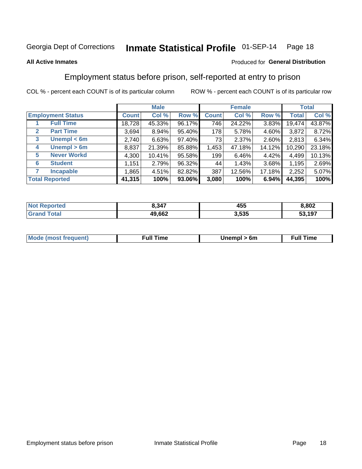## Inmate Statistical Profile 01-SEP-14 Page 18

### **All Active Inmates**

### Produced for General Distribution

## Employment status before prison, self-reported at entry to prison

COL % - percent each COUNT is of its particular column

|                                  |         | <b>Male</b> |        |              | <b>Female</b> |          |        | <b>Total</b> |
|----------------------------------|---------|-------------|--------|--------------|---------------|----------|--------|--------------|
| <b>Employment Status</b>         | Count l | Col %       | Row %  | <b>Count</b> | Col %         | Row %    | Total  | Col %        |
| <b>Full Time</b>                 | 18,728  | 45.33%      | 96.17% | 746          | 24.22%        | $3.83\%$ | 19,474 | 43.87%       |
| <b>Part Time</b><br>$\mathbf{2}$ | 3.694   | $8.94\%$    | 95.40% | 178          | 5.78%         | 4.60%    | 3,872  | 8.72%        |
| Unempl $<$ 6m<br>3               | 2,740   | 6.63%       | 97.40% | 73           | 2.37%         | 2.60%    | 2,813  | 6.34%        |
| Unempl > 6m<br>4                 | 8,837   | 21.39%      | 85.88% | 1,453        | 47.18%        | 14.12%   | 10,290 | 23.18%       |
| <b>Never Workd</b><br>5          | 4,300   | 10.41%      | 95.58% | 199          | 6.46%         | 4.42%    | 4,499  | 10.13%       |
| <b>Student</b><br>6              | 1,151   | 2.79%       | 96.32% | 44           | 1.43%         | 3.68%    | 1,195  | 2.69%        |
| <b>Incapable</b>                 | 1,865   | 4.51%       | 82.82% | 387          | 12.56%        | 17.18%   | 2,252  | 5.07%        |
| <b>Total Reported</b>            | 41,315  | 100%        | 93.06% | 3,080        | 100%          | 6.94%    | 44,395 | 100%         |

| Ter.<br>NO     | 8,347  | 455   | ,802   |
|----------------|--------|-------|--------|
| $\overline{a}$ | 49.662 | 3,535 | 53,197 |

| <b>Moo.</b><br><b>THOST</b> | the contract of the contract of the contract of the contract of the contract of the contract of the contract of the contract of the contract of the contract of the contract of the contract of the contract of the contract o | 6m | ıme |
|-----------------------------|--------------------------------------------------------------------------------------------------------------------------------------------------------------------------------------------------------------------------------|----|-----|
|                             |                                                                                                                                                                                                                                |    |     |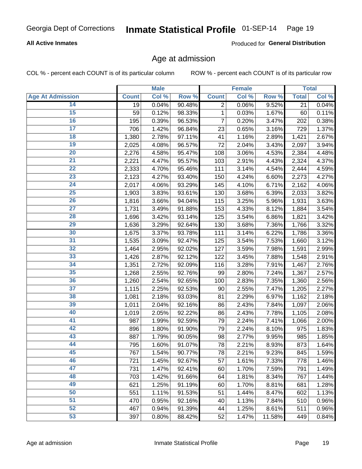## Inmate Statistical Profile 01-SEP-14 Page 19

## **All Active Inmates**

Produced for General Distribution

## Age at admission

COL % - percent each COUNT is of its particular column

|                         |              | <b>Male</b> |        |                | <b>Female</b> |        |              | <b>Total</b> |
|-------------------------|--------------|-------------|--------|----------------|---------------|--------|--------------|--------------|
| <b>Age At Admission</b> | <b>Count</b> | Col %       | Row %  | <b>Count</b>   | Col %         | Row %  | <b>Total</b> | Col %        |
| 14                      | 19           | 0.04%       | 90.48% | $\overline{2}$ | 0.06%         | 9.52%  | 21           | 0.04%        |
| 15                      | 59           | 0.12%       | 98.33% | 1              | 0.03%         | 1.67%  | 60           | 0.11%        |
| 16                      | 195          | 0.39%       | 96.53% | 7              | 0.20%         | 3.47%  | 202          | 0.38%        |
| $\overline{17}$         | 706          | 1.42%       | 96.84% | 23             | 0.65%         | 3.16%  | 729          | 1.37%        |
| $\overline{18}$         | 1,380        | 2.78%       | 97.11% | 41             | 1.16%         | 2.89%  | 1,421        | 2.67%        |
| 19                      | 2,025        | 4.08%       | 96.57% | 72             | 2.04%         | 3.43%  | 2,097        | 3.94%        |
| 20                      | 2,276        | 4.58%       | 95.47% | 108            | 3.06%         | 4.53%  | 2,384        | 4.48%        |
| $\overline{21}$         | 2,221        | 4.47%       | 95.57% | 103            | 2.91%         | 4.43%  | 2,324        | 4.37%        |
| $\overline{22}$         | 2,333        | 4.70%       | 95.46% | 111            | 3.14%         | 4.54%  | 2,444        | 4.59%        |
| 23                      | 2,123        | 4.27%       | 93.40% | 150            | 4.24%         | 6.60%  | 2,273        | 4.27%        |
| 24                      | 2,017        | 4.06%       | 93.29% | 145            | 4.10%         | 6.71%  | 2,162        | 4.06%        |
| $\overline{25}$         | 1,903        | 3.83%       | 93.61% | 130            | 3.68%         | 6.39%  | 2,033        | 3.82%        |
| $\overline{26}$         | 1,816        | 3.66%       | 94.04% | 115            | 3.25%         | 5.96%  | 1,931        | 3.63%        |
| $\overline{27}$         | 1,731        | 3.49%       | 91.88% | 153            | 4.33%         | 8.12%  | 1,884        | 3.54%        |
| 28                      | 1,696        | 3.42%       | 93.14% | 125            | 3.54%         | 6.86%  | 1,821        | 3.42%        |
| 29                      | 1,636        | 3.29%       | 92.64% | 130            | 3.68%         | 7.36%  | 1,766        | 3.32%        |
| 30                      | 1,675        | 3.37%       | 93.78% | 111            | 3.14%         | 6.22%  | 1,786        | 3.36%        |
| 31                      | 1,535        | 3.09%       | 92.47% | 125            | 3.54%         | 7.53%  | 1,660        | 3.12%        |
| 32                      | 1,464        | 2.95%       | 92.02% | 127            | 3.59%         | 7.98%  | 1,591        | 2.99%        |
| 33                      | 1,426        | 2.87%       | 92.12% | 122            | 3.45%         | 7.88%  | 1,548        | 2.91%        |
| 34                      | 1,351        | 2.72%       | 92.09% | 116            | 3.28%         | 7.91%  | 1,467        | 2.76%        |
| 35                      | 1,268        | 2.55%       | 92.76% | 99             | 2.80%         | 7.24%  | 1,367        | 2.57%        |
| 36                      | 1,260        | 2.54%       | 92.65% | 100            | 2.83%         | 7.35%  | 1,360        | 2.56%        |
| $\overline{37}$         | 1,115        | 2.25%       | 92.53% | 90             | 2.55%         | 7.47%  | 1,205        | 2.27%        |
| 38                      | 1,081        | 2.18%       | 93.03% | 81             | 2.29%         | 6.97%  | 1,162        | 2.18%        |
| 39                      | 1,011        | 2.04%       | 92.16% | 86             | 2.43%         | 7.84%  | 1,097        | 2.06%        |
| 40                      | 1,019        | 2.05%       | 92.22% | 86             | 2.43%         | 7.78%  | 1,105        | 2.08%        |
| 41                      | 987          | 1.99%       | 92.59% | 79             | 2.24%         | 7.41%  | 1,066        | 2.00%        |
| 42                      | 896          | 1.80%       | 91.90% | 79             | 2.24%         | 8.10%  | 975          | 1.83%        |
| 43                      | 887          | 1.79%       | 90.05% | 98             | 2.77%         | 9.95%  | 985          | 1.85%        |
| 44                      | 795          | 1.60%       | 91.07% | 78             | 2.21%         | 8.93%  | 873          | 1.64%        |
| 45                      | 767          | 1.54%       | 90.77% | 78             | 2.21%         | 9.23%  | 845          | 1.59%        |
| 46                      | 721          | 1.45%       | 92.67% | 57             | 1.61%         | 7.33%  | 778          | 1.46%        |
| 47                      | 731          | 1.47%       | 92.41% | 60             | 1.70%         | 7.59%  | 791          | 1.49%        |
| 48                      | 703          | 1.42%       | 91.66% | 64             | 1.81%         | 8.34%  | 767          | 1.44%        |
| 49                      | 621          | 1.25%       | 91.19% | 60             | 1.70%         | 8.81%  | 681          | 1.28%        |
| 50                      | 551          | 1.11%       | 91.53% | 51             | 1.44%         | 8.47%  | 602          | 1.13%        |
| 51                      | 470          | 0.95%       | 92.16% | 40             | 1.13%         | 7.84%  | 510          | 0.96%        |
| 52                      | 467          | 0.94%       | 91.39% | 44             | 1.25%         | 8.61%  | 511          | 0.96%        |
| 53                      | 397          | 0.80%       | 88.42% | 52             | 1.47%         | 11.58% | 449          | 0.84%        |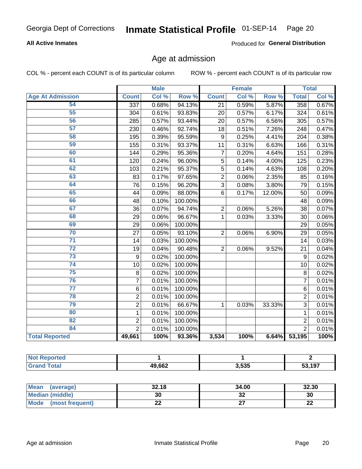## Inmate Statistical Profile 01-SEP-14 Page 20

## **All Active Inmates**

Produced for General Distribution

## Age at admission

COL % - percent each COUNT is of its particular column

|                         | <b>Male</b>    |       | <b>Female</b> |                |       | <b>Total</b> |                 |       |
|-------------------------|----------------|-------|---------------|----------------|-------|--------------|-----------------|-------|
| <b>Age At Admission</b> | <b>Count</b>   | Col % | Row %         | <b>Count</b>   | Col % | Row %        | <b>Total</b>    | Col % |
| 54                      | 337            | 0.68% | 94.13%        | 21             | 0.59% | 5.87%        | 358             | 0.67% |
| 55                      | 304            | 0.61% | 93.83%        | 20             | 0.57% | 6.17%        | 324             | 0.61% |
| 56                      | 285            | 0.57% | 93.44%        | 20             | 0.57% | 6.56%        | 305             | 0.57% |
| $\overline{57}$         | 230            | 0.46% | 92.74%        | 18             | 0.51% | 7.26%        | 248             | 0.47% |
| 58                      | 195            | 0.39% | 95.59%        | 9              | 0.25% | 4.41%        | 204             | 0.38% |
| 59                      | 155            | 0.31% | 93.37%        | 11             | 0.31% | 6.63%        | 166             | 0.31% |
| 60                      | 144            | 0.29% | 95.36%        | $\overline{7}$ | 0.20% | 4.64%        | 151             | 0.28% |
| 61                      | 120            | 0.24% | 96.00%        | 5              | 0.14% | 4.00%        | 125             | 0.23% |
| 62                      | 103            | 0.21% | 95.37%        | 5              | 0.14% | 4.63%        | 108             | 0.20% |
| 63                      | 83             | 0.17% | 97.65%        | $\overline{2}$ | 0.06% | 2.35%        | 85              | 0.16% |
| 64                      | 76             | 0.15% | 96.20%        | $\overline{3}$ | 0.08% | 3.80%        | 79              | 0.15% |
| 65                      | 44             | 0.09% | 88.00%        | 6              | 0.17% | 12.00%       | 50              | 0.09% |
| 66                      | 48             | 0.10% | 100.00%       |                |       |              | 48              | 0.09% |
| 67                      | 36             | 0.07% | 94.74%        | $\overline{2}$ | 0.06% | 5.26%        | 38              | 0.07% |
| 68                      | 29             | 0.06% | 96.67%        | $\mathbf 1$    | 0.03% | 3.33%        | 30              | 0.06% |
| 69                      | 29             | 0.06% | 100.00%       |                |       |              | 29              | 0.05% |
| 70                      | 27             | 0.05% | 93.10%        | $\overline{2}$ | 0.06% | 6.90%        | 29              | 0.05% |
| $\overline{71}$         | 14             | 0.03% | 100.00%       |                |       |              | 14              | 0.03% |
| $\overline{72}$         | 19             | 0.04% | 90.48%        | $\overline{2}$ | 0.06% | 9.52%        | 21              | 0.04% |
| $\overline{73}$         | 9              | 0.02% | 100.00%       |                |       |              | $\mathsf g$     | 0.02% |
| $\overline{74}$         | 10             | 0.02% | 100.00%       |                |       |              | 10              | 0.02% |
| 75                      | 8              | 0.02% | 100.00%       |                |       |              | 8               | 0.02% |
| 76                      | $\overline{7}$ | 0.01% | 100.00%       |                |       |              | $\overline{7}$  | 0.01% |
| $\overline{77}$         | 6              | 0.01% | 100.00%       |                |       |              | 6               | 0.01% |
| 78                      | $\overline{2}$ | 0.01% | 100.00%       |                |       |              | $\overline{2}$  | 0.01% |
| 79                      | $\overline{2}$ | 0.01% | 66.67%        | 1              | 0.03% | 33.33%       | $\overline{3}$  | 0.01% |
| 80                      | $\mathbf{1}$   | 0.01% | 100.00%       |                |       |              | $\mathbf{1}$    | 0.01% |
| 82                      | $\overline{2}$ | 0.01% | 100.00%       |                |       |              | $\overline{2}$  | 0.01% |
| 84                      | $\overline{2}$ | 0.01% | 100.00%       |                |       |              | $\overline{2}$  | 0.01% |
| <b>Total Reported</b>   | 49,661         | 100%  | 93.36%        | 3,534          | 100%  |              | $6.64\%$ 53,195 | 100%  |

| 49,662 | 3,535 | .197 |
|--------|-------|------|

| Mean (average)         | 32.18 | 34.00    | 32.30    |
|------------------------|-------|----------|----------|
| <b>Median (middle)</b> | 30    | ^^<br>JZ | 30       |
| Mode (most frequent)   | LL    |          | n.<br>LL |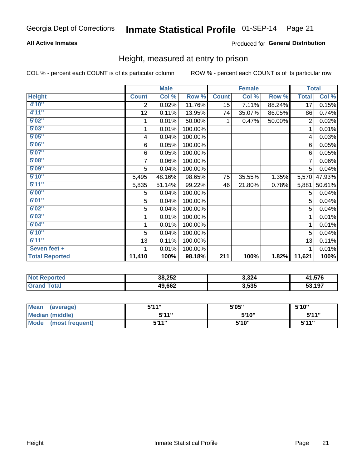#### Inmate Statistical Profile 01-SEP-14 Page 21

## **All Active Inmates**

## Produced for General Distribution

## Height, measured at entry to prison

COL % - percent each COUNT is of its particular column

|                       | <b>Male</b>             |        |         | <b>Female</b> |        |        | <b>Total</b> |        |
|-----------------------|-------------------------|--------|---------|---------------|--------|--------|--------------|--------|
| <b>Height</b>         | <b>Count</b>            | Col %  | Row %   | <b>Count</b>  | Col %  | Row %  | <b>Total</b> | Col %  |
| 4'10''                | $\overline{2}$          | 0.02%  | 11.76%  | 15            | 7.11%  | 88.24% | 17           | 0.15%  |
| 4'11''                | 12                      | 0.11%  | 13.95%  | 74            | 35.07% | 86.05% | 86           | 0.74%  |
| 5'02''                | 1                       | 0.01%  | 50.00%  | 1             | 0.47%  | 50.00% | 2            | 0.02%  |
| 5'03''                | 1                       | 0.01%  | 100.00% |               |        |        | 1            | 0.01%  |
| 5'05''                | $\overline{\mathbf{4}}$ | 0.04%  | 100.00% |               |        |        | 4            | 0.03%  |
| 5'06''                | 6                       | 0.05%  | 100.00% |               |        |        | 6            | 0.05%  |
| 5'07''                | 6                       | 0.05%  | 100.00% |               |        |        | 6            | 0.05%  |
| 5'08''                | 7                       | 0.06%  | 100.00% |               |        |        | 7            | 0.06%  |
| 5'09''                | 5                       | 0.04%  | 100.00% |               |        |        | 5            | 0.04%  |
| 5'10''                | 5,495                   | 48.16% | 98.65%  | 75            | 35.55% | 1.35%  | 5,570        | 47.93% |
| 5'11''                | 5,835                   | 51.14% | 99.22%  | 46            | 21.80% | 0.78%  | 5,881        | 50.61% |
| 6'00''                | 5                       | 0.04%  | 100.00% |               |        |        | 5            | 0.04%  |
| 6'01''                | 5                       | 0.04%  | 100.00% |               |        |        | 5            | 0.04%  |
| 6'02"                 | 5                       | 0.04%  | 100.00% |               |        |        | 5            | 0.04%  |
| 6'03''                | 1                       | 0.01%  | 100.00% |               |        |        | 1            | 0.01%  |
| 6'04''                | 1                       | 0.01%  | 100.00% |               |        |        | 1            | 0.01%  |
| 6'10''                | 5                       | 0.04%  | 100.00% |               |        |        | 5            | 0.04%  |
| 6'11''                | 13                      | 0.11%  | 100.00% |               |        |        | 13           | 0.11%  |
| Seven feet +          | 1                       | 0.01%  | 100.00% |               |        |        | 1            | 0.01%  |
| <b>Total Reported</b> | 11,410                  | 100%   | 98.18%  | 211           | 100%   | 1.82%  | 11,621       | 100%   |

| <b>Not</b><br><b>Reported</b> | 38,252 | 3,324 | 1,576  |
|-------------------------------|--------|-------|--------|
|                               | 49,662 | 3,535 | 53,197 |

| <b>Mean</b><br>(average)       | 544"<br>JII | 5'05" | 5'10"        |
|--------------------------------|-------------|-------|--------------|
| <b>Median (middle)</b>         | 544"        | 5'10" | 5'11"        |
| <b>Mode</b><br>(most frequent) | 544"        | 5'10" | <b>5'44"</b> |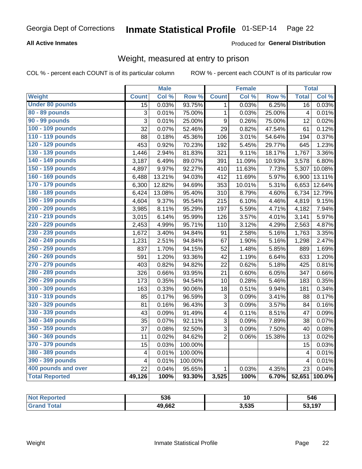## Inmate Statistical Profile 01-SEP-14 Page 22

## **All Active Inmates**

## Produced for General Distribution

## Weight, measured at entry to prison

COL % - percent each COUNT is of its particular column

|                        |                         | <b>Male</b> |                  |                         | <b>Female</b> |        | <b>Total</b>            |                     |
|------------------------|-------------------------|-------------|------------------|-------------------------|---------------|--------|-------------------------|---------------------|
| Weight                 | <b>Count</b>            | Col %       | Row <sup>%</sup> | <b>Count</b>            | Col%          | Row %  | <b>Total</b>            | Col %               |
| <b>Under 80 pounds</b> | $\overline{15}$         | 0.03%       | 93.75%           | $\mathbf 1$             | 0.03%         | 6.25%  | 16                      | 0.03%               |
| 80 - 89 pounds         | 3                       | 0.01%       | 75.00%           | $\mathbf{1}$            | 0.03%         | 25.00% | $\overline{4}$          | 0.01%               |
| 90 - 99 pounds         | $\overline{3}$          | 0.01%       | 25.00%           | $\boldsymbol{9}$        | 0.26%         | 75.00% | 12                      | 0.02%               |
| 100 - 109 pounds       | 32                      | 0.07%       | 52.46%           | 29                      | 0.82%         | 47.54% | 61                      | 0.12%               |
| 110 - 119 pounds       | 88                      | 0.18%       | 45.36%           | 106                     | 3.01%         | 54.64% | 194                     | 0.37%               |
| 120 - 129 pounds       | 453                     | 0.92%       | 70.23%           | 192                     | 5.45%         | 29.77% | 645                     | 1.23%               |
| 130 - 139 pounds       | 1,446                   | 2.94%       | 81.83%           | 321                     | 9.11%         | 18.17% | 1,767                   | 3.36%               |
| 140 - 149 pounds       | 3,187                   | 6.49%       | 89.07%           | 391                     | 11.09%        | 10.93% | 3,578                   | 6.80%               |
| 150 - 159 pounds       | 4,897                   | 9.97%       | 92.27%           | 410                     | 11.63%        | 7.73%  | 5,307                   | 10.08%              |
| 160 - 169 pounds       | 6,488                   | 13.21%      | 94.03%           | 412                     | 11.69%        | 5.97%  | 6,900                   | 13.11%              |
| 170 - 179 pounds       | 6,300                   | 12.82%      | 94.69%           | 353                     | 10.01%        | 5.31%  | 6,653                   | 12.64%              |
| 180 - 189 pounds       | 6,424                   | 13.08%      | 95.40%           | 310                     | 8.79%         | 4.60%  | 6,734                   | 12.79%              |
| 190 - 199 pounds       | 4,604                   | 9.37%       | 95.54%           | 215                     | 6.10%         | 4.46%  | 4,819                   | 9.15%               |
| 200 - 209 pounds       | 3,985                   | 8.11%       | 95.29%           | 197                     | 5.59%         | 4.71%  | 4,182                   | 7.94%               |
| 210 - 219 pounds       | 3,015                   | 6.14%       | 95.99%           | 126                     | 3.57%         | 4.01%  | 3,141                   | 5.97%               |
| 220 - 229 pounds       | 2,453                   | 4.99%       | 95.71%           | 110                     | 3.12%         | 4.29%  | 2,563                   | 4.87%               |
| 230 - 239 pounds       | 1,672                   | 3.40%       | 94.84%           | 91                      | 2.58%         | 5.16%  | 1,763                   | 3.35%               |
| 240 - 249 pounds       | 1,231                   | 2.51%       | 94.84%           | 67                      | 1.90%         | 5.16%  | 1,298                   | 2.47%               |
| 250 - 259 pounds       | 837                     | 1.70%       | 94.15%           | 52                      | 1.48%         | 5.85%  | 889                     | 1.69%               |
| 260 - 269 pounds       | 591                     | 1.20%       | 93.36%           | 42                      | 1.19%         | 6.64%  | 633                     | 1.20%               |
| 270 - 279 pounds       | 403                     | 0.82%       | 94.82%           | 22                      | 0.62%         | 5.18%  | 425                     | 0.81%               |
| 280 - 289 pounds       | 326                     | 0.66%       | 93.95%           | 21                      | 0.60%         | 6.05%  | 347                     | 0.66%               |
| 290 - 299 pounds       | 173                     | 0.35%       | 94.54%           | 10                      | 0.28%         | 5.46%  | 183                     | $\overline{0.35\%}$ |
| 300 - 309 pounds       | 163                     | 0.33%       | 90.06%           | 18                      | 0.51%         | 9.94%  | 181                     | 0.34%               |
| 310 - 319 pounds       | 85                      | 0.17%       | 96.59%           | 3                       | 0.09%         | 3.41%  | 88                      | 0.17%               |
| 320 - 329 pounds       | 81                      | 0.16%       | 96.43%           | 3                       | 0.09%         | 3.57%  | 84                      | 0.16%               |
| 330 - 339 pounds       | 43                      | 0.09%       | 91.49%           | $\overline{\mathbf{4}}$ | 0.11%         | 8.51%  | 47                      | 0.09%               |
| 340 - 349 pounds       | 35                      | 0.07%       | 92.11%           | 3                       | 0.09%         | 7.89%  | 38                      | 0.07%               |
| 350 - 359 pounds       | 37                      | 0.08%       | 92.50%           | 3                       | 0.09%         | 7.50%  | 40                      | 0.08%               |
| 360 - 369 pounds       | 11                      | 0.02%       | 84.62%           | $\overline{2}$          | 0.06%         | 15.38% | 13                      | 0.02%               |
| 370 - 379 pounds       | 15                      | 0.03%       | 100.00%          |                         |               |        | 15                      | 0.03%               |
| 380 - 389 pounds       | $\overline{\mathbf{4}}$ | 0.01%       | 100.00%          |                         |               |        | $\overline{\mathbf{4}}$ | 0.01%               |
| 390 - 399 pounds       | $\overline{\mathbf{4}}$ | 0.01%       | 100.00%          |                         |               |        | $\overline{4}$          | 0.01%               |
| 400 pounds and over    | 22                      | 0.04%       | 95.65%           | $\mathbf{1}$            | 0.03%         | 4.35%  | 23                      | 0.04%               |
| <b>Total Reported</b>  | 49,126                  | 100%        | 93.30%           | 3,525                   | 100%          | 6.70%  | 52,651                  | 100.0%              |

| <b>Not</b><br>Reported | <b>FOR</b><br>ჂᲙႩ | . .   | 546    |
|------------------------|-------------------|-------|--------|
| Total<br>' Gran∖       | 49,662            | 3,535 | 53,197 |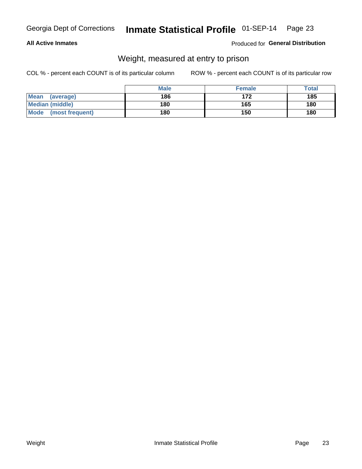## Inmate Statistical Profile 01-SEP-14 Page 23

## **All Active Inmates**

## Produced for General Distribution

## Weight, measured at entry to prison

COL % - percent each COUNT is of its particular column

|                          | <b>Male</b> | <b>Female</b> | Total |
|--------------------------|-------------|---------------|-------|
| <b>Mean</b><br>(average) | 186         | 172           | 185   |
| <b>Median (middle)</b>   | 180         | 165           | 180   |
| Mode<br>(most frequent)  | 180         | 150           | 180   |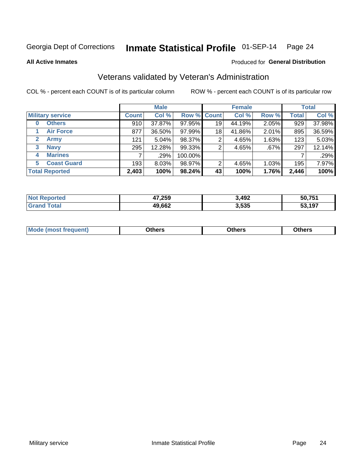#### Inmate Statistical Profile 01-SEP-14 Page 24

**All Active Inmates** 

### Produced for General Distribution

## Veterans validated by Veteran's Administration

COL % - percent each COUNT is of its particular column

|                          | <b>Male</b>  |        |             | <b>Female</b> |        |       | <b>Total</b> |        |
|--------------------------|--------------|--------|-------------|---------------|--------|-------|--------------|--------|
| <b>Military service</b>  | <b>Count</b> | Col %  | Row % Count |               | Col %  | Row % | <b>Total</b> | Col %  |
| <b>Others</b><br>0       | 910          | 37.87% | 97.95%      | 19            | 44.19% | 2.05% | 929          | 37.98% |
| <b>Air Force</b>         | 877          | 36.50% | 97.99%      | 18            | 41.86% | 2.01% | 895          | 36.59% |
| 2<br><b>Army</b>         | 121          | 5.04%  | 98.37%      | 2             | 4.65%  | 1.63% | 123          | 5.03%  |
| <b>Navy</b><br>3         | 295          | 12.28% | 99.33%      | 2             | 4.65%  | .67%  | 297          | 12.14% |
| <b>Marines</b><br>4      |              | .29%   | 100.00%     |               |        |       |              | .29%   |
| <b>Coast Guard</b><br>5. | 193          | 8.03%  | 98.97%      | 2             | 4.65%  | 1.03% | 195          | 7.97%  |
| <b>Total Reported</b>    | 2,403        | 100%   | 98.24%      | 43            | 100%   | 1.76% | 2,446        | 100%   |

| тео | 47,259 | 3,492 | 50.751 |
|-----|--------|-------|--------|
|     | 49,662 | 3,535 | 197    |

|  |  | <b>Mode</b><br>quent)<br>most trea | <b>Dthers</b> | Others | Others |
|--|--|------------------------------------|---------------|--------|--------|
|--|--|------------------------------------|---------------|--------|--------|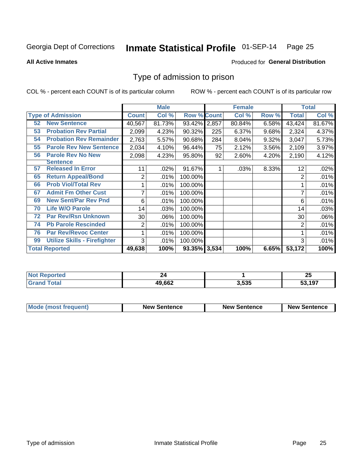#### Inmate Statistical Profile 01-SEP-14 Page 25

**All Active Inmates** 

### Produced for General Distribution

## Type of admission to prison

COL % - percent each COUNT is of its particular column

|    |                                     |              | <b>Male</b> |                    |     | <b>Female</b> |       |              | <b>Total</b> |
|----|-------------------------------------|--------------|-------------|--------------------|-----|---------------|-------|--------------|--------------|
|    | <b>Type of Admission</b>            | <b>Count</b> | Col %       | <b>Row % Count</b> |     | Col %         | Row % | <b>Total</b> | Col %        |
| 52 | <b>New Sentence</b>                 | 40,567       | 81.73%      | 93.42% 2,857       |     | 80.84%        | 6.58% | 43,424       | 81.67%       |
| 53 | <b>Probation Rev Partial</b>        | 2,099        | 4.23%       | 90.32%             | 225 | 6.37%         | 9.68% | 2,324        | 4.37%        |
| 54 | <b>Probation Rev Remainder</b>      | 2,763        | 5.57%       | 90.68%             | 284 | 8.04%         | 9.32% | 3,047        | 5.73%        |
| 55 | <b>Parole Rev New Sentence</b>      | 2,034        | 4.10%       | 96.44%             | 75  | 2.12%         | 3.56% | 2,109        | 3.97%        |
| 56 | <b>Parole Rev No New</b>            | 2,098        | 4.23%       | 95.80%             | 92  | 2.60%         | 4.20% | 2,190        | 4.12%        |
|    | Sentence                            |              |             |                    |     |               |       |              |              |
| 57 | <b>Released In Error</b>            | 11           | .02%        | 91.67%             |     | .03%          | 8.33% | 12           | .02%         |
| 65 | <b>Return Appeal/Bond</b>           | 2            | .01%        | 100.00%            |     |               |       | 2            | .01%         |
| 66 | <b>Prob Viol/Total Rev</b>          |              | .01%        | 100.00%            |     |               |       |              | .01%         |
| 67 | <b>Admit Fm Other Cust</b>          | 7            | .01%        | 100.00%            |     |               |       | 7            | .01%         |
| 69 | <b>New Sent/Par Rev Pnd</b>         | 6            | .01%        | 100.00%            |     |               |       | 6            | .01%         |
| 70 | <b>Life W/O Parole</b>              | 14           | .03%        | 100.00%            |     |               |       | 14           | .03%         |
| 72 | <b>Par Rev/Rsn Unknown</b>          | 30           | .06%        | 100.00%            |     |               |       | 30           | .06%         |
| 74 | <b>Pb Parole Rescinded</b>          | 2            | .01%        | 100.00%            |     |               |       | 2            | .01%         |
| 76 | <b>Par Rev/Revoc Center</b>         |              | .01%        | 100.00%            |     |               |       |              | .01%         |
| 99 | <b>Utilize Skills - Firefighter</b> | 3            | .01%        | 100.00%            |     |               |       | 3            | .01%         |
|    | <b>Total Reported</b>               | 49,638       | 100%        | 93.35% 3,534       |     | 100%          | 6.65% | 53,172       | 100%         |

| วrteo<br>NC |        |       | יפ<br>ΔJ |
|-------------|--------|-------|----------|
| Gr          | 49,662 | 3,535 | 53 197   |

| <b>Mode (most frequent)</b> | <b>New Sentence</b> | <b>New Sentence</b> | <b>New Sentence</b> |
|-----------------------------|---------------------|---------------------|---------------------|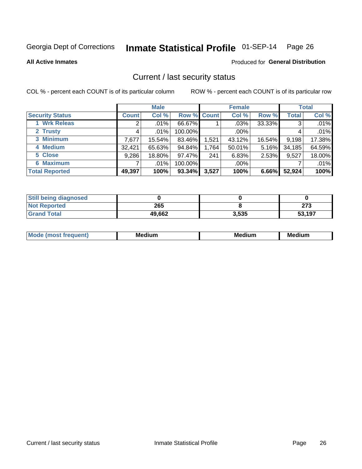## Inmate Statistical Profile 01-SEP-14 Page 26

**All Active Inmates** 

### Produced for General Distribution

## Current / last security status

COL % - percent each COUNT is of its particular column

|                        |              | <b>Male</b> |                    |       | <b>Female</b> |        |              | <b>Total</b> |
|------------------------|--------------|-------------|--------------------|-------|---------------|--------|--------------|--------------|
| <b>Security Status</b> | <b>Count</b> | Col %       | <b>Row % Count</b> |       | Col %         | Row %  | <b>Total</b> | Col %        |
| 1 Wrk Releas           | 2            | $.01\%$     | 66.67%             |       | $.03\%$       | 33.33% | 3            | .01%         |
| 2 Trusty               |              | $.01\%$     | 100.00%            |       | $.00\%$       |        |              | .01%         |
| 3 Minimum              | 7,677        | 15.54%      | 83.46%             | 1,521 | 43.12%        | 16.54% | 9,198        | 17.38%       |
| 4 Medium               | 32,421       | 65.63%      | 94.84%             | 1,764 | 50.01%        | 5.16%  | 34,185       | 64.59%       |
| 5 Close                | 9,286        | 18.80%      | 97.47%             | 241   | 6.83%         | 2.53%  | 9,527        | 18.00%       |
| <b>6 Maximum</b>       |              | $.01\%$     | 100.00%            |       | $.00\%$       |        |              | .01%         |
| <b>Total Reported</b>  | 49,397       | 100%        | 93.34%             | 3,527 | 100%          | 6.66%  | 52,924       | 100%         |

| <b>Still being diagnosed</b> |        |       |        |
|------------------------------|--------|-------|--------|
| <b>Not Reported</b>          | 265    |       | 072    |
| <b>Grand Total</b>           | 49,662 | 3,535 | 53.197 |

| <b>Mo</b><br>ети | M.<br>. .<br>dium | M٢<br>. | <br><b>Medium</b> |
|------------------|-------------------|---------|-------------------|
|                  |                   |         |                   |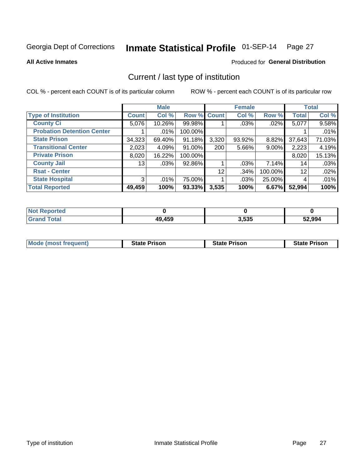#### Inmate Statistical Profile 01-SEP-14 Page 27

**All Active Inmates** 

### Produced for General Distribution

## Current / last type of institution

COL % - percent each COUNT is of its particular column

|                                   |              | <b>Male</b> |             |       | <b>Female</b> |          |              | <b>Total</b> |
|-----------------------------------|--------------|-------------|-------------|-------|---------------|----------|--------------|--------------|
| <b>Type of Institution</b>        | <b>Count</b> | Col %       | Row % Count |       | Col %         | Row %    | <b>Total</b> | Col %        |
| <b>County Ci</b>                  | 5,076        | 10.26%      | 99.98%      |       | .03%          | $.02\%$  | 5,077        | 9.58%        |
| <b>Probation Detention Center</b> |              | .01%        | 100.00%     |       |               |          |              | .01%         |
| <b>State Prison</b>               | 34,323       | 69.40%      | 91.18%      | 3,320 | $93.92\%$     | $8.82\%$ | 37,643       | 71.03%       |
| <b>Transitional Center</b>        | 2,023        | 4.09%       | $91.00\%$   | 200   | $5.66\%$      | $9.00\%$ | 2,223        | 4.19%        |
| <b>Private Prison</b>             | 8,020        | 16.22%      | 100.00%     |       |               |          | 8,020        | 15.13%       |
| <b>County Jail</b>                | 13           | .03%        | 92.86%      |       | $.03\%$       | $7.14\%$ | 14           | .03%         |
| <b>Rsat - Center</b>              |              |             |             | 12    | .34%          | 100.00%  | 12           | .02%         |
| <b>State Hospital</b>             | 3            | .01%        | 75.00%      |       | $.03\%$       | 25.00%   | 4            | .01%         |
| <b>Total Reported</b>             | 49,459       | 100%        | 93.33%      | 3,535 | 100%          | 6.67%    | 52,994       | 100%         |

| oorted<br><b>NOT</b> |        |       |        |
|----------------------|--------|-------|--------|
| `otal<br><b>Grat</b> | .9,459 | 3,535 | 52,994 |

| Mode (most frequent) | <b>State Prison</b> | <b>State Prison</b> | <b>State Prison</b> |
|----------------------|---------------------|---------------------|---------------------|
|                      |                     |                     |                     |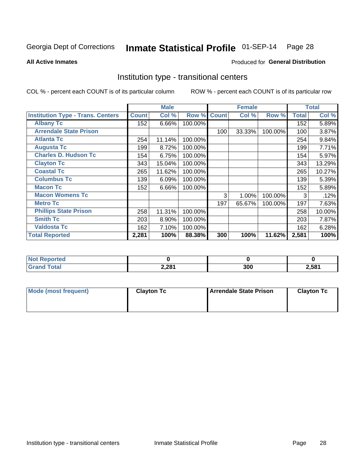#### Inmate Statistical Profile 01-SEP-14 Page 28

**All Active Inmates** 

### Produced for General Distribution

## Institution type - transitional centers

COL % - percent each COUNT is of its particular column

|                                          |              | <b>Male</b> |         |              | <b>Female</b> |         |              | <b>Total</b> |
|------------------------------------------|--------------|-------------|---------|--------------|---------------|---------|--------------|--------------|
| <b>Institution Type - Trans. Centers</b> | <b>Count</b> | Col %       | Row %   | <b>Count</b> | Col %         | Row %   | <b>Total</b> | Col %        |
| <b>Albany Tc</b>                         | 152          | 6.66%       | 100.00% |              |               |         | 152          | 5.89%        |
| <b>Arrendale State Prison</b>            |              |             |         | 100          | 33.33%        | 100.00% | 100          | 3.87%        |
| <b>Atlanta Tc</b>                        | 254          | 11.14%      | 100.00% |              |               |         | 254          | 9.84%        |
| <b>Augusta Tc</b>                        | 199          | 8.72%       | 100.00% |              |               |         | 199          | 7.71%        |
| <b>Charles D. Hudson Tc</b>              | 154          | 6.75%       | 100.00% |              |               |         | 154          | 5.97%        |
| <b>Clayton Tc</b>                        | 343          | 15.04%      | 100.00% |              |               |         | 343          | 13.29%       |
| <b>Coastal Tc</b>                        | 265          | 11.62%      | 100.00% |              |               |         | 265          | 10.27%       |
| <b>Columbus Tc</b>                       | 139          | 6.09%       | 100.00% |              |               |         | 139          | 5.39%        |
| <b>Macon Tc</b>                          | 152          | 6.66%       | 100.00% |              |               |         | 152          | 5.89%        |
| <b>Macon Womens Tc</b>                   |              |             |         | 3            | 1.00%         | 100.00% | 3            | .12%         |
| <b>Metro Tc</b>                          |              |             |         | 197          | 65.67%        | 100.00% | 197          | 7.63%        |
| <b>Phillips State Prison</b>             | 258          | 11.31%      | 100.00% |              |               |         | 258          | 10.00%       |
| <b>Smith Tc</b>                          | 203          | 8.90%       | 100.00% |              |               |         | 203          | 7.87%        |
| <b>Valdosta Tc</b>                       | 162          | 7.10%       | 100.00% |              |               |         | 162          | 6.28%        |
| <b>Total Reported</b>                    | 2,281        | 100%        | 88.38%  | 300          | 100%          | 11.62%  | 2,581        | 100%         |

| rted<br><b>NOT</b> |       |     |       |
|--------------------|-------|-----|-------|
|                    | 2,281 | 300 | ∠,581 |

| Mode (most frequent) | <b>Clayton Tc</b> | Arrendale State Prison | <b>Clayton Tc</b> |
|----------------------|-------------------|------------------------|-------------------|
|                      |                   |                        |                   |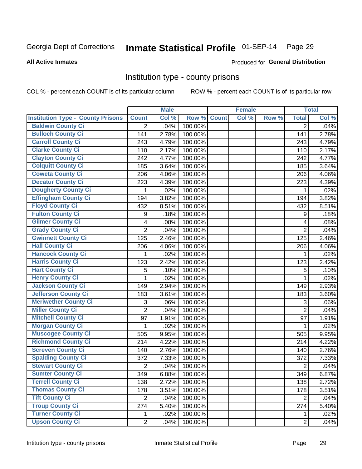## Inmate Statistical Profile 01-SEP-14 Page 29

### **All Active Inmates**

## **Produced for General Distribution**

## Institution type - county prisons

COL % - percent each COUNT is of its particular column

|                                          |                         | <b>Male</b> |         |              | <b>Female</b> |       |                           | <b>Total</b> |
|------------------------------------------|-------------------------|-------------|---------|--------------|---------------|-------|---------------------------|--------------|
| <b>Institution Type - County Prisons</b> | <b>Count</b>            | Col %       | Row %   | <b>Count</b> | Col %         | Row % | <b>Total</b>              | Col %        |
| <b>Baldwin County Ci</b>                 | $\overline{2}$          | .04%        | 100.00% |              |               |       | $\overline{2}$            | .04%         |
| <b>Bulloch County Ci</b>                 | 141                     | 2.78%       | 100.00% |              |               |       | 141                       | 2.78%        |
| <b>Carroll County Ci</b>                 | 243                     | 4.79%       | 100.00% |              |               |       | 243                       | 4.79%        |
| <b>Clarke County Ci</b>                  | 110                     | 2.17%       | 100.00% |              |               |       | 110                       | 2.17%        |
| <b>Clayton County Ci</b>                 | 242                     | 4.77%       | 100.00% |              |               |       | 242                       | 4.77%        |
| <b>Colquitt County Ci</b>                | 185                     | 3.64%       | 100.00% |              |               |       | 185                       | 3.64%        |
| <b>Coweta County Ci</b>                  | 206                     | 4.06%       | 100.00% |              |               |       | 206                       | 4.06%        |
| <b>Decatur County Ci</b>                 | 223                     | 4.39%       | 100.00% |              |               |       | 223                       | 4.39%        |
| <b>Dougherty County Ci</b>               | 1                       | .02%        | 100.00% |              |               |       | 1                         | .02%         |
| <b>Effingham County Ci</b>               | 194                     | 3.82%       | 100.00% |              |               |       | 194                       | 3.82%        |
| <b>Floyd County Ci</b>                   | 432                     | 8.51%       | 100.00% |              |               |       | 432                       | 8.51%        |
| <b>Fulton County Ci</b>                  | 9                       | .18%        | 100.00% |              |               |       | 9                         | .18%         |
| <b>Gilmer County Ci</b>                  | $\overline{\mathbf{4}}$ | .08%        | 100.00% |              |               |       | 4                         | .08%         |
| <b>Grady County Ci</b>                   | $\overline{c}$          | .04%        | 100.00% |              |               |       | $\overline{2}$            | .04%         |
| <b>Gwinnett County Ci</b>                | 125                     | 2.46%       | 100.00% |              |               |       | 125                       | 2.46%        |
| <b>Hall County Ci</b>                    | 206                     | 4.06%       | 100.00% |              |               |       | 206                       | 4.06%        |
| <b>Hancock County Ci</b>                 | 1                       | .02%        | 100.00% |              |               |       | 1                         | .02%         |
| <b>Harris County Ci</b>                  | 123                     | 2.42%       | 100.00% |              |               |       | 123                       | 2.42%        |
| <b>Hart County Ci</b>                    | 5                       | .10%        | 100.00% |              |               |       | $\mathbf 5$               | .10%         |
| <b>Henry County Ci</b>                   | 1                       | .02%        | 100.00% |              |               |       | 1                         | .02%         |
| <b>Jackson County Ci</b>                 | 149                     | 2.94%       | 100.00% |              |               |       | 149                       | 2.93%        |
| Jefferson County Ci                      | 183                     | 3.61%       | 100.00% |              |               |       | 183                       | 3.60%        |
| <b>Meriwether County Ci</b>              | 3                       | .06%        | 100.00% |              |               |       | $\ensuremath{\mathsf{3}}$ | .06%         |
| <b>Miller County Ci</b>                  | $\overline{2}$          | .04%        | 100.00% |              |               |       | $\overline{2}$            | .04%         |
| <b>Mitchell County Ci</b>                | 97                      | 1.91%       | 100.00% |              |               |       | 97                        | 1.91%        |
| <b>Morgan County Ci</b>                  | 1                       | .02%        | 100.00% |              |               |       | 1                         | .02%         |
| <b>Muscogee County Ci</b>                | 505                     | 9.95%       | 100.00% |              |               |       | 505                       | 9.95%        |
| <b>Richmond County Ci</b>                | 214                     | 4.22%       | 100.00% |              |               |       | 214                       | 4.22%        |
| <b>Screven County Ci</b>                 | 140                     | 2.76%       | 100.00% |              |               |       | 140                       | 2.76%        |
| <b>Spalding County Ci</b>                | 372                     | 7.33%       | 100.00% |              |               |       | 372                       | 7.33%        |
| <b>Stewart County Ci</b>                 | $\mathbf 2$             | .04%        | 100.00% |              |               |       | $\overline{2}$            | .04%         |
| <b>Sumter County Ci</b>                  | 349                     | 6.88%       | 100.00% |              |               |       | 349                       | 6.87%        |
| <b>Terrell County Ci</b>                 | 138                     | 2.72%       | 100.00% |              |               |       | 138                       | 2.72%        |
| <b>Thomas County Ci</b>                  | 178                     | 3.51%       | 100.00% |              |               |       | 178                       | 3.51%        |
| <b>Tift County Ci</b>                    | 2                       | .04%        | 100.00% |              |               |       | $\overline{2}$            | .04%         |
| <b>Troup County Ci</b>                   | 274                     | 5.40%       | 100.00% |              |               |       | 274                       | 5.40%        |
| <b>Turner County Ci</b>                  | 1                       | .02%        | 100.00% |              |               |       | 1                         | .02%         |
| <b>Upson County Ci</b>                   | $\overline{2}$          | .04%        | 100.00% |              |               |       | $\overline{2}$            | .04%         |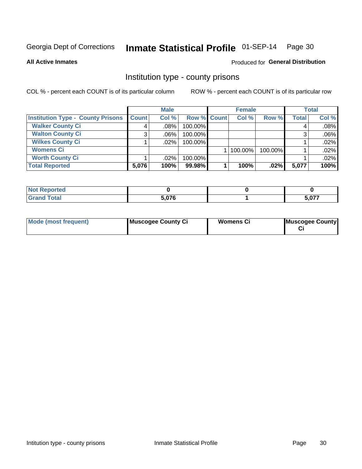## Inmate Statistical Profile 01-SEP-14 Page 30

**All Active Inmates** 

## **Produced for General Distribution**

## Institution type - county prisons

COL % - percent each COUNT is of its particular column

|                                          |              | <b>Male</b> |             | <b>Female</b> |              |         | <b>Total</b> |         |
|------------------------------------------|--------------|-------------|-------------|---------------|--------------|---------|--------------|---------|
| <b>Institution Type - County Prisons</b> | <b>Count</b> | Col%        | Row % Count |               | Col %        | Row %   | <b>Total</b> | Col %   |
| <b>Walker County Ci</b>                  | 4            | $.08\%$     | 100.00%     |               |              |         | 4            | .08%    |
| <b>Walton County Ci</b>                  | 3            | $.06\%$     | 100.00%     |               |              |         |              | $.06\%$ |
| <b>Wilkes County Ci</b>                  |              | $.02\%$     | 100.00%     |               |              |         |              | .02%    |
| <b>Womens Ci</b>                         |              |             |             |               | $ 100.00\% $ | 100.00% |              | .02%    |
| <b>Worth County Ci</b>                   |              | $.02\%$     | 100.00%     |               |              |         |              | .02%    |
| <b>Total Reported</b>                    | 5,076        | 100%        | 99.98%      |               | 100%         | $.02\%$ | 5,077        | 100%    |

| ported<br><b>NOT</b> |       |       |
|----------------------|-------|-------|
| <b>otal</b>          | 5,076 | 5,077 |

| <b>Mode (most frequent)</b> | Muscogee County Ci | <b>Womens Ci</b> | Muscogee County |
|-----------------------------|--------------------|------------------|-----------------|
|-----------------------------|--------------------|------------------|-----------------|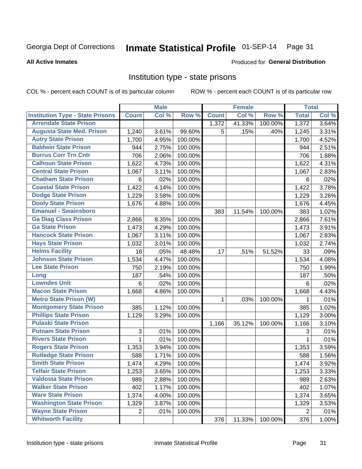#### Inmate Statistical Profile 01-SEP-14 Page 31

### **All Active Inmates**

### Produced for General Distribution

## Institution type - state prisons

COL % - percent each COUNT is of its particular column

|                                         |                | <b>Male</b> |         |              | <b>Female</b> |         | <b>Total</b>   |       |
|-----------------------------------------|----------------|-------------|---------|--------------|---------------|---------|----------------|-------|
| <b>Institution Type - State Prisons</b> | <b>Count</b>   | Col %       | Row %   | <b>Count</b> | Col %         | Row %   | <b>Total</b>   | Col % |
| <b>Arrendale State Prison</b>           |                |             |         | 1,372        | 41.33%        | 100.00% | 1,372          | 3.64% |
| <b>Augusta State Med. Prison</b>        | 1,240          | 3.61%       | 99.60%  | 5            | .15%          | .40%    | 1,245          | 3.31% |
| <b>Autry State Prison</b>               | 1,700          | 4.95%       | 100.00% |              |               |         | 1,700          | 4.52% |
| <b>Baldwin State Prison</b>             | 944            | 2.75%       | 100.00% |              |               |         | 944            | 2.51% |
| <b>Burrus Corr Trn Cntr</b>             | 706            | 2.06%       | 100.00% |              |               |         | 706            | 1.88% |
| <b>Calhoun State Prison</b>             | 1,622          | 4.73%       | 100.00% |              |               |         | 1,622          | 4.31% |
| <b>Central State Prison</b>             | 1,067          | 3.11%       | 100.00% |              |               |         | 1,067          | 2.83% |
| <b>Chatham State Prison</b>             | 6              | .02%        | 100.00% |              |               |         | 6              | .02%  |
| <b>Coastal State Prison</b>             | 1,422          | 4.14%       | 100.00% |              |               |         | 1,422          | 3.78% |
| <b>Dodge State Prison</b>               | 1,229          | 3.58%       | 100.00% |              |               |         | 1,229          | 3.26% |
| <b>Dooly State Prison</b>               | 1,676          | 4.88%       | 100.00% |              |               |         | 1,676          | 4.45% |
| <b>Emanuel - Swainsboro</b>             |                |             |         | 383          | 11.54%        | 100.00% | 383            | 1.02% |
| <b>Ga Diag Class Prison</b>             | 2,866          | 8.35%       | 100.00% |              |               |         | 2,866          | 7.61% |
| <b>Ga State Prison</b>                  | 1,473          | 4.29%       | 100.00% |              |               |         | 1,473          | 3.91% |
| <b>Hancock State Prison</b>             | 1,067          | 3.11%       | 100.00% |              |               |         | 1,067          | 2.83% |
| <b>Hays State Prison</b>                | 1,032          | 3.01%       | 100.00% |              |               |         | 1,032          | 2.74% |
| <b>Helms Facility</b>                   | 16             | .05%        | 48.48%  | 17           | .51%          | 51.52%  | 33             | .09%  |
| <b>Johnson State Prison</b>             | 1,534          | 4.47%       | 100.00% |              |               |         | 1,534          | 4.08% |
| <b>Lee State Prison</b>                 | 750            | 2.19%       | 100.00% |              |               |         | 750            | 1.99% |
| Long                                    | 187            | .54%        | 100.00% |              |               |         | 187            | .50%  |
| <b>Lowndes Unit</b>                     | 6              | .02%        | 100.00% |              |               |         | 6              | .02%  |
| <b>Macon State Prison</b>               | 1,668          | 4.86%       | 100.00% |              |               |         | 1,668          | 4.43% |
| <b>Metro State Prison (W)</b>           |                |             |         | 1            | .03%          | 100.00% | 1              | .01%  |
| <b>Montgomery State Prison</b>          | 385            | 1.12%       | 100.00% |              |               |         | 385            | 1.02% |
| <b>Phillips State Prison</b>            | 1,129          | 3.29%       | 100.00% |              |               |         | 1,129          | 3.00% |
| <b>Pulaski State Prison</b>             |                |             |         | 1,166        | 35.12%        | 100.00% | 1,166          | 3.10% |
| <b>Putnam State Prison</b>              | 3              | .01%        | 100.00% |              |               |         | 3              | .01%  |
| <b>Rivers State Prison</b>              | 1              | .01%        | 100.00% |              |               |         | 1              | .01%  |
| <b>Rogers State Prison</b>              | 1,353          | 3.94%       | 100.00% |              |               |         | 1,353          | 3.59% |
| <b>Rutledge State Prison</b>            | 588            | 1.71%       | 100.00% |              |               |         | 588            | 1.56% |
| <b>Smith State Prison</b>               | 1,474          | 4.29%       | 100.00% |              |               |         | 1,474          | 3.92% |
| <b>Telfair State Prison</b>             | 1,253          | 3.65%       | 100.00% |              |               |         | 1,253          | 3.33% |
| <b>Valdosta State Prison</b>            | 989            | 2.88%       | 100.00% |              |               |         | 989            | 2.63% |
| <b>Walker State Prison</b>              | 402            | 1.17%       | 100.00% |              |               |         | 402            | 1.07% |
| <b>Ware State Prison</b>                | 1,374          | 4.00%       | 100.00% |              |               |         | 1,374          | 3.65% |
| <b>Washington State Prison</b>          | 1,329          | 3.87%       | 100.00% |              |               |         | 1,329          | 3.53% |
| <b>Wayne State Prison</b>               | $\overline{2}$ | .01%        | 100.00% |              |               |         | $\overline{2}$ | .01%  |
| <b>Whitworth Facility</b>               |                |             |         | 376          | 11.33%        | 100.00% | 376            | 1.00% |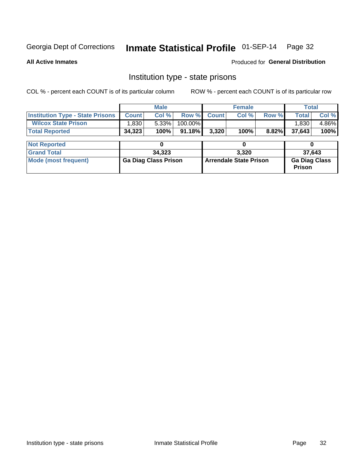## Inmate Statistical Profile 01-SEP-14 Page 32

**All Active Inmates** 

Produced for General Distribution

## Institution type - state prisons

COL % - percent each COUNT is of its particular column

|                                         |                             | <b>Male</b> |                               |              | <b>Female</b> |                                       |              | <b>Total</b> |  |
|-----------------------------------------|-----------------------------|-------------|-------------------------------|--------------|---------------|---------------------------------------|--------------|--------------|--|
| <b>Institution Type - State Prisons</b> | <b>Count</b>                | Col %       | Row %                         | <b>Count</b> | Col %         | Row %                                 | <b>Total</b> | Col %        |  |
| <b>Wilcox State Prison</b>              | 1,830                       | 5.33%       | 100.00%                       |              |               |                                       | 1,830        | 4.86%        |  |
| <b>Total Reported</b>                   | 34,323                      | 100%        | $91.18\%$                     | 3,320        | 100%          | 8.82%                                 | 37,643       | 100%         |  |
|                                         |                             |             |                               |              |               |                                       |              |              |  |
| <b>Not Reported</b>                     |                             |             |                               | 0            |               |                                       |              |              |  |
| <b>Grand Total</b>                      |                             | 34,323      |                               | 3.320        |               |                                       | 37,643       |              |  |
| <b>Mode (most frequent)</b>             | <b>Ga Diag Class Prison</b> |             | <b>Arrendale State Prison</b> |              |               | <b>Ga Diag Class</b><br><b>Prison</b> |              |              |  |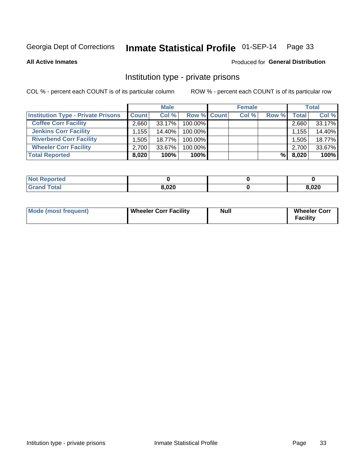## Inmate Statistical Profile 01-SEP-14 Page 33

**All Active Inmates** 

## **Produced for General Distribution**

## Institution type - private prisons

COL % - percent each COUNT is of its particular column

|                                           | <b>Male</b>        |           | <b>Female</b>      |  |       | <b>Total</b> |       |        |
|-------------------------------------------|--------------------|-----------|--------------------|--|-------|--------------|-------|--------|
| <b>Institution Type - Private Prisons</b> | <b>Count</b>       | Col %     | <b>Row % Count</b> |  | Col % | Row %        | Total | Col %  |
| <b>Coffee Corr Facility</b>               | 2.660              | 33.17%    | 100.00%            |  |       |              | 2,660 | 33.17% |
| <b>Jenkins Corr Facility</b>              | $.155$ $^{\prime}$ | 14.40%    | 100.00%            |  |       |              | 1,155 | 14.40% |
| <b>Riverbend Corr Facility</b>            | .505               | 18.77%    | 100.00%            |  |       |              | 1,505 | 18.77% |
| <b>Wheeler Corr Facility</b>              | 2.700              | $33.67\%$ | 100.00%            |  |       |              | 2,700 | 33.67% |
| <b>Total Reported</b>                     | 8,020              | 100%      | $100\%$            |  |       | %Ⅰ           | 8,020 | 100%   |

| 'Not<br><b>Reported</b> |       |      |
|-------------------------|-------|------|
| <b>Total</b>            | 8,020 | ,020 |

| <b>Mode (most frequent)</b> | <b>Wheeler Corr Facility</b> | Null | <b>Wheeler Corr</b><br>Facility |
|-----------------------------|------------------------------|------|---------------------------------|
|                             |                              |      |                                 |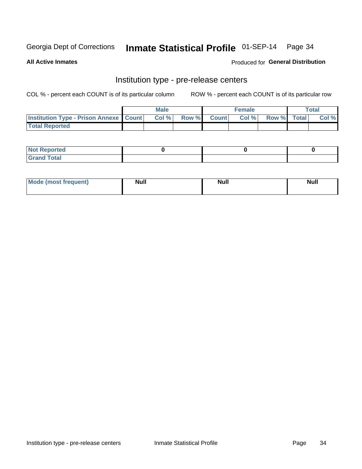## Inmate Statistical Profile 01-SEP-14 Page 34

**All Active Inmates** 

Produced for General Distribution

## Institution type - pre-release centers

COL % - percent each COUNT is of its particular column

|                                                   | <b>Male</b> |      |  | <b>Female</b> |      |             | <b>Total</b> |       |  |
|---------------------------------------------------|-------------|------|--|---------------|------|-------------|--------------|-------|--|
| <b>Institution Type - Prison Annexe   Count  </b> |             | Col% |  | Row % Count   | Col% | Row % Total |              | Col % |  |
| <b>Total Reported</b>                             |             |      |  |               |      |             |              |       |  |

| <b>Reported</b><br>I NOT |  |  |
|--------------------------|--|--|
| <b>Total</b><br>$C$ ren  |  |  |

| <b>Mode</b>     | <b>Null</b> | <b>Null</b> | <b>Null</b> |
|-----------------|-------------|-------------|-------------|
| most frequent). |             |             |             |
|                 |             |             |             |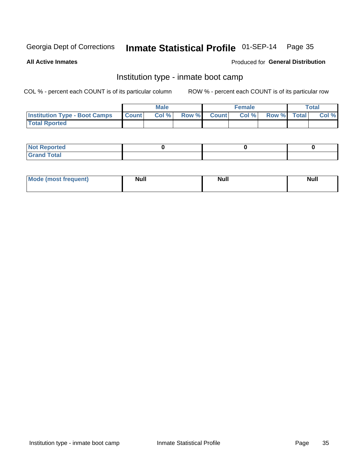## Inmate Statistical Profile 01-SEP-14 Page 35

**All Active Inmates** 

### Produced for General Distribution

## Institution type - inmate boot camp

COL % - percent each COUNT is of its particular column

|                                      |                  | <b>Male</b> |              |              | <b>Female</b> |             | <b>Total</b> |
|--------------------------------------|------------------|-------------|--------------|--------------|---------------|-------------|--------------|
| <b>Institution Type - Boot Camps</b> | <b>I</b> Count I | Col %       | <b>Row %</b> | <b>Count</b> | Col %         | Row % Total | Col %        |
| <b>Total Rported</b>                 |                  |             |              |              |               |             |              |

| <b>Not Reported</b>            |  |  |
|--------------------------------|--|--|
| <b>Total</b><br>C <sub>r</sub> |  |  |

| <b>I Mode (most frequent)</b> | <b>Null</b> | <b>Null</b> | <b>Null</b> |
|-------------------------------|-------------|-------------|-------------|
|                               |             |             |             |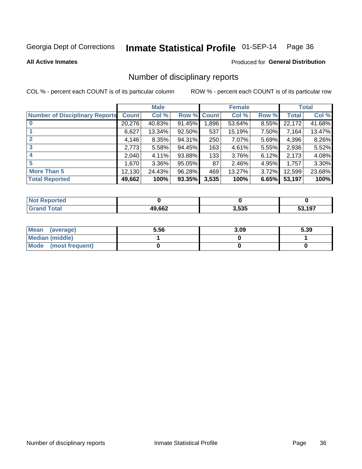## Inmate Statistical Profile 01-SEP-14 Page 36

### **All Active Inmates**

## **Produced for General Distribution**

## Number of disciplinary reports

COL % - percent each COUNT is of its particular column

|                                       |              | <b>Male</b> |        |       | <b>Female</b> |          |              | <b>Total</b> |
|---------------------------------------|--------------|-------------|--------|-------|---------------|----------|--------------|--------------|
| <b>Number of Disciplinary Reports</b> | <b>Count</b> | Col %       | Row %  | Count | Col %         | Row %    | <b>Total</b> | Col %        |
| $\bf{0}$                              | 20,276       | 40.83%      | 91.45% | 1,896 | 53.64%        | 8.55%    | 22,172       | 41.68%       |
|                                       | 6,627        | 13.34%      | 92.50% | 537   | 15.19%        | 7.50%    | 7,164        | 13.47%       |
| $\mathbf{2}$                          | 4,146        | $8.35\%$    | 94.31% | 250   | 7.07%         | 5.69%    | 4,396        | 8.26%        |
| 3                                     | 2,773        | 5.58%       | 94.45% | 163   | 4.61%         | $5.55\%$ | 2,936        | 5.52%        |
| 4                                     | 2,040        | 4.11%       | 93.88% | 133   | 3.76%         | 6.12%    | 2,173        | 4.08%        |
| 5                                     | 1,670        | $3.36\%$    | 95.05% | 87    | 2.46%         | 4.95%    | 1,757        | 3.30%        |
| <b>More Than 5</b>                    | 12,130       | 24.43%      | 96.28% | 469   | 13.27%        | 3.72%    | 12,599       | 23.68%       |
| <b>Total Reported</b>                 | 49,662       | 100%        | 93.35% | 3,535 | 100%          | 6.65%    | 53,197       | 100%         |

| วrted<br>NO. |        |       |      |
|--------------|--------|-------|------|
| <b>Total</b> | 49,662 | 3,535 | .197 |

| Mean (average)       | 5.56 | 3.09 | 5.39 |
|----------------------|------|------|------|
| Median (middle)      |      |      |      |
| Mode (most frequent) |      |      |      |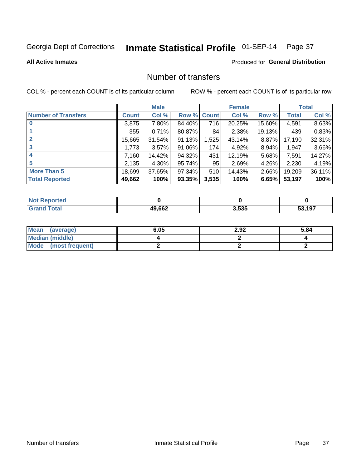# Inmate Statistical Profile 01-SEP-14 Page 37

#### **All Active Inmates**

### **Produced for General Distribution**

# Number of transfers

COL % - percent each COUNT is of its particular column

|                            |         | <b>Male</b> |        |              | <b>Female</b> |          |              | <b>Total</b> |
|----------------------------|---------|-------------|--------|--------------|---------------|----------|--------------|--------------|
| <b>Number of Transfers</b> | Count l | Col %       | Row %  | <b>Count</b> | Col %         | Row %    | <b>Total</b> | Col %        |
|                            | 3,875   | 7.80%       | 84.40% | 716          | 20.25%        | 15.60%   | 4,591        | 8.63%        |
|                            | 355     | 0.71%       | 80.87% | 84           | 2.38%         | 19.13%   | 439          | 0.83%        |
| $\mathbf{2}$               | 15,665  | 31.54%      | 91.13% | 1,525        | 43.14%        | 8.87%    | 17,190       | 32.31%       |
| 3                          | 1,773   | 3.57%       | 91.06% | 174          | 4.92%         | 8.94%    | 1,947        | 3.66%        |
| 4                          | 7,160   | 14.42%      | 94.32% | 431          | 12.19%        | 5.68%    | 7,591        | 14.27%       |
| 5                          | 2,135   | $4.30\%$    | 95.74% | 95           | 2.69%         | 4.26%    | 2,230        | 4.19%        |
| <b>More Than 5</b>         | 18,699  | 37.65%      | 97.34% | 510          | 14.43%        | $2.66\%$ | 19,209       | 36.11%       |
| <b>Total Reported</b>      | 49,662  | 100%        | 93.35% | 3,535        | 100%          | 6.65%    | 53,197       | 100%         |

| วrted<br>NO. |        |       |      |
|--------------|--------|-------|------|
| <b>Total</b> | 49,662 | 3,535 | .197 |

| Mean (average)         | 6.05 | 2.92 | 5.84 |
|------------------------|------|------|------|
| <b>Median (middle)</b> |      |      |      |
| Mode (most frequent)   |      |      |      |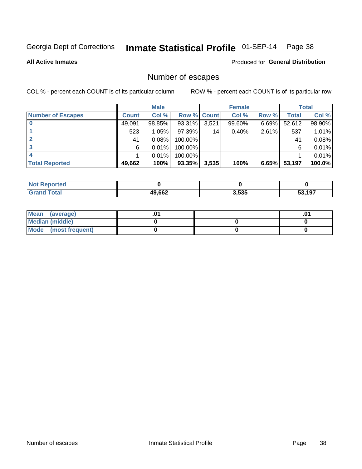# Inmate Statistical Profile 01-SEP-14 Page 38

**All Active Inmates** 

**Produced for General Distribution** 

# Number of escapes

COL % - percent each COUNT is of its particular column

|                          |              | <b>Male</b> |                    |       | <b>Female</b> |          |        | <b>Total</b> |
|--------------------------|--------------|-------------|--------------------|-------|---------------|----------|--------|--------------|
| <b>Number of Escapes</b> | <b>Count</b> | Col %       | <b>Row % Count</b> |       | Col %         | Row %    | Total  | Col %        |
|                          | 49,091       | 98.85%      | 93.31%             | 3,521 | 99.60%        | $6.69\%$ | 52,612 | 98.90%       |
|                          | 523          | 1.05%       | $97.39\%$          | 14    | 0.40%         | 2.61%    | 537    | 1.01%        |
|                          | 41           | 0.08%       | 100.00%            |       |               |          | 41     | 0.08%        |
|                          | 6.           | 0.01%       | $100.00\%$         |       |               |          | 6      | 0.01%        |
|                          |              | 0.01%       | 100.00%            |       |               |          |        | 0.01%        |
| <b>Total Reported</b>    | 49,662       | 100%        | $93.35\%$          | 3,535 | 100%          | 6.65%    | 53,197 | 100.0%       |

| <b>Not Reported</b> |        |       |      |
|---------------------|--------|-------|------|
| <b>Total</b>        | 49,662 | 3,535 | .197 |

| Mean (average)       |  |  |
|----------------------|--|--|
| Median (middle)      |  |  |
| Mode (most frequent) |  |  |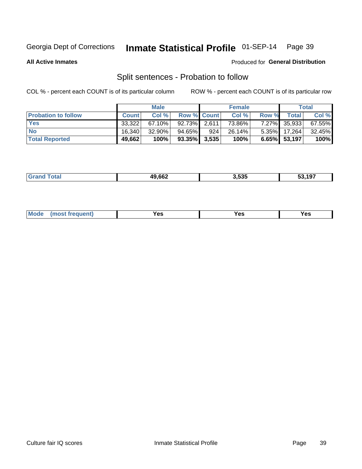#### Inmate Statistical Profile 01-SEP-14 Page 39

**All Active Inmates** 

#### Produced for General Distribution

# Split sentences - Probation to follow

COL % - percent each COUNT is of its particular column

|                            |              | <b>Male</b> |                    |     | <b>Female</b> |              |                 | <b>Total</b> |
|----------------------------|--------------|-------------|--------------------|-----|---------------|--------------|-----------------|--------------|
| <b>Probation to follow</b> | <b>Count</b> | Col%        | <b>Row % Count</b> |     | Col %         | <b>Row %</b> | <b>Total</b> i  | Col %        |
| <b>Yes</b>                 | 33.322       | $67.10\%$   | $92.73\%$ 2.611    |     | 73.86%        | $7.27\%$     | 35,933          | 67.55%       |
| <b>No</b>                  | 16.340       | $32.90\%$   | 94.65%             | 924 | 26.14%        | $5.35\%$     | 17.264          | 32.45%       |
| <b>Total Reported</b>      | 49,662       | 100%        | $93.35\%$ 3,535    |     | 100%          |              | $6.65\%$ 53,197 | 100%         |

| 49,662 | .<br>3.535 | ,197<br>JJ. |
|--------|------------|-------------|
|        |            |             |

| M<br>reauent)<br>/٥<br>$\sim$<br>v.,<br>.<br>w<br>$\cdot$ - $\cdot$ |
|---------------------------------------------------------------------|
|---------------------------------------------------------------------|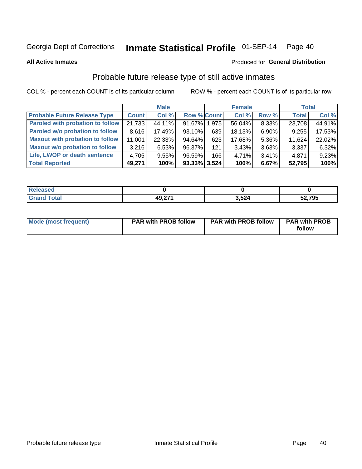#### Inmate Statistical Profile 01-SEP-14 Page 40

**All Active Inmates** 

#### Produced for General Distribution

# Probable future release type of still active inmates

COL % - percent each COUNT is of its particular column

|                                         |              | <b>Male</b> |                 |     | <b>Female</b> |          | <b>Total</b> |        |
|-----------------------------------------|--------------|-------------|-----------------|-----|---------------|----------|--------------|--------|
| <b>Probable Future Release Type</b>     | <b>Count</b> | Col %       | Row % Count     |     | Col %         | Row %    | <b>Total</b> | Col %  |
| <b>Paroled with probation to follow</b> | 21,733       | 44.11%      | 91.67% 1.975    |     | 56.04%        | 8.33%    | 23,708       | 44.91% |
| Paroled w/o probation to follow         | 8,616        | 17.49%      | 93.10%          | 639 | 18.13%        | 6.90%    | 9,255        | 17.53% |
| <b>Maxout with probation to follow</b>  | 11,001       | 22.33%      | 94.64%          | 623 | 17.68%        | 5.36%    | 11,624       | 22.02% |
| <b>Maxout w/o probation to follow</b>   | 3,216        | 6.53%       | 96.37%          | 121 | 3.43%         | 3.63%    | 3,337        | 6.32%  |
| Life, LWOP or death sentence            | 4,705        | 9.55%       | 96.59%          | 166 | 4.71%         | $3.41\%$ | 4,871        | 9.23%  |
| <b>Total Reported</b>                   | 49,271       | 100%        | $93.33\%$ 3,524 |     | 100%          | 6.67%    | 52,795       | 100%   |

| દાડામા |                |      |        |
|--------|----------------|------|--------|
|        | 10.271<br>TJ.L | 524, | 52,795 |

| Mode (most frequent) | <b>PAR with PROB follow</b> | <b>PAR with PROB follow</b> | <b>PAR with PROB</b><br>follow |
|----------------------|-----------------------------|-----------------------------|--------------------------------|
|                      |                             |                             |                                |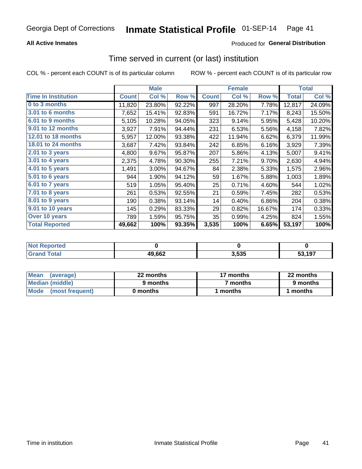### **All Active Inmates**

### **Produced for General Distribution**

## Time served in current (or last) institution

COL % - percent each COUNT is of its particular column

|                            | <b>Male</b>  |        |        | <b>Female</b> |        |        | <b>Total</b> |        |
|----------------------------|--------------|--------|--------|---------------|--------|--------|--------------|--------|
| <b>Time In Institution</b> | <b>Count</b> | Col %  | Row %  | <b>Count</b>  | Col %  | Row %  | Total        | Col %  |
| 0 to 3 months              | 11,820       | 23.80% | 92.22% | 997           | 28.20% | 7.78%  | 12,817       | 24.09% |
| <b>3.01 to 6 months</b>    | 7,652        | 15.41% | 92.83% | 591           | 16.72% | 7.17%  | 8,243        | 15.50% |
| 6.01 to 9 months           | 5,105        | 10.28% | 94.05% | 323           | 9.14%  | 5.95%  | 5,428        | 10.20% |
| 9.01 to 12 months          | 3,927        | 7.91%  | 94.44% | 231           | 6.53%  | 5.56%  | 4,158        | 7.82%  |
| 12.01 to 18 months         | 5,957        | 12.00% | 93.38% | 422           | 11.94% | 6.62%  | 6,379        | 11.99% |
| <b>18.01 to 24 months</b>  | 3,687        | 7.42%  | 93.84% | 242           | 6.85%  | 6.16%  | 3,929        | 7.39%  |
| $2.01$ to 3 years          | 4,800        | 9.67%  | 95.87% | 207           | 5.86%  | 4.13%  | 5,007        | 9.41%  |
| $3.01$ to 4 years          | 2,375        | 4.78%  | 90.30% | 255           | 7.21%  | 9.70%  | 2,630        | 4.94%  |
| 4.01 to 5 years            | 1,491        | 3.00%  | 94.67% | 84            | 2.38%  | 5.33%  | 1,575        | 2.96%  |
| 5.01 to 6 years            | 944          | 1.90%  | 94.12% | 59            | 1.67%  | 5.88%  | 1,003        | 1.89%  |
| 6.01 to 7 years            | 519          | 1.05%  | 95.40% | 25            | 0.71%  | 4.60%  | 544          | 1.02%  |
| 7.01 to 8 years            | 261          | 0.53%  | 92.55% | 21            | 0.59%  | 7.45%  | 282          | 0.53%  |
| 8.01 to 9 years            | 190          | 0.38%  | 93.14% | 14            | 0.40%  | 6.86%  | 204          | 0.38%  |
| 9.01 to 10 years           | 145          | 0.29%  | 83.33% | 29            | 0.82%  | 16.67% | 174          | 0.33%  |
| Over 10 years              | 789          | 1.59%  | 95.75% | 35            | 0.99%  | 4.25%  | 824          | 1.55%  |
| <b>Total Reported</b>      | 49,662       | 100%   | 93.35% | 3,535         | 100%   | 6.65%  | 53,197       | 100%   |

| orted<br><b>Not</b> |        |       |        |
|---------------------|--------|-------|--------|
| otal                | 49,662 | 3,535 | 53.197 |

| <b>Mean</b><br>(average) | 22 months | 17 months           | 22 months |  |
|--------------------------|-----------|---------------------|-----------|--|
| Median (middle)          | 9 months  | <sup>7</sup> months | 9 months  |  |
| Mode<br>(most frequent)  | 0 months  | months              | ∖ months  |  |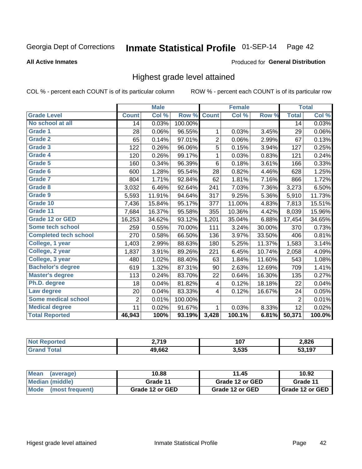#### Inmate Statistical Profile 01-SEP-14 Page 42

#### **All Active Inmates**

#### Produced for General Distribution

## Highest grade level attained

COL % - percent each COUNT is of its particular column

|                              |                | <b>Male</b>                |                      |                | <b>Female</b> |        |                | <b>Total</b> |
|------------------------------|----------------|----------------------------|----------------------|----------------|---------------|--------|----------------|--------------|
| <b>Grade Level</b>           | <b>Count</b>   | $\overline{\text{Col }\%}$ | Row %                | <b>Count</b>   | Col %         | Row %  | <b>Total</b>   | Col %        |
| No school at all             | 14             | 0.03%                      | 100.00%              |                |               |        | 14             | 0.03%        |
| Grade 1                      | 28             | 0.06%                      | $\overline{96.55\%}$ | 1              | 0.03%         | 3.45%  | 29             | 0.06%        |
| <b>Grade 2</b>               | 65             | 0.14%                      | 97.01%               | $\overline{c}$ | 0.06%         | 2.99%  | 67             | 0.13%        |
| <b>Grade 3</b>               | 122            | 0.26%                      | 96.06%               | 5              | 0.15%         | 3.94%  | 127            | 0.25%        |
| Grade 4                      | 120            | 0.26%                      | 99.17%               | 1              | 0.03%         | 0.83%  | 121            | 0.24%        |
| Grade 5                      | 160            | 0.34%                      | 96.39%               | 6              | 0.18%         | 3.61%  | 166            | 0.33%        |
| Grade 6                      | 600            | 1.28%                      | 95.54%               | 28             | 0.82%         | 4.46%  | 628            | 1.25%        |
| Grade 7                      | 804            | 1.71%                      | 92.84%               | 62             | 1.81%         | 7.16%  | 866            | 1.72%        |
| Grade 8                      | 3,032          | 6.46%                      | 92.64%               | 241            | 7.03%         | 7.36%  | 3,273          | 6.50%        |
| Grade 9                      | 5,593          | 11.91%                     | 94.64%               | 317            | 9.25%         | 5.36%  | 5,910          | 11.73%       |
| Grade 10                     | 7,436          | 15.84%                     | 95.17%               | 377            | 11.00%        | 4.83%  | 7,813          | 15.51%       |
| Grade 11                     | 7,684          | 16.37%                     | 95.58%               | 355            | 10.36%        | 4.42%  | 8,039          | 15.96%       |
| <b>Grade 12 or GED</b>       | 16,253         | 34.62%                     | 93.12%               | 1,201          | 35.04%        | 6.88%  | 17,454         | 34.65%       |
| Some tech school             | 259            | 0.55%                      | 70.00%               | 111            | 3.24%         | 30.00% | 370            | 0.73%        |
| <b>Completed tech school</b> | 270            | 0.58%                      | 66.50%               | 136            | 3.97%         | 33.50% | 406            | 0.81%        |
| College, 1 year              | 1,403          | 2.99%                      | 88.63%               | 180            | 5.25%         | 11.37% | 1,583          | 3.14%        |
| College, 2 year              | 1,837          | 3.91%                      | 89.26%               | 221            | 6.45%         | 10.74% | 2,058          | 4.09%        |
| College, 3 year              | 480            | 1.02%                      | 88.40%               | 63             | 1.84%         | 11.60% | 543            | 1.08%        |
| <b>Bachelor's degree</b>     | 619            | 1.32%                      | 87.31%               | 90             | 2.63%         | 12.69% | 709            | 1.41%        |
| <b>Master's degree</b>       | 113            | 0.24%                      | 83.70%               | 22             | 0.64%         | 16.30% | 135            | 0.27%        |
| Ph.D. degree                 | 18             | 0.04%                      | 81.82%               | 4              | 0.12%         | 18.18% | 22             | 0.04%        |
| Law degree                   | 20             | 0.04%                      | 83.33%               | 4              | 0.12%         | 16.67% | 24             | 0.05%        |
| <b>Some medical school</b>   | $\overline{2}$ | 0.01%                      | 100.00%              |                |               |        | $\overline{2}$ | 0.01%        |
| <b>Medical degree</b>        | 11             | 0.02%                      | 91.67%               | 1              | 0.03%         | 8.33%  | 12             | 0.02%        |
| <b>Total Reported</b>        | 46,943         | 100%                       | 93.19%               | 3,428          | 100.1%        | 6.81%  | 50,371         | 100.0%       |

| n 71 N<br>. .<br>- 15 | 107<br>1 V I<br>$-$ | 2,826<br>__ |
|-----------------------|---------------------|-------------|
| $\overline{a}$<br>Лr  | 3,535               | 107         |

| <b>Mean</b><br>(average)       | 10.88           | 11.45           | 10.92           |
|--------------------------------|-----------------|-----------------|-----------------|
| Median (middle)                | Grade 11        | Grade 12 or GED | Grade 11        |
| <b>Mode</b><br>(most frequent) | Grade 12 or GED | Grade 12 or GED | Grade 12 or GED |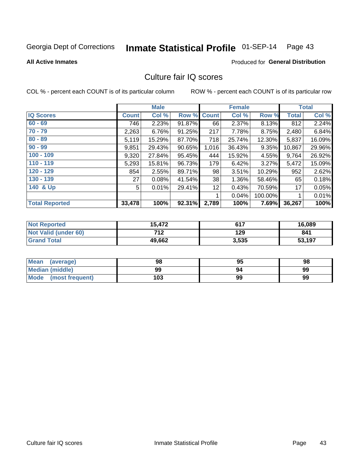# Inmate Statistical Profile 01-SEP-14 Page 43

**All Active Inmates** 

#### **Produced for General Distribution**

# Culture fair IQ scores

COL % - percent each COUNT is of its particular column

|                       |              | <b>Male</b> |        |              | <b>Female</b> |          |              | <b>Total</b> |
|-----------------------|--------------|-------------|--------|--------------|---------------|----------|--------------|--------------|
| <b>IQ Scores</b>      | <b>Count</b> | Col %       | Row %  | <b>Count</b> | Col %         | Row %    | <b>Total</b> | Col %        |
| $60 - 69$             | 746          | 2.23%       | 91.87% | 66           | 2.37%         | 8.13%    | 812          | 2.24%        |
| $70 - 79$             | 2,263        | 6.76%       | 91.25% | 217          | 7.78%         | 8.75%    | 2,480        | 6.84%        |
| $80 - 89$             | 5,119        | 15.29%      | 87.70% | 718          | 25.74%        | 12.30%   | 5,837        | 16.09%       |
| $90 - 99$             | 9,851        | 29.43%      | 90.65% | 1,016        | 36.43%        | $9.35\%$ | 10,867       | 29.96%       |
| $100 - 109$           | 9,320        | 27.84%      | 95.45% | 444          | 15.92%        | 4.55%    | 9,764        | 26.92%       |
| $110 - 119$           | 5,293        | 15.81%      | 96.73% | 179          | 6.42%         | 3.27%    | 5,472        | 15.09%       |
| 120 - 129             | 854          | 2.55%       | 89.71% | 98           | 3.51%         | 10.29%   | 952          | 2.62%        |
| 130 - 139             | 27           | 0.08%       | 41.54% | 38           | 1.36%         | 58.46%   | 65           | 0.18%        |
| 140 & Up              | 5            | 0.01%       | 29.41% | 12           | 0.43%         | 70.59%   | 17           | 0.05%        |
|                       |              |             |        | 1            | 0.04%         | 100.00%  |              | 0.01%        |
| <b>Total Reported</b> | 33,478       | 100%        | 92.31% | 2,789        | 100%          | 7.69%    | 36,267       | 100%         |

| <b>Not Reported</b>  | 15,472 | 617   | 16,089 |
|----------------------|--------|-------|--------|
| Not Valid (under 60) | 712    | 129   | 841    |
| <b>Grand Total</b>   | 49,662 | 3,535 | 53,197 |

| Mean<br>(average)       | 98  | 95 | 98 |
|-------------------------|-----|----|----|
| <b>Median (middle)</b>  | 99  |    | 99 |
| Mode<br>(most frequent) | 103 | 99 | 99 |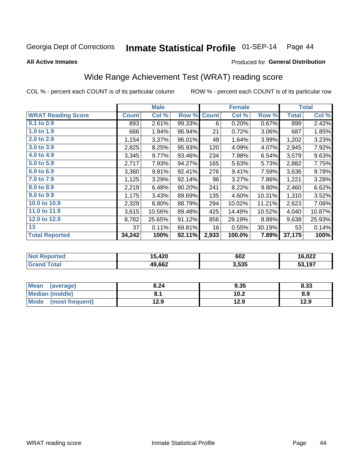# Inmate Statistical Profile 01-SEP-14 Page 44

**All Active Inmates** 

#### Produced for General Distribution

# Wide Range Achievement Test (WRAT) reading score

COL % - percent each COUNT is of its particular column

|                           |              | <b>Male</b> |        |              | <b>Female</b> |        |              | <b>Total</b> |
|---------------------------|--------------|-------------|--------|--------------|---------------|--------|--------------|--------------|
| <b>WRAT Reading Score</b> | <b>Count</b> | Col %       | Row %  | <b>Count</b> | Col %         | Row %  | <b>Total</b> | Col %        |
| $0.1$ to $0.9$            | 893          | 2.61%       | 99.33% | 6            | 0.20%         | 0.67%  | 899          | 2.42%        |
| 1.0 to 1.9                | 666          | 1.94%       | 96.94% | 21           | 0.72%         | 3.06%  | 687          | 1.85%        |
| 2.0 to 2.9                | 1,154        | 3.37%       | 96.01% | 48           | 1.64%         | 3.99%  | 1,202        | 3.23%        |
| 3.0 to 3.9                | 2,825        | 8.25%       | 95.93% | 120          | 4.09%         | 4.07%  | 2,945        | 7.92%        |
| 4.0 to 4.9                | 3,345        | 9.77%       | 93.46% | 234          | 7.98%         | 6.54%  | 3,579        | 9.63%        |
| 5.0 to 5.9                | 2,717        | 7.93%       | 94.27% | 165          | 5.63%         | 5.73%  | 2,882        | 7.75%        |
| 6.0 to 6.9                | 3,360        | 9.81%       | 92.41% | 276          | 9.41%         | 7.59%  | 3,636        | 9.78%        |
| 7.0 to 7.9                | 1,125        | 3.29%       | 92.14% | 96           | 3.27%         | 7.86%  | 1,221        | 3.28%        |
| 8.0 to 8.9                | 2,219        | 6.48%       | 90.20% | 241          | 8.22%         | 9.80%  | 2,460        | 6.62%        |
| 9.0 to 9.9                | 1,175        | 3.43%       | 89.69% | 135          | 4.60%         | 10.31% | 1,310        | 3.52%        |
| 10.0 to 10.9              | 2,329        | 6.80%       | 88.79% | 294          | 10.02%        | 11.21% | 2,623        | 7.06%        |
| 11.0 to 11.9              | 3,615        | 10.56%      | 89.48% | 425          | 14.49%        | 10.52% | 4,040        | 10.87%       |
| 12.0 to 12.9              | 8,782        | 25.65%      | 91.12% | 856          | 29.19%        | 8.88%  | 9,638        | 25.93%       |
| 13                        | 37           | 0.11%       | 69.81% | 16           | 0.55%         | 30.19% | 53           | 0.14%        |
| <b>Total Reported</b>     | 34,242       | 100%        | 92.11% | 2,933        | 100.0%        | 7.89%  | 37,175       | 100%         |

| <b>Not Reported</b>   | 15,420 | 602   | 16,022 |
|-----------------------|--------|-------|--------|
| Total<br><b>Grand</b> | 49,662 | 3,535 | 53,197 |

| <b>Mean</b><br>(average)       | 8.24 | 9.35 | 8.33 |
|--------------------------------|------|------|------|
| <b>Median (middle)</b>         |      | 10.2 | 8.9  |
| <b>Mode</b><br>(most frequent) | l2.9 | 12.9 | 12.9 |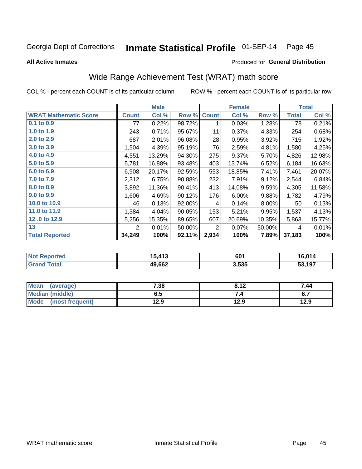#### Inmate Statistical Profile 01-SEP-14 Page 45

**All Active Inmates** 

#### Produced for General Distribution

# Wide Range Achievement Test (WRAT) math score

COL % - percent each COUNT is of its particular column

|                              |              | <b>Male</b> |        |              | <b>Female</b> |        |              | <b>Total</b> |
|------------------------------|--------------|-------------|--------|--------------|---------------|--------|--------------|--------------|
| <b>WRAT Mathematic Score</b> | <b>Count</b> | Col %       | Row %  | <b>Count</b> | Col %         | Row %  | <b>Total</b> | Col %        |
| $0.1$ to $0.9$               | 77           | 0.22%       | 98.72% | 1            | 0.03%         | 1.28%  | 78           | 0.21%        |
| 1.0 to 1.9                   | 243          | 0.71%       | 95.67% | 11           | 0.37%         | 4.33%  | 254          | 0.68%        |
| 2.0 to 2.9                   | 687          | 2.01%       | 96.08% | 28           | 0.95%         | 3.92%  | 715          | 1.92%        |
| 3.0 to 3.9                   | 1,504        | 4.39%       | 95.19% | 76           | 2.59%         | 4.81%  | 1,580        | 4.25%        |
| 4.0 to 4.9                   | 4,551        | 13.29%      | 94.30% | 275          | 9.37%         | 5.70%  | 4,826        | 12.98%       |
| 5.0 to 5.9                   | 5,781        | 16.88%      | 93.48% | 403          | 13.74%        | 6.52%  | 6,184        | 16.63%       |
| 6.0 to 6.9                   | 6,908        | 20.17%      | 92.59% | 553          | 18.85%        | 7.41%  | 7,461        | 20.07%       |
| 7.0 to 7.9                   | 2,312        | 6.75%       | 90.88% | 232          | 7.91%         | 9.12%  | 2,544        | 6.84%        |
| 8.0 to 8.9                   | 3,892        | 11.36%      | 90.41% | 413          | 14.08%        | 9.59%  | 4,305        | 11.58%       |
| 9.0 to 9.9                   | 1,606        | 4.69%       | 90.12% | 176          | 6.00%         | 9.88%  | 1,782        | 4.79%        |
| 10.0 to 10.9                 | 46           | 0.13%       | 92.00% | 4            | 0.14%         | 8.00%  | 50           | 0.13%        |
| 11.0 to 11.9                 | 1,384        | 4.04%       | 90.05% | 153          | 5.21%         | 9.95%  | 1,537        | 4.13%        |
| 12.0 to 12.9                 | 5,256        | 15.35%      | 89.65% | 607          | 20.69%        | 10.35% | 5,863        | 15.77%       |
| 13                           | 2            | 0.01%       | 50.00% | 2            | 0.07%         | 50.00% | 4            | 0.01%        |
| <b>Total Reported</b>        | 34,249       | 100%        | 92.11% | 2,934        | 100%          | 7.89%  | 37,183       | 100%         |

| <b>Not Reported</b>     | 15,413 | 601   | 16,014 |
|-------------------------|--------|-------|--------|
| Total<br><b>Grand 1</b> | 49,662 | 3,535 | 53,197 |

| Mean (average)       | 7.38 | 8.12 | 7.44 |
|----------------------|------|------|------|
| Median (middle)      | ხ. J |      | ס.ו  |
| Mode (most frequent) | 12.9 | 12.9 | 12.9 |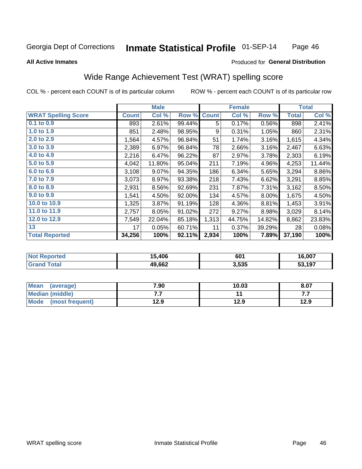#### Inmate Statistical Profile 01-SEP-14 Page 46

#### **All Active Inmates**

### Produced for General Distribution

# Wide Range Achievement Test (WRAT) spelling score

COL % - percent each COUNT is of its particular column

|                            |              | <b>Male</b> |        |              | <b>Female</b> |        |              | <b>Total</b> |
|----------------------------|--------------|-------------|--------|--------------|---------------|--------|--------------|--------------|
| <b>WRAT Spelling Score</b> | <b>Count</b> | Col %       | Row %  | <b>Count</b> | Col %         | Row %  | <b>Total</b> | Col %        |
| $0.1$ to $0.9$             | 893          | 2.61%       | 99.44% | 5            | 0.17%         | 0.56%  | 898          | 2.41%        |
| 1.0 to 1.9                 | 851          | 2.48%       | 98.95% | 9            | 0.31%         | 1.05%  | 860          | 2.31%        |
| 2.0 to 2.9                 | 1,564        | 4.57%       | 96.84% | 51           | 1.74%         | 3.16%  | 1,615        | 4.34%        |
| 3.0 to 3.9                 | 2,389        | 6.97%       | 96.84% | 78           | 2.66%         | 3.16%  | 2,467        | 6.63%        |
| 4.0 to 4.9                 | 2,216        | 6.47%       | 96.22% | 87           | 2.97%         | 3.78%  | 2,303        | 6.19%        |
| 5.0 to 5.9                 | 4,042        | 11.80%      | 95.04% | 211          | 7.19%         | 4.96%  | 4,253        | 11.44%       |
| 6.0 to 6.9                 | 3,108        | 9.07%       | 94.35% | 186          | 6.34%         | 5.65%  | 3,294        | 8.86%        |
| 7.0 to 7.9                 | 3,073        | 8.97%       | 93.38% | 218          | 7.43%         | 6.62%  | 3,291        | 8.85%        |
| 8.0 to 8.9                 | 2,931        | 8.56%       | 92.69% | 231          | 7.87%         | 7.31%  | 3,162        | 8.50%        |
| 9.0 to 9.9                 | 1,541        | 4.50%       | 92.00% | 134          | 4.57%         | 8.00%  | 1,675        | 4.50%        |
| 10.0 to 10.9               | 1,325        | 3.87%       | 91.19% | 128          | 4.36%         | 8.81%  | 1,453        | 3.91%        |
| 11.0 to 11.9               | 2,757        | 8.05%       | 91.02% | 272          | 9.27%         | 8.98%  | 3,029        | 8.14%        |
| 12.0 to 12.9               | 7,549        | 22.04%      | 85.18% | 1,313        | 44.75%        | 14.82% | 8,862        | 23.83%       |
| 13                         | 17           | 0.05%       | 60.71% | 11           | 0.37%         | 39.29% | 28           | 0.08%        |
| <b>Total Reported</b>      | 34,256       | 100%        | 92.11% | 2,934        | 100%          | 7.89%  | 37,190       | 100%         |

| prted<br>NO | ,406   | 601   | 16,007 |
|-------------|--------|-------|--------|
| int         | 49,662 | 3,535 | 53.197 |

| <b>Mean</b><br>(average) | 7.90 | 10.03 | 8.07 |
|--------------------------|------|-------|------|
| Median (middle)          | .    |       | .    |
| Mode (most frequent)     | 12.9 | 12.9  | 12.9 |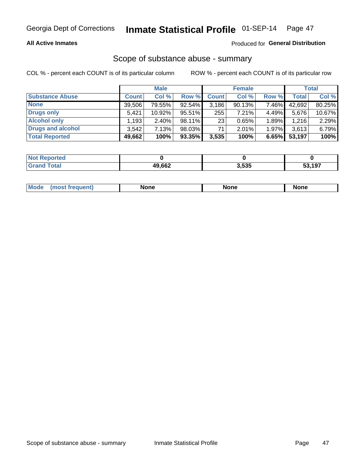#### **All Active Inmates**

#### Produced for General Distribution

# Scope of substance abuse - summary

COL % - percent each COUNT is of its particular column

|                        |              | <b>Male</b> |        |                 | <b>Female</b> |       |        | <b>Total</b> |
|------------------------|--------------|-------------|--------|-----------------|---------------|-------|--------|--------------|
| <b>Substance Abuse</b> | <b>Count</b> | Col %       | Row %  | <b>Count</b>    | Col %         | Row % | Total  | Col %        |
| <b>None</b>            | 39.506       | 79.55%      | 92.54% | 3,186           | 90.13%        | 7.46% | 42,692 | 80.25%       |
| <b>Drugs only</b>      | 5.421        | $10.92\%$   | 95.51% | 255             | 7.21%         | 4.49% | 5,676  | 10.67%       |
| <b>Alcohol only</b>    | ' 193.       | $2.40\%$    | 98.11% | 23 <sub>1</sub> | 0.65%         | 1.89% | 1,216  | 2.29%        |
| Drugs and alcohol      | 3.542        | 7.13%       | 98.03% | 71              | $2.01\%$      | 1.97% | 3,613  | 6.79%        |
| <b>Total Reported</b>  | 49,662       | 100%        | 93.35% | 3,535           | 100%          | 6.65% | 53,197 | 100%         |

| <b>Not Reported</b> |        |       |        |
|---------------------|--------|-------|--------|
| <b>Grand Total</b>  | 49,662 | 3,535 | 53,197 |

| Mode<br><b>None</b><br><b>None</b><br>None<br>nos<br>auenti<br>___<br>$ -$ |
|----------------------------------------------------------------------------|
|----------------------------------------------------------------------------|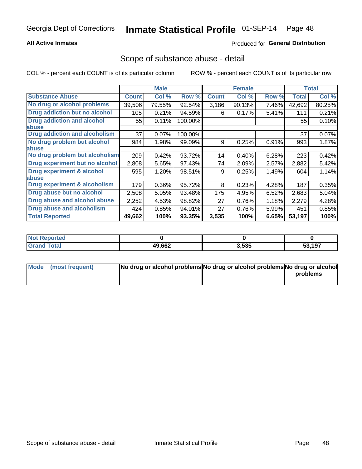### **All Active Inmates**

### **Produced for General Distribution**

### Scope of substance abuse - detail

COL % - percent each COUNT is of its particular column

|                                      |              | <b>Male</b> |         |              | <b>Female</b> |       |        | <b>Total</b> |
|--------------------------------------|--------------|-------------|---------|--------------|---------------|-------|--------|--------------|
| <b>Substance Abuse</b>               | <b>Count</b> | Col %       | Row %   | <b>Count</b> | Col %         | Row % | Total  | Col %        |
| No drug or alcohol problems          | 39,506       | 79.55%      | 92.54%  | 3,186        | 90.13%        | 7.46% | 42,692 | 80.25%       |
| Drug addiction but no alcohol        | 105          | 0.21%       | 94.59%  | 6            | 0.17%         | 5.41% | 111    | 0.21%        |
| <b>Drug addiction and alcohol</b>    | 55           | 0.11%       | 100.00% |              |               |       | 55     | 0.10%        |
| abuse                                |              |             |         |              |               |       |        |              |
| <b>Drug addiction and alcoholism</b> | 37           | 0.07%       | 100.00% |              |               |       | 37     | 0.07%        |
| No drug problem but alcohol          | 984          | 1.98%       | 99.09%  | 9            | 0.25%         | 0.91% | 993    | 1.87%        |
| <b>labuse</b>                        |              |             |         |              |               |       |        |              |
| No drug problem but alcoholism       | 209          | 0.42%       | 93.72%  | 14           | 0.40%         | 6.28% | 223    | 0.42%        |
| Drug experiment but no alcohol       | 2,808        | 5.65%       | 97.43%  | 74           | 2.09%         | 2.57% | 2,882  | 5.42%        |
| <b>Drug experiment &amp; alcohol</b> | 595          | 1.20%       | 98.51%  | 9            | 0.25%         | 1.49% | 604    | 1.14%        |
| abuse                                |              |             |         |              |               |       |        |              |
| Drug experiment & alcoholism         | 179          | 0.36%       | 95.72%  | 8            | 0.23%         | 4.28% | 187    | 0.35%        |
| Drug abuse but no alcohol            | 2,508        | 5.05%       | 93.48%  | 175          | 4.95%         | 6.52% | 2,683  | 5.04%        |
| Drug abuse and alcohol abuse         | 2,252        | 4.53%       | 98.82%  | 27           | 0.76%         | 1.18% | 2,279  | 4.28%        |
| Drug abuse and alcoholism            | 424          | 0.85%       | 94.01%  | 27           | 0.76%         | 5.99% | 451    | 0.85%        |
| <b>Total Reported</b>                | 49,662       | 100%        | 93.35%  | 3,535        | 100%          | 6.65% | 53,197 | 100%         |

| orted<br>NOT |        |       |             |
|--------------|--------|-------|-------------|
| <b>otal</b>  | 49,662 | 3,535 | 53,197<br>. |

| Mode (most frequent) | No drug or alcohol problems No drug or alcohol problems No drug or alcohol |          |
|----------------------|----------------------------------------------------------------------------|----------|
|                      |                                                                            | problems |
|                      |                                                                            |          |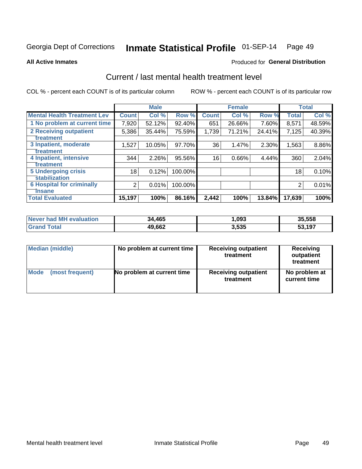# Inmate Statistical Profile 01-SEP-14 Page 49

**All Active Inmates** 

#### **Produced for General Distribution**

# Current / last mental health treatment level

COL % - percent each COUNT is of its particular column

|                                    |                | <b>Male</b> |         |              | <b>Female</b> |        |              | <b>Total</b> |
|------------------------------------|----------------|-------------|---------|--------------|---------------|--------|--------------|--------------|
| <b>Mental Health Treatment Lev</b> | <b>Count</b>   | Col %       | Row %   | <b>Count</b> | Col %         | Row %  | <b>Total</b> | Col %        |
| 1 No problem at current time       | 7,920          | 52.12%      | 92.40%  | 651          | 26.66%        | 7.60%  | 8,571        | 48.59%       |
| 2 Receiving outpatient             | 5,386          | 35.44%      | 75.59%  | 1,739        | 71.21%        | 24.41% | 7,125        | 40.39%       |
| <b>Treatment</b>                   |                |             |         |              |               |        |              |              |
| 3 Inpatient, moderate              | 1,527          | 10.05%      | 97.70%  | 36           | 1.47%         | 2.30%  | 1,563        | 8.86%        |
| <b>Treatment</b>                   |                |             |         |              |               |        |              |              |
| 4 Inpatient, intensive             | 344            | 2.26%       | 95.56%  | 16           | 0.66%         | 4.44%  | 360          | 2.04%        |
| <b>Treatment</b>                   |                |             |         |              |               |        |              |              |
| <b>5 Undergoing crisis</b>         | 18             | 0.12%       | 100.00% |              |               |        | 18           | 0.10%        |
| <b>stabilization</b>               |                |             |         |              |               |        |              |              |
| <b>6 Hospital for criminally</b>   | $\overline{2}$ | 0.01%       | 100.00% |              |               |        | 2            | 0.01%        |
| <b>Tinsane</b>                     |                |             |         |              |               |        |              |              |
| <b>Total Evaluated</b>             | 15,197         | 100%        | 86.16%  | 2,442        | 100%          | 13.84% | 17,639       | 100%         |

| Never had MH evaluation | 34,465 | ,093  | 35,558 |
|-------------------------|--------|-------|--------|
| <b>Grand Total</b>      | 49,662 | 3,535 | 53,197 |

| Median (middle) | No problem at current time | <b>Receiving outpatient</b><br>treatment | <b>Receiving</b><br>outpatient<br>treatment |
|-----------------|----------------------------|------------------------------------------|---------------------------------------------|
| <b>Mode</b>     | No problem at current time | <b>Receiving outpatient</b>              | No problem at                               |
| (most frequent) |                            | treatment                                | current time                                |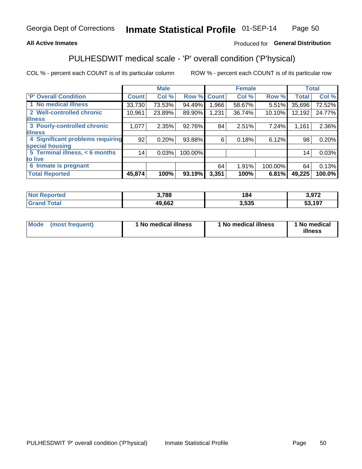### **All Active Inmates**

### Produced for General Distribution

# PULHESDWIT medical scale - 'P' overall condition ('P'hysical)

COL % - percent each COUNT is of its particular column

|                                  |              | <b>Male</b> |         |              | <b>Female</b> |         |              | <b>Total</b> |
|----------------------------------|--------------|-------------|---------|--------------|---------------|---------|--------------|--------------|
| 'P' Overall Condition            | <b>Count</b> | Col %       | Row %   | <b>Count</b> | Col %         | Row %   | <b>Total</b> | Col %        |
| 1 No medical illness             | 33,730       | 73.53%      | 94.49%  | 1,966        | 58.67%        | 5.51%   | 35,696       | 72.52%       |
| 2 Well-controlled chronic        | 10,961       | 23.89%      | 89.90%  | 1,231        | 36.74%        | 10.10%  | 12,192       | 24.77%       |
| <b>illness</b>                   |              |             |         |              |               |         |              |              |
| 3 Poorly-controlled chronic      | 1,077        | 2.35%       | 92.76%  | 84           | 2.51%         | 7.24%   | 1,161        | 2.36%        |
| <b>lillness</b>                  |              |             |         |              |               |         |              |              |
| 4 Significant problems requiring | 92           | 0.20%       | 93.88%  | 6            | 0.18%         | 6.12%   | 98           | 0.20%        |
| special housing                  |              |             |         |              |               |         |              |              |
| 5 Terminal illness, < 6 months   | 14           | 0.03%       | 100.00% |              |               |         | 14           | 0.03%        |
| to live                          |              |             |         |              |               |         |              |              |
| 6 Inmate is pregnant             |              |             |         | 64           | 1.91%         | 100.00% | 64           | 0.13%        |
| <b>Total Reported</b>            | 45,874       | 100%        | 93.19%  | 3,351        | 100%          | 6.81%   | 49,225       | 100.0%       |

| тес | 3,788              | 184  | פרח כ           |
|-----|--------------------|------|-----------------|
|     | $AQ$ $662$<br>JUZ. | .535 | 52 107<br>- 127 |

| Mode | (most frequent) | 1 No medical illness | 1 No medical illness | 1 No medical<br>illness |
|------|-----------------|----------------------|----------------------|-------------------------|
|------|-----------------|----------------------|----------------------|-------------------------|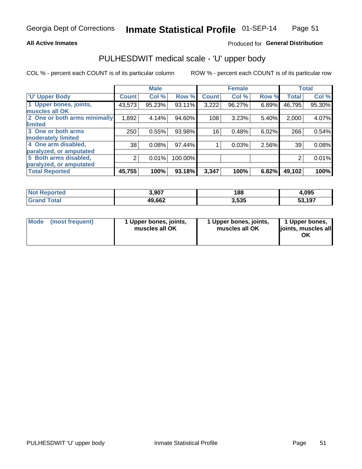#### **All Active Inmates**

### Produced for General Distribution

# PULHESDWIT medical scale - 'U' upper body

COL % - percent each COUNT is of its particular column

|                              |                | <b>Male</b> |         |              | <b>Female</b> |       |              | <b>Total</b> |
|------------------------------|----------------|-------------|---------|--------------|---------------|-------|--------------|--------------|
| <b>U' Upper Body</b>         | <b>Count</b>   | Col %       | Row %   | <b>Count</b> | Col %         | Row % | <b>Total</b> | Col %        |
| 1 Upper bones, joints,       | 43,573         | 95.23%      | 93.11%  | 3,222        | 96.27%        | 6.89% | 46,795       | 95.30%       |
| muscles all OK               |                |             |         |              |               |       |              |              |
| 2 One or both arms minimally | 1,892          | 4.14%       | 94.60%  | 108          | 3.23%         | 5.40% | 2,000        | 4.07%        |
| limited                      |                |             |         |              |               |       |              |              |
| 3 One or both arms           | 250            | 0.55%       | 93.98%  | 16           | 0.48%         | 6.02% | 266          | 0.54%        |
| <b>moderately limited</b>    |                |             |         |              |               |       |              |              |
| 4 One arm disabled,          | 38             | 0.08%       | 97.44%  |              | 0.03%         | 2.56% | 39           | 0.08%        |
| paralyzed, or amputated      |                |             |         |              |               |       |              |              |
| 5 Both arms disabled,        | $\overline{2}$ | 0.01%       | 100.00% |              |               |       | 2            | 0.01%        |
| paralyzed, or amputated      |                |             |         |              |               |       |              |              |
| <b>Total Reported</b>        | 45,755         | 100%        | 93.18%  | 3,347        | 100%          | 6.82% | 49,102       | 100%         |

| <b>Not Reported</b>   | 3,907  | 188   | 1,095  |
|-----------------------|--------|-------|--------|
| <b>Total</b><br>Grand | 49,662 | 3,535 | 53,197 |

| Mode<br>(most frequent) | 1 Upper bones, joints,<br>muscles all OK | 1 Upper bones, joints,<br>muscles all OK | 1 Upper bones,<br>joints, muscles all<br>ΟK |
|-------------------------|------------------------------------------|------------------------------------------|---------------------------------------------|
|-------------------------|------------------------------------------|------------------------------------------|---------------------------------------------|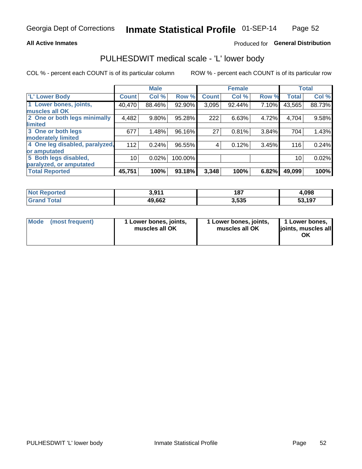#### **All Active Inmates**

### Produced for General Distribution

# PULHESDWIT medical scale - 'L' lower body

COL % - percent each COUNT is of its particular column

|                                |              | <b>Male</b> |         |              | <b>Female</b> |       |              | <b>Total</b> |
|--------------------------------|--------------|-------------|---------|--------------|---------------|-------|--------------|--------------|
| 'L' Lower Body                 | <b>Count</b> | Col %       | Row %   | <b>Count</b> | Col %         | Row % | <b>Total</b> | Col %        |
| 1 Lower bones, joints,         | 40,470       | 88.46%      | 92.90%  | 3,095        | 92.44%        | 7.10% | 43,565       | 88.73%       |
| muscles all OK                 |              |             |         |              |               |       |              |              |
| 2 One or both legs minimally   | 4,482        | $9.80\%$    | 95.28%  | 222          | 6.63%         | 4.72% | 4,704        | 9.58%        |
| limited                        |              |             |         |              |               |       |              |              |
| 3 One or both legs             | 677          | 1.48%       | 96.16%  | 27           | 0.81%         | 3.84% | 704          | 1.43%        |
| moderately limited             |              |             |         |              |               |       |              |              |
| 4 One leg disabled, paralyzed, | 112          | 0.24%       | 96.55%  | 4            | 0.12%         | 3.45% | 116          | 0.24%        |
| or amputated                   |              |             |         |              |               |       |              |              |
| 5 Both legs disabled,          | 10           | 0.02%       | 100.00% |              |               |       | 10           | 0.02%        |
| paralyzed, or amputated        |              |             |         |              |               |       |              |              |
| <b>Total Reported</b>          | 45,751       | 100%        | 93.18%  | 3,348        | 100%          | 6.82% | 49,099       | 100%         |

| <b>Not Reported</b>   | ? 011<br><b></b> | 187   | 1,098  |
|-----------------------|------------------|-------|--------|
| <b>Total</b><br>Grand | 49,662           | 3,535 | 53,197 |

|  | Mode (most frequent) | 1 Lower bones, joints,<br>muscles all OK | 1 Lower bones, joints,<br>muscles all OK | 1 Lower bones,<br>joints, muscles all<br>ΟK |
|--|----------------------|------------------------------------------|------------------------------------------|---------------------------------------------|
|--|----------------------|------------------------------------------|------------------------------------------|---------------------------------------------|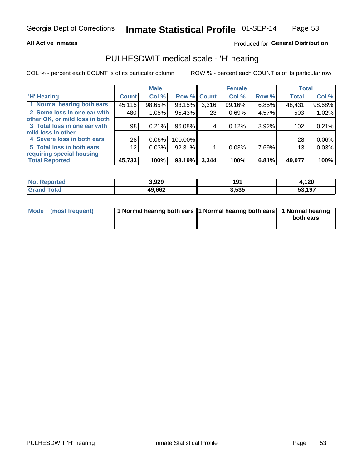#### **All Active Inmates**

### Produced for General Distribution

## PULHESDWIT medical scale - 'H' hearing

COL % - percent each COUNT is of its particular column

|                                |                 | <b>Male</b> |             |       | <b>Female</b> |       | <b>Total</b> |        |
|--------------------------------|-----------------|-------------|-------------|-------|---------------|-------|--------------|--------|
| <b>'H' Hearing</b>             | <b>Count</b>    | Col %       | Row % Count |       | Col %         | Row % | <b>Total</b> | Col %  |
| 1 Normal hearing both ears     | 45,115          | 98.65%      | 93.15%      | 3,316 | 99.16%        | 6.85% | 48,431       | 98.68% |
| 2 Some loss in one ear with    | 480             | 1.05%       | 95.43%      | 23    | 0.69%         | 4.57% | 503          | 1.02%  |
| other OK, or mild loss in both |                 |             |             |       |               |       |              |        |
| 3 Total loss in one ear with   | 98              | 0.21%       | 96.08%      | 4     | 0.12%         | 3.92% | 102          | 0.21%  |
| mild loss in other             |                 |             |             |       |               |       |              |        |
| 4 Severe loss in both ears     | 28              | 0.06%       | 100.00%     |       |               |       | 28           | 0.06%  |
| 5 Total loss in both ears,     | 12 <sub>1</sub> | 0.03%       | 92.31%      |       | 0.03%         | 7.69% | 13           | 0.03%  |
| requiring special housing      |                 |             |             |       |               |       |              |        |
| <b>Total Reported</b>          | 45,733          | 100%        | 93.19%      | 3,344 | 100%          | 6.81% | 49,077       | 100%   |

| <b>Not Reno</b><br>ాorted | 3,929  | 191   | 4,120  |
|---------------------------|--------|-------|--------|
| Total                     | 49,662 | 3,535 | 53,197 |

| Mode (most frequent) | 1 Normal hearing both ears 11 Normal hearing both ears 1 Normal hearing | both ears |
|----------------------|-------------------------------------------------------------------------|-----------|
|                      |                                                                         |           |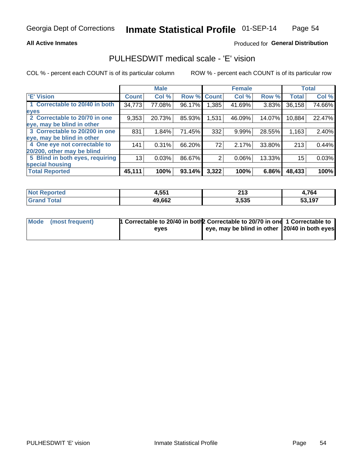#### **All Active Inmates**

### Produced for General Distribution

## PULHESDWIT medical scale - 'E' vision

COL % - percent each COUNT is of its particular column

|                                 |              | <b>Male</b> |        |              | <b>Female</b> |        |              | <b>Total</b> |
|---------------------------------|--------------|-------------|--------|--------------|---------------|--------|--------------|--------------|
| 'E' Vision                      | <b>Count</b> | Col %       | Row %  | <b>Count</b> | Col %         | Row %  | <b>Total</b> | Col %        |
| 1 Correctable to 20/40 in both  | 34,773       | 77.08%      | 96.17% | .385         | 41.69%        | 3.83%  | 36,158       | 74.66%       |
| eyes                            |              |             |        |              |               |        |              |              |
| 2 Correctable to 20/70 in one   | 9,353        | 20.73%      | 85.93% | 1,531        | 46.09%        | 14.07% | 10,884       | 22.47%       |
| leye, may be blind in other     |              |             |        |              |               |        |              |              |
| 3 Correctable to 20/200 in one  | 831          | 1.84%       | 71.45% | 332          | 9.99%         | 28.55% | 1,163        | 2.40%        |
| leye, may be blind in other     |              |             |        |              |               |        |              |              |
| 4 One eye not correctable to    | 141          | 0.31%       | 66.20% | 72           | 2.17%         | 33.80% | 213          | 0.44%        |
| 20/200, other may be blind      |              |             |        |              |               |        |              |              |
| 5 Blind in both eyes, requiring | 13           | 0.03%       | 86.67% | 2            | 0.06%         | 13.33% | 15           | 0.03%        |
| special housing                 |              |             |        |              |               |        |              |              |
| <b>Total Reported</b>           | 45,111       | 100%        | 93.14% | 3,322        | 100%          | 6.86%  | 48,433       | 100%         |

| <b>Not Reported</b>          | 4,551  | 242<br>2 I J | 4,764  |
|------------------------------|--------|--------------|--------|
| <b>Total</b><br><b>Grand</b> | 49,662 | 3,535        | 53,197 |

| Mode (most frequent) | <sup>1</sup> Correctable to 20/40 in both 2 Correctable to 20/70 in one 1 Correctable to |                                               |  |
|----------------------|------------------------------------------------------------------------------------------|-----------------------------------------------|--|
|                      | eves                                                                                     | eye, may be blind in other 20/40 in both eyes |  |
|                      |                                                                                          |                                               |  |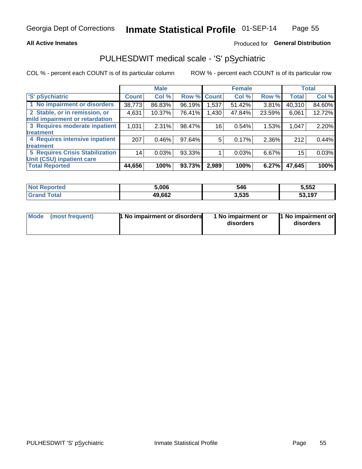#### **All Active Inmates**

### Produced for General Distribution

# PULHESDWIT medical scale - 'S' pSychiatric

COL % - percent each COUNT is of its particular column

|                                        |              | <b>Male</b> |        |              | <b>Female</b> |        |              | <b>Total</b> |
|----------------------------------------|--------------|-------------|--------|--------------|---------------|--------|--------------|--------------|
| 'S' pSychiatric                        | <b>Count</b> | Col %       | Row %  | <b>Count</b> | Col %         | Row %  | <b>Total</b> | Col %        |
| 1 No impairment or disorders           | 38,773       | 86.83%      | 96.19% | 1,537        | 51.42%        | 3.81%  | 40,310       | 84.60%       |
| 2 Stable, or in remission, or          | 4,631        | 10.37%      | 76.41% | 1,430        | 47.84%        | 23.59% | 6,061        | 12.72%       |
| mild impairment or retardation         |              |             |        |              |               |        |              |              |
| 3 Requires moderate inpatient          | 1,031        | 2.31%       | 98.47% | 16           | 0.54%         | 1.53%  | 1,047        | 2.20%        |
| <b>treatment</b>                       |              |             |        |              |               |        |              |              |
| 4 Requires intensive inpatient         | 207          | 0.46%       | 97.64% | 5            | 0.17%         | 2.36%  | 212          | 0.44%        |
| <b>treatment</b>                       |              |             |        |              |               |        |              |              |
| <b>5 Requires Crisis Stabilization</b> | 14           | 0.03%       | 93.33% |              | 0.03%         | 6.67%  | 15           | 0.03%        |
| Unit (CSU) inpatient care              |              |             |        |              |               |        |              |              |
| <b>Total Reported</b>                  | 44,656       | 100%        | 93.73% | 2,989        | 100%          | 6.27%  | 47,645       | 100%         |

| <b>Not Reported</b> | 5.006  | 546   | 5,552  |
|---------------------|--------|-------|--------|
| <b>Total</b>        | 49,662 | 3,535 | 53,197 |

| Mode            | <b>1 No impairment or disorders</b> | 1 No impairment or | 1 No impairment or |
|-----------------|-------------------------------------|--------------------|--------------------|
| (most frequent) |                                     | disorders          | disorders          |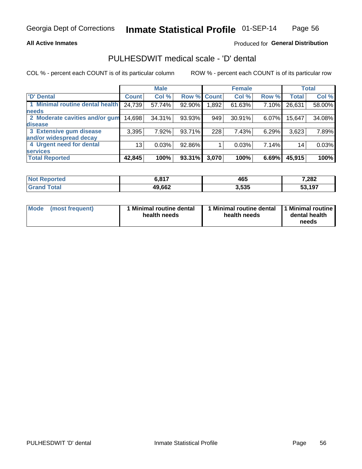#### **All Active Inmates**

### Produced for General Distribution

# PULHESDWIT medical scale - 'D' dental

COL % - percent each COUNT is of its particular column

|                                 |              | <b>Male</b> |        |             | <b>Female</b> |       |              | <b>Total</b> |
|---------------------------------|--------------|-------------|--------|-------------|---------------|-------|--------------|--------------|
| <b>D'</b> Dental                | <b>Count</b> | Col %       |        | Row % Count | Col %         | Row % | <b>Total</b> | Col %        |
| 1 Minimal routine dental health | 24,739       | 57.74%      | 92.90% | 1,892       | 61.63%        | 7.10% | 26,631       | 58.00%       |
| <b>needs</b>                    |              |             |        |             |               |       |              |              |
| 2 Moderate cavities and/or gum  | 14,698       | 34.31%      | 93.93% | 949         | 30.91%        | 6.07% | 15,647       | 34.08%       |
| disease                         |              |             |        |             |               |       |              |              |
| 3 Extensive gum disease         | 3,395        | 7.92%       | 93.71% | 228         | 7.43%         | 6.29% | 3,623        | 7.89%        |
| and/or widespread decay         |              |             |        |             |               |       |              |              |
| 4 Urgent need for dental        | 13           | 0.03%       | 92.86% |             | 0.03%         | 7.14% | 14           | 0.03%        |
| <b>services</b>                 |              |             |        |             |               |       |              |              |
| <b>Total Reported</b>           | 42,845       | 100%        | 93.31% | 3,070       | 100%          | 6.69% | 45,915       | 100%         |

| <b>Not Reported</b>   | C 047<br>ם.כ | 465   | 7,282  |
|-----------------------|--------------|-------|--------|
| <b>Total</b><br>Grand | 49,662       | 3,535 | 53,197 |

| <b>Mode</b> | (most frequent) | <b>Minimal routine dental</b><br>health needs | 1 Minimal routine dental   1 Minimal routine  <br>health needs | dental health<br>needs |
|-------------|-----------------|-----------------------------------------------|----------------------------------------------------------------|------------------------|
|-------------|-----------------|-----------------------------------------------|----------------------------------------------------------------|------------------------|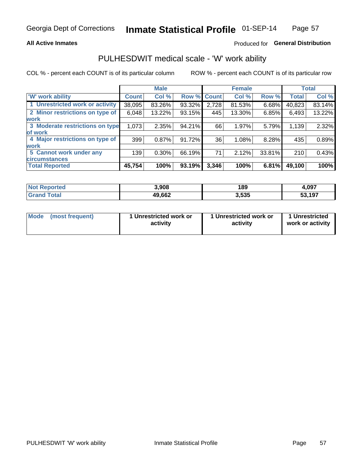#### **All Active Inmates**

### Produced for General Distribution

# PULHESDWIT medical scale - 'W' work ability

COL % - percent each COUNT is of its particular column

|                                 |              | <b>Male</b> |        |             | <b>Female</b> |        |              | <b>Total</b> |
|---------------------------------|--------------|-------------|--------|-------------|---------------|--------|--------------|--------------|
| <b>W' work ability</b>          | <b>Count</b> | Col %       |        | Row % Count | Col %         | Row %  | <b>Total</b> | Col %        |
| 1 Unrestricted work or activity | 38,095       | 83.26%      | 93.32% | 2,728       | 81.53%        | 6.68%  | 40,823       | 83.14%       |
| 2 Minor restrictions on type of | 6,048        | 13.22%      | 93.15% | 445         | 13.30%        | 6.85%  | 6,493        | 13.22%       |
| <b>work</b>                     |              |             |        |             |               |        |              |              |
| 3 Moderate restrictions on type | 1,073        | 2.35%       | 94.21% | 66          | 1.97%         | 5.79%  | 1,139        | 2.32%        |
| lof work                        |              |             |        |             |               |        |              |              |
| 4 Major restrictions on type of | 399          | 0.87%       | 91.72% | 36          | 1.08%         | 8.28%  | 435          | 0.89%        |
| <b>work</b>                     |              |             |        |             |               |        |              |              |
| 5 Cannot work under any         | 139          | $0.30\%$    | 66.19% | 71          | 2.12%         | 33.81% | 210          | 0.43%        |
| <b>circumstances</b>            |              |             |        |             |               |        |              |              |
| <b>Total Reported</b>           | 45,754       | 100%        | 93.19% | 3,346       | 100%          | 6.81%  | 49,100       | 100%         |

| <b>Not Reported</b> | 3,908  | 189   | 4,097  |
|---------------------|--------|-------|--------|
| Total<br>Grand      | 49,662 | 3,535 | 53,197 |

| Mode            | 1 Unrestricted work or | 1 Unrestricted work or | 1 Unrestricted   |
|-----------------|------------------------|------------------------|------------------|
| (most frequent) | activity               | activity               | work or activity |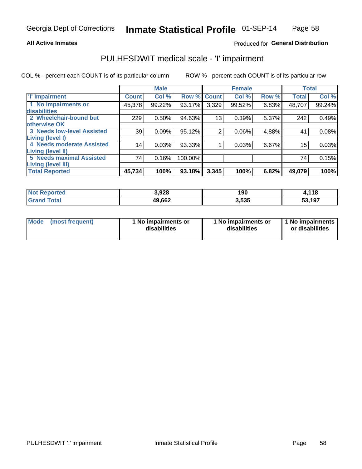#### **All Active Inmates**

### Produced for General Distribution

# PULHESDWIT medical scale - 'I' impairment

COL % - percent each COUNT is of its particular column ROW % - percent each COUNT is of its particular row

|                                   |              | <b>Male</b> |         |                 | <b>Female</b> |       |              | <b>Total</b> |
|-----------------------------------|--------------|-------------|---------|-----------------|---------------|-------|--------------|--------------|
| 'l' Impairment                    | <b>Count</b> | Col %       | Row %   | <b>Count</b>    | Col %         | Row % | <b>Total</b> | Col %        |
| 1 No impairments or               | 45,378       | 99.22%      | 93.17%  | 3,329           | 99.52%        | 6.83% | 48,707       | 99.24%       |
| disabilities                      |              |             |         |                 |               |       |              |              |
| 2 Wheelchair-bound but            | 229          | 0.50%       | 94.63%  | 13 <sub>1</sub> | 0.39%         | 5.37% | 242          | 0.49%        |
| otherwise OK                      |              |             |         |                 |               |       |              |              |
| <b>3 Needs low-level Assisted</b> | 39           | 0.09%       | 95.12%  | 2               | 0.06%         | 4.88% | 41           | 0.08%        |
| Living (level I)                  |              |             |         |                 |               |       |              |              |
| 4 Needs moderate Assisted         | 14           | 0.03%       | 93.33%  |                 | 0.03%         | 6.67% | 15           | 0.03%        |
| <b>Living (level II)</b>          |              |             |         |                 |               |       |              |              |
| <b>5 Needs maximal Assisted</b>   | 74           | 0.16%       | 100.00% |                 |               |       | 74           | 0.15%        |
| <b>Living (level III)</b>         |              |             |         |                 |               |       |              |              |
| <b>Total Reported</b>             | 45,734       | 100%        | 93.18%  | 3,345           | 100%          | 6.82% | 49,079       | 100%         |

| <b>Not Reported</b> | 3,928  | 190   | 1,118  |
|---------------------|--------|-------|--------|
| <b>Grand Total</b>  | 49,662 | 3,535 | 53,197 |

| <b>Mode</b> | (most frequent) | <b>No impairments or</b><br>disabilities | 1 No impairments or<br>disabilities | 1 No impairments<br>or disabilities |
|-------------|-----------------|------------------------------------------|-------------------------------------|-------------------------------------|
|-------------|-----------------|------------------------------------------|-------------------------------------|-------------------------------------|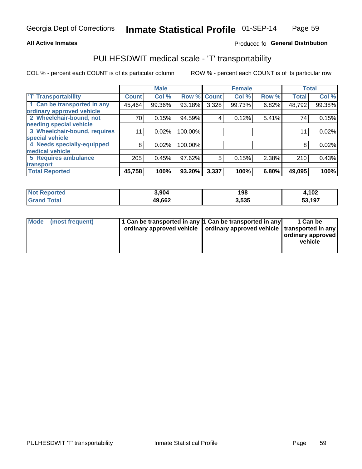#### **All Active Inmates**

### Produced fo General Distribution

# PULHESDWIT medical scale - 'T' transportability

COL % - percent each COUNT is of its particular column

|                              |                    | <b>Male</b> |         |              | <b>Female</b> |       |              | <b>Total</b> |
|------------------------------|--------------------|-------------|---------|--------------|---------------|-------|--------------|--------------|
| <b>T' Transportability</b>   | Count <sup>!</sup> | Col %       | Row %   | <b>Count</b> | Col %         | Row % | <b>Total</b> | Col %        |
| 1 Can be transported in any  | 45,464             | 99.36%      | 93.18%  | 3,328        | 99.73%        | 6.82% | 48,792       | 99.38%       |
| ordinary approved vehicle    |                    |             |         |              |               |       |              |              |
| 2 Wheelchair-bound, not      | 70                 | 0.15%       | 94.59%  | 4            | 0.12%         | 5.41% | 74           | 0.15%        |
| needing special vehicle      |                    |             |         |              |               |       |              |              |
| 3 Wheelchair-bound, requires | 11                 | 0.02%       | 100.00% |              |               |       | 11           | 0.02%        |
| special vehicle              |                    |             |         |              |               |       |              |              |
| 4 Needs specially-equipped   | 8                  | 0.02%       | 100.00% |              |               |       | 8            | 0.02%        |
| medical vehicle              |                    |             |         |              |               |       |              |              |
| <b>5 Requires ambulance</b>  | 205                | 0.45%       | 97.62%  | 5            | 0.15%         | 2.38% | 210          | 0.43%        |
| transport                    |                    |             |         |              |               |       |              |              |
| <b>Total Reported</b>        | 45,758             | 100%        | 93.20%  | 3,337        | 100%          | 6.80% | 49,095       | 100%         |

| <b>Not</b><br>Reported | 3,904  | 198   | 4,102  |
|------------------------|--------|-------|--------|
| 'otal                  | 49,662 | 3,535 | 53,197 |

|  | Mode (most frequent) | 1 Can be transported in any 1 Can be transported in any | ordinary approved vehicle   ordinary approved vehicle   transported in any | 1 Can be<br>ordinary approved<br>vehicle |
|--|----------------------|---------------------------------------------------------|----------------------------------------------------------------------------|------------------------------------------|
|--|----------------------|---------------------------------------------------------|----------------------------------------------------------------------------|------------------------------------------|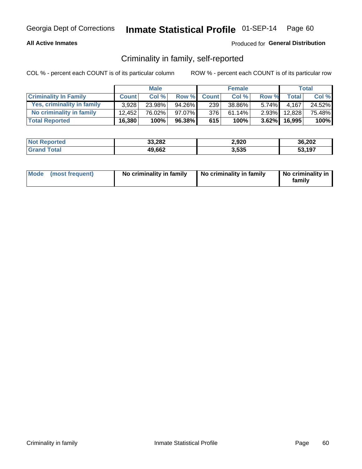#### **All Active Inmates**

### Produced for General Distribution

## Criminality in family, self-reported

COL % - percent each COUNT is of its particular column

|                              |              | <b>Male</b> |        |              | <b>Female</b> |          |              | Total  |
|------------------------------|--------------|-------------|--------|--------------|---------------|----------|--------------|--------|
| <b>Criminality In Family</b> | <b>Count</b> | Col%        | Row %  | <b>Count</b> | Col %         | Row %    | <b>Total</b> | Col %  |
| Yes, criminality in family   | 3.928        | 23.98%      | 94.26% | 239          | 38.86%        | $5.74\%$ | 4.167        | 24.52% |
| No criminality in family     | 12.452       | 76.02%      | 97.07% | 376          | 61.14%        | $2.93\%$ | 12,828       | 75.48% |
| <b>Total Reported</b>        | 16,380       | 100%        | 96.38% | 615          | 100%          |          | 3.62% 16,995 | 100%   |

| <b>Not</b><br>Reported | 33,282 | 2,920 | 36,202 |
|------------------------|--------|-------|--------|
| <b>ota</b>             | 49,662 | 3,535 | 53.197 |

|  | Mode (most frequent) | No criminality in family | No criminality in family | No criminality in<br>family |
|--|----------------------|--------------------------|--------------------------|-----------------------------|
|--|----------------------|--------------------------|--------------------------|-----------------------------|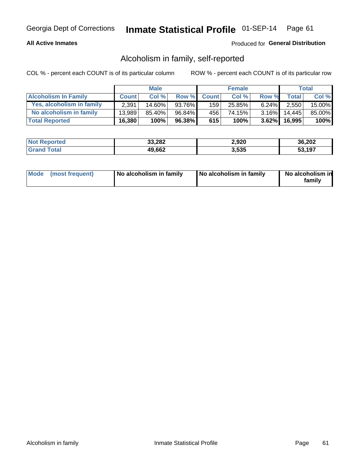#### **All Active Inmates**

### Produced for General Distribution

## Alcoholism in family, self-reported

COL % - percent each COUNT is of its particular column

|                             |              | <b>Male</b> |        |              | <b>Female</b> |          |        | <b>Total</b> |
|-----------------------------|--------------|-------------|--------|--------------|---------------|----------|--------|--------------|
| <b>Alcoholism In Family</b> | <b>Count</b> | Col%        | Row %  | <b>Count</b> | Col%          | Row %    | Total  | Col %        |
| Yes, alcoholism in family   | 2,391        | $14.60\%$   | 93.76% | 159          | 25.85%        | $6.24\%$ | 2,550  | 15.00%       |
| No alcoholism in family     | 13.989       | 85.40%      | 96.84% | 456          | 74.15%        | $3.16\%$ | 14.445 | 85.00%       |
| <b>Total Reported</b>       | 16,380       | 100%        | 96.38% | 615          | 100%          | $3.62\%$ | 16,995 | $100\%$      |

| <b>Not Reported</b> | 33,282 | 2,920 | 36,202       |
|---------------------|--------|-------|--------------|
| 'ota                | 49,662 | 3,535 | 53.197<br>აა |

|  | Mode (most frequent) | No alcoholism in family | No alcoholism in family | No alcoholism in<br>family |
|--|----------------------|-------------------------|-------------------------|----------------------------|
|--|----------------------|-------------------------|-------------------------|----------------------------|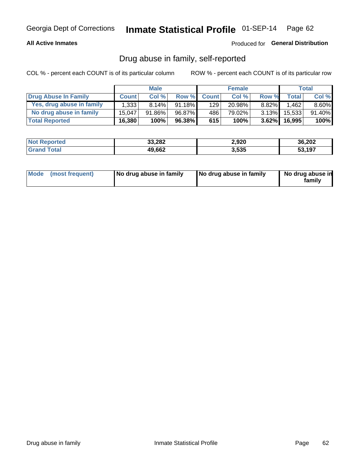#### **All Active Inmates**

#### Produced for General Distribution

## Drug abuse in family, self-reported

COL % - percent each COUNT is of its particular column

|                           |              | <b>Male</b> |           |              | <b>Female</b> |          |              | <b>Total</b> |
|---------------------------|--------------|-------------|-----------|--------------|---------------|----------|--------------|--------------|
| Drug Abuse In Family      | <b>Count</b> | Col%        | Row %     | <b>Count</b> | Col%          | Row %    | <b>Total</b> | Col %        |
| Yes, drug abuse in family | 1,333        | 8.14%       | $91.18\%$ | 129          | 20.98%        | $8.82\%$ | .462         | $8.60\%$     |
| No drug abuse in family   | 15.047       | 91.86%      | 96.87%    | 4861         | 79.02%        | $3.13\%$ | 15,533       | 91.40%       |
| <b>Total Reported</b>     | 16,380       | 100%        | 96.38%    | 615          | 100%          | $3.62\%$ | 16,995       | $100\%$      |

| <b>Not Reported</b> | 33,282 | 2,920 | 36,202       |
|---------------------|--------|-------|--------------|
| 'ota                | 49,662 | 3,535 | 53.197<br>აა |

|  | Mode (most frequent) | No drug abuse in family | No drug abuse in family | No drug abuse in<br>familv |
|--|----------------------|-------------------------|-------------------------|----------------------------|
|--|----------------------|-------------------------|-------------------------|----------------------------|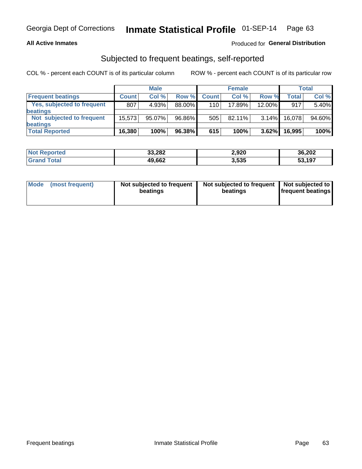#### **All Active Inmates**

### Produced for General Distribution

## Subjected to frequent beatings, self-reported

COL % - percent each COUNT is of its particular column

|                            |              | <b>Male</b> |        |                  | <b>Female</b> |          |              | Total  |
|----------------------------|--------------|-------------|--------|------------------|---------------|----------|--------------|--------|
| <b>Frequent beatings</b>   | <b>Count</b> | Col %       | Row %  | <b>Count</b>     | Col %         | Row %    | <b>Total</b> | Col %  |
| Yes, subjected to frequent | 807          | 4.93%       | 88.00% | 110 <sup>1</sup> | 17.89%        | 12.00%   | 917          | 5.40%  |
| beatings                   |              |             |        |                  |               |          |              |        |
| Not subjected to frequent  | 15.573       | 95.07%      | 96.86% | 505              | 82.11%        | $3.14\%$ | 16.078       | 94.60% |
| beatings                   |              |             |        |                  |               |          |              |        |
| <b>Total Reported</b>      | 16,380       | 100%        | 96.38% | 615              | 100%          | 3.62%    | 16,995       | 100%   |

| <b>Not</b><br>Reported | 33,282 | 2,920 | 36,202 |
|------------------------|--------|-------|--------|
| Total                  | 49,662 | 3,535 | 53,197 |

| Mode (most frequent) | Not subjected to frequent<br>beatings | Not subjected to frequent<br>beatings | Not subjected to<br><b>frequent beatings</b> |
|----------------------|---------------------------------------|---------------------------------------|----------------------------------------------|
|                      |                                       |                                       |                                              |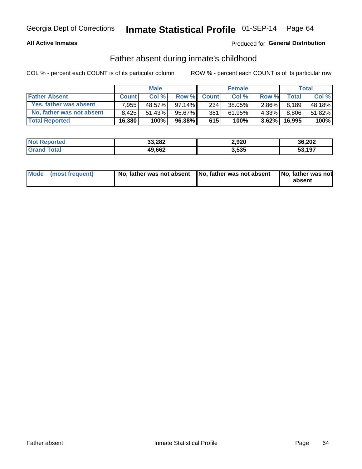#### **All Active Inmates**

### **Produced for General Distribution**

## Father absent during inmate's childhood

COL % - percent each COUNT is of its particular column

|                           |              | <b>Male</b> |           |              | <b>Female</b> |          |              | Total  |
|---------------------------|--------------|-------------|-----------|--------------|---------------|----------|--------------|--------|
| <b>Father Absent</b>      | <b>Count</b> | Col%        | Row %     | <b>Count</b> | Col %         | Row %    | <b>Total</b> | Col %  |
| Yes, father was absent    | 7.955        | 48.57%      | $97.14\%$ | 234          | 38.05%        | 2.86%    | 8,189        | 48.18% |
| No, father was not absent | 8.425        | 51.43%      | 95.67%    | 381          | 61.95%        | 4.33%I   | 8,806        | 51.82% |
| <b>Total Reported</b>     | 16,380       | 100%        | $96.38\%$ | 615          | 100%          | $3.62\%$ | 16.995       | 100%   |

| <b>Not Reported</b> | 33,282 | 2,920 | 36,202 |
|---------------------|--------|-------|--------|
| <b>Tota</b>         | 49,662 | 3,535 | 53,197 |

|  | Mode (most frequent) | No, father was not absent No, father was not absent |  | No, father was not<br>absent |
|--|----------------------|-----------------------------------------------------|--|------------------------------|
|--|----------------------|-----------------------------------------------------|--|------------------------------|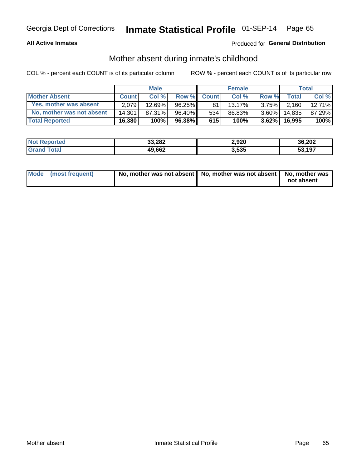#### **All Active Inmates**

### **Produced for General Distribution**

## Mother absent during inmate's childhood

COL % - percent each COUNT is of its particular column

|                           | <b>Male</b>  |           |           | <b>Female</b> |        |          | Total        |        |
|---------------------------|--------------|-----------|-----------|---------------|--------|----------|--------------|--------|
| <b>Mother Absent</b>      | <b>Count</b> | Col%      | Row %     | <b>Count</b>  | Col %  | Row %    | <b>Total</b> | Col %  |
| Yes, mother was absent    | 2.079        | $12.69\%$ | $96.25\%$ | 81            | 13.17% | $3.75\%$ | 2.160        | 12.71% |
| No, mother was not absent | 14.301       | 87.31%    | 96.40%    | 534           | 86.83% | $3.60\%$ | 14.835       | 87.29% |
| <b>Total Reported</b>     | 16,380       | 100%      | $96.38\%$ | 615           | 100%   | $3.62\%$ | 16.995       | 100%   |

| <b>Not</b><br>Reported | 33,282 | 2,920 | 36,202 |
|------------------------|--------|-------|--------|
| <b>ota</b>             | 49,662 | 3,535 | 53.197 |

| Mode (most frequent) | No, mother was not absent   No, mother was not absent   No, mother was | not absent |
|----------------------|------------------------------------------------------------------------|------------|
|                      |                                                                        |            |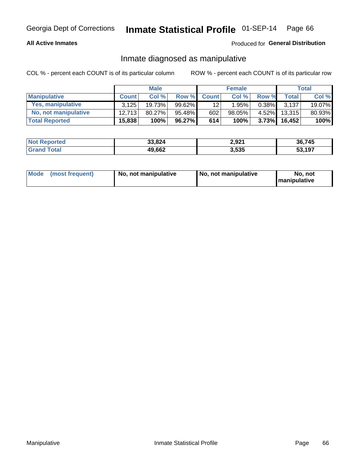#### **All Active Inmates**

### Produced for General Distribution

## Inmate diagnosed as manipulative

COL % - percent each COUNT is of its particular column

|                       | <b>Male</b>  |           |           | <b>Female</b>    |          |          | Total        |        |
|-----------------------|--------------|-----------|-----------|------------------|----------|----------|--------------|--------|
| <b>Manipulative</b>   | <b>Count</b> | Col %     | Row %     | <b>Count</b>     | Col%     | Row %    | <b>Total</b> | Col %  |
| Yes, manipulative     | 3.125        | 19.73%    | $99.62\%$ | 12               | $1.95\%$ | $0.38\%$ | 3.137        | 19.07% |
| No, not manipulative  | 12.713       | $80.27\%$ | 95.48%    | 602 <sub>1</sub> | 98.05%   | $4.52\%$ | 13.315       | 80.93% |
| <b>Total Reported</b> | 15,838       | 100%      | 96.27%    | 614              | 100%     | $3.73\%$ | 16.452       | 100%   |

| <b>Not</b><br>Reported | 33.824 | 2,921 | 36,745           |
|------------------------|--------|-------|------------------|
| <b>ota</b>             | 49,662 | 3,535 | ,197<br>-^<br>უკ |

|  | Mode (most frequent) | No, not manipulative | No, not manipulative | No. not<br><b>I</b> manipulative |
|--|----------------------|----------------------|----------------------|----------------------------------|
|--|----------------------|----------------------|----------------------|----------------------------------|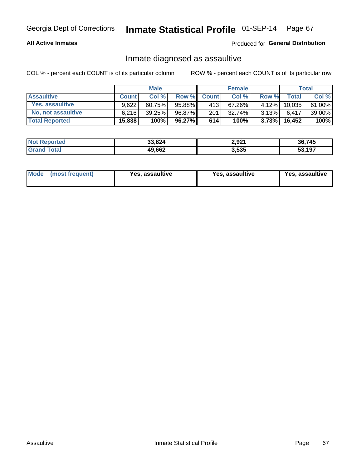#### **All Active Inmates**

Produced for General Distribution

## Inmate diagnosed as assaultive

COL % - percent each COUNT is of its particular column

|                           | <b>Male</b>  |        |        | <b>Female</b> |        |          | Total  |        |
|---------------------------|--------------|--------|--------|---------------|--------|----------|--------|--------|
| <b>Assaultive</b>         | <b>Count</b> | Col%   | Row %  | <b>Count</b>  | Col %  | Row %    | Total  | Col %  |
| Yes, assaultive           | 9.622        | 60.75% | 95.88% | 413           | 67.26% | 4.12%    | 10,035 | 61.00% |
| <b>No, not assaultive</b> | 6.216        | 39.25% | 96.87% | 201           | 32.74% | $3.13\%$ | 6.417  | 39.00% |
| <b>Total Reported</b>     | 15,838       | 100%   | 96.27% | 614           | 100%   | $3.73\%$ | 16,452 | 100%   |

| <b>Not Reported</b> | 33,824 | 2,921 | 36,745       |
|---------------------|--------|-------|--------------|
| Гоtа                | 49,662 | 3,535 | 53,197<br>აა |

| Mode<br>(most frequent) | <b>Yes, assaultive</b> | Yes, assaultive | <b>Yes, assaultive</b> |
|-------------------------|------------------------|-----------------|------------------------|
|-------------------------|------------------------|-----------------|------------------------|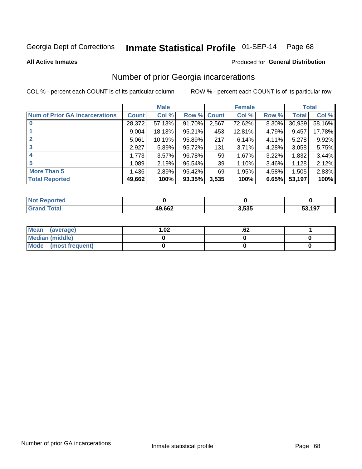#### Inmate Statistical Profile 01-SEP-14 Page 68

**All Active Inmates** 

#### Produced for General Distribution

## Number of prior Georgia incarcerations

COL % - percent each COUNT is of its particular column

|                                       |              | <b>Male</b> |                    |                 | <b>Female</b> |       |        | <b>Total</b> |
|---------------------------------------|--------------|-------------|--------------------|-----------------|---------------|-------|--------|--------------|
| <b>Num of Prior GA Incarcerations</b> | <b>Count</b> | Col %       | <b>Row % Count</b> |                 | Col %         | Row % | Total  | Col %        |
| $\bf{0}$                              | 28,372       | 57.13%      | 91.70%             | 2,567           | 72.62%        | 8.30% | 30,939 | 58.16%       |
|                                       | 9,004        | 18.13%      | 95.21%             | 453             | 12.81%        | 4.79% | 9,457  | 17.78%       |
| $\mathbf{2}$                          | 5,061        | 10.19%      | 95.89%             | 217             | 6.14%         | 4.11% | 5,278  | 9.92%        |
| 3                                     | 2,927        | 5.89%       | 95.72%             | 131             | 3.71%         | 4.28% | 3,058  | 5.75%        |
| 4                                     | 1,773        | 3.57%       | 96.78%             | 59 <sub>1</sub> | 1.67%         | 3.22% | 1,832  | 3.44%        |
| 5                                     | 1,089        | 2.19%       | 96.54%             | 39              | 1.10%         | 3.46% | 1,128  | 2.12%        |
| <b>More Than 5</b>                    | 1,436        | 2.89%       | 95.42%             | 69              | 1.95%         | 4.58% | 1,505  | 2.83%        |
| <b>Total Reported</b>                 | 49,662       | 100%        | 93.35%             | 3,535           | 100%          | 6.65% | 53,197 | 100%         |

| orted<br>NO.     |        |       |        |
|------------------|--------|-------|--------|
| <b>ota</b><br>Gr | 49,662 | 3,535 | 53,197 |

| Mean (average)       | 1.02 | .vz |  |
|----------------------|------|-----|--|
| Median (middle)      |      |     |  |
| Mode (most frequent) |      |     |  |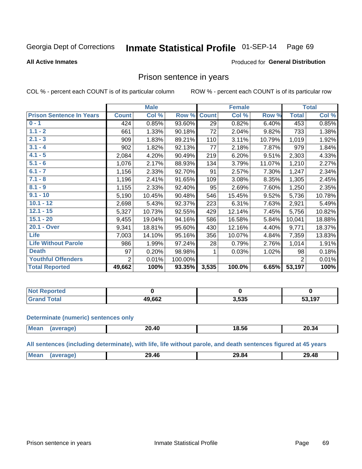#### Inmate Statistical Profile 01-SEP-14 Page 69

#### **All Active Inmates**

#### Produced for General Distribution

### Prison sentence in years

COL % - percent each COUNT is of its particular column

ROW % - percent each COUNT is of its particular row

|                                 | <b>Male</b>    |        |         | <b>Female</b> |        |        | <b>Total</b>   |        |
|---------------------------------|----------------|--------|---------|---------------|--------|--------|----------------|--------|
| <b>Prison Sentence In Years</b> | <b>Count</b>   | Col %  | Row %   | <b>Count</b>  | Col %  | Row %  | <b>Total</b>   | Col %  |
| $0 - 1$                         | 424            | 0.85%  | 93.60%  | 29            | 0.82%  | 6.40%  | 453            | 0.85%  |
| $1.1 - 2$                       | 661            | 1.33%  | 90.18%  | 72            | 2.04%  | 9.82%  | 733            | 1.38%  |
| $2.1 - 3$                       | 909            | 1.83%  | 89.21%  | 110           | 3.11%  | 10.79% | 1,019          | 1.92%  |
| $3.1 - 4$                       | 902            | 1.82%  | 92.13%  | 77            | 2.18%  | 7.87%  | 979            | 1.84%  |
| $4.1 - 5$                       | 2,084          | 4.20%  | 90.49%  | 219           | 6.20%  | 9.51%  | 2,303          | 4.33%  |
| $5.1 - 6$                       | 1,076          | 2.17%  | 88.93%  | 134           | 3.79%  | 11.07% | 1,210          | 2.27%  |
| $6.1 - 7$                       | 1,156          | 2.33%  | 92.70%  | 91            | 2.57%  | 7.30%  | 1,247          | 2.34%  |
| $7.1 - 8$                       | 1,196          | 2.41%  | 91.65%  | 109           | 3.08%  | 8.35%  | 1,305          | 2.45%  |
| $8.1 - 9$                       | 1,155          | 2.33%  | 92.40%  | 95            | 2.69%  | 7.60%  | 1,250          | 2.35%  |
| $9.1 - 10$                      | 5,190          | 10.45% | 90.48%  | 546           | 15.45% | 9.52%  | 5,736          | 10.78% |
| $10.1 - 12$                     | 2,698          | 5.43%  | 92.37%  | 223           | 6.31%  | 7.63%  | 2,921          | 5.49%  |
| $12.1 - 15$                     | 5,327          | 10.73% | 92.55%  | 429           | 12.14% | 7.45%  | 5,756          | 10.82% |
| $15.1 - 20$                     | 9,455          | 19.04% | 94.16%  | 586           | 16.58% | 5.84%  | 10,041         | 18.88% |
| 20.1 - Over                     | 9,341          | 18.81% | 95.60%  | 430           | 12.16% | 4.40%  | 9,771          | 18.37% |
| <b>Life</b>                     | 7,003          | 14.10% | 95.16%  | 356           | 10.07% | 4.84%  | 7,359          | 13.83% |
| <b>Life Without Parole</b>      | 986            | 1.99%  | 97.24%  | 28            | 0.79%  | 2.76%  | 1,014          | 1.91%  |
| <b>Death</b>                    | 97             | 0.20%  | 98.98%  |               | 0.03%  | 1.02%  | 98             | 0.18%  |
| <b>Youthful Offenders</b>       | $\overline{2}$ | 0.01%  | 100.00% |               |        |        | $\overline{2}$ | 0.01%  |
| <b>Total Reported</b>           | 49,662         | 100%   | 93.35%  | 3,535         | 100.0% | 6.65%  | 53,197         | 100%   |

| <b>Not Reported</b> |        |       |      |
|---------------------|--------|-------|------|
| <b>Total</b>        | 49,662 | 3,535 | ,197 |

#### **Determinate (numeric) sentences only**

| <b>Mean</b> | 0.40∠ـ | 18.56 | 20.34 |
|-------------|--------|-------|-------|
|             |        |       |       |

All sentences (including determinate), with life, life without parole, and death sentences figured at 45 years

| Me | 46<br>29<br>____ | ,ч<br>œ<br>____ | .442<br>າດ<br>Tu<br>___ |
|----|------------------|-----------------|-------------------------|
|    |                  |                 |                         |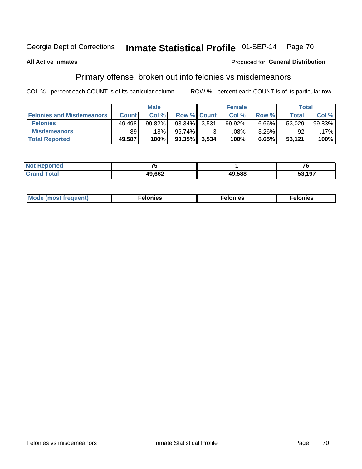#### Inmate Statistical Profile 01-SEP-14 Page 70

#### **All Active Inmates**

#### Produced for General Distribution

# Primary offense, broken out into felonies vs misdemeanors

COL % - percent each COUNT is of its particular column

|                                  | <b>Male</b>  |        |           | <b>Female</b>      |        |          | Total  |        |
|----------------------------------|--------------|--------|-----------|--------------------|--------|----------|--------|--------|
| <b>Felonies and Misdemeanors</b> | <b>Count</b> | Col%   |           | <b>Row % Count</b> | Col%   | Row %    | Total, | Col %  |
| <b>Felonies</b>                  | 49,498       | 99.82% | 93.34%    | 3,531              | 99.92% | 6.66%    | 53,029 | 99.83% |
| <b>Misdemeanors</b>              | 89           | 18%    | 96.74%    |                    | .08%   | $3.26\%$ | 92     | .17%   |
| <b>Total Reported</b>            | 49,587       | 100%   | $93.35\%$ | 3,534              | 100%   | 6.65%    | 53,121 | 100%   |

| <b>Not</b><br>eported | --     |        | - -<br>u |
|-----------------------|--------|--------|----------|
| <b>Grand</b><br>™otal | 49,662 | 49,588 | 53,197   |

| Mo | ____ | 11 C.S<br>. | onies<br>. |
|----|------|-------------|------------|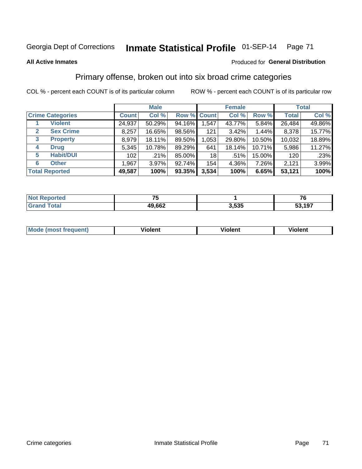# Georgia Dept of Corrections **Inmate Statistical Profile** 01-SEP-14 Page 71

#### **All Active Inmates**

#### Produced for **General Distribution**

## Primary offense, broken out into six broad crime categories

COL % - percent each COUNT is of its particular column ROW % - percent each COUNT is of its particular row

|                                  | <b>Male</b>  |        |           | <b>Female</b>      |          |        | <b>Total</b> |        |
|----------------------------------|--------------|--------|-----------|--------------------|----------|--------|--------------|--------|
| <b>Crime Categories</b>          | <b>Count</b> | Col %  |           | <b>Row % Count</b> | Col %    | Row %  | <b>Total</b> | Col %  |
| <b>Violent</b>                   | 24,937       | 50.29% | 94.16%    | 1,547              | 43.77%   | 5.84%  | 26,484       | 49.86% |
| <b>Sex Crime</b><br>$\mathbf{2}$ | 8,257        | 16.65% | 98.56%    | 121                | $3.42\%$ | 1.44%  | 8,378        | 15.77% |
| $\mathbf{3}$<br><b>Property</b>  | 8,979        | 18.11% | 89.50%    | 1,053              | 29.80%   | 10.50% | 10,032       | 18.89% |
| <b>Drug</b><br>4                 | 5,345        | 10.78% | 89.29%    | 641                | 18.14%   | 10.71% | 5,986        | 11.27% |
| <b>Habit/DUI</b><br>5            | 102          | .21%   | 85.00%    | 18                 | .51%     | 15.00% | 120          | .23%   |
| <b>Other</b><br>6                | 1,967        | 3.97%  | 92.74%    | 154                | 4.36%    | 7.26%  | 2,121        | 3.99%  |
| <b>Total Reported</b>            | 49,587       | 100%   | $93.35\%$ | 3,534              | 100%     | 6.65%  | 53,121       | 100%   |

| rtea<br>NO |        |       | --<br>v |
|------------|--------|-------|---------|
| Ento.      | 49,662 | 3,535 | 53,197  |

| Mo<br>uent)<br>nos | .<br>/iolent | <br>Violent | - --<br><b>Tiolent</b> |
|--------------------|--------------|-------------|------------------------|
|                    |              |             |                        |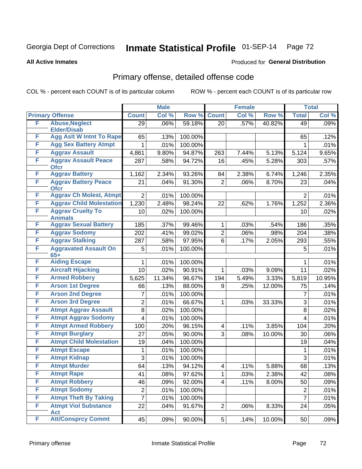# Georgia Dept of Corrections **Inmate Statistical Profile** 01-SEP-14 Page 72

Produced for **General Distribution**

#### **All Active Inmates**

# Primary offense, detailed offense code

COL % - percent each COUNT is of its particular column ROW % - percent each COUNT is of its particular row

|   |                                            | <b>Male</b>     |        |         | <b>Female</b>           | <b>Total</b> |        |                  |        |
|---|--------------------------------------------|-----------------|--------|---------|-------------------------|--------------|--------|------------------|--------|
|   | <b>Primary Offense</b>                     | <b>Count</b>    | Col %  | Row %   | <b>Count</b>            | Col %        | Row %  | <b>Total</b>     | Col %  |
| F | <b>Abuse, Neglect</b>                      | $\overline{29}$ | .06%   | 59.18%  | 20                      | .57%         | 40.82% | 49               | .09%   |
|   | <b>Elder/Disab</b>                         |                 |        |         |                         |              |        |                  |        |
| F | <b>Agg Aslt W Intnt To Rape</b>            | 65              | .13%   | 100.00% |                         |              |        | 65               | .12%   |
| F | <b>Agg Sex Battery Atmpt</b>               | $\mathbf{1}$    | .01%   | 100.00% |                         |              |        | 1                | .01%   |
| F | <b>Aggrav Assault</b>                      | 4,861           | 9.80%  | 94.87%  | 263                     | 7.44%        | 5.13%  | 5,124            | 9.65%  |
| F | <b>Aggrav Assault Peace</b><br><b>Ofcr</b> | 287             | .58%   | 94.72%  | 16                      | .45%         | 5.28%  | 303              | .57%   |
| F | <b>Aggrav Battery</b>                      | 1,162           | 2.34%  | 93.26%  | 84                      | 2.38%        | 6.74%  | 1,246            | 2.35%  |
| F | <b>Aggrav Battery Peace</b><br><b>Ofcr</b> | 21              | .04%   | 91.30%  | $\overline{2}$          | .06%         | 8.70%  | 23               | .04%   |
| F | <b>Aggrav Ch Molest, Atmpt</b>             | $\overline{2}$  | .01%   | 100.00% |                         |              |        | $\overline{2}$   | .01%   |
| F | <b>Aggrav Child Molestation</b>            | 1,230           | 2.48%  | 98.24%  | 22                      | .62%         | 1.76%  | 1,252            | 2.36%  |
| F | <b>Aggrav Cruelty To</b><br><b>Animals</b> | 10              | .02%   | 100.00% |                         |              |        | 10               | .02%   |
| F | <b>Aggrav Sexual Battery</b>               | 185             | .37%   | 99.46%  | 1                       | .03%         | .54%   | 186              | .35%   |
| F | <b>Aggrav Sodomy</b>                       | 202             | .41%   | 99.02%  | $\overline{2}$          | .06%         | .98%   | 204              | .38%   |
| F | <b>Aggrav Stalking</b>                     | 287             | .58%   | 97.95%  | 6                       | .17%         | 2.05%  | 293              | .55%   |
| F | <b>Aggravated Assault On</b><br>$65+$      | 5               | .01%   | 100.00% |                         |              |        | 5                | .01%   |
| F | <b>Aiding Escape</b>                       | 1               | .01%   | 100.00% |                         |              |        | 1                | .01%   |
| F | <b>Aircraft Hijacking</b>                  | 10              | .02%   | 90.91%  | 1                       | .03%         | 9.09%  | 11               | .02%   |
| F | <b>Armed Robbery</b>                       | 5,625           | 11.34% | 96.67%  | 194                     | 5.49%        | 3.33%  | 5,819            | 10.95% |
| F | <b>Arson 1st Degree</b>                    | 66              | .13%   | 88.00%  | 9                       | .25%         | 12.00% | 75               | .14%   |
| F | <b>Arson 2nd Degree</b>                    | $\overline{7}$  | .01%   | 100.00% |                         |              |        | $\overline{7}$   | .01%   |
| F | <b>Arson 3rd Degree</b>                    | $\overline{c}$  | .01%   | 66.67%  | 1                       | .03%         | 33.33% | 3                | .01%   |
| F | <b>Atmpt Aggrav Assault</b>                | 8               | .02%   | 100.00% |                         |              |        | 8                | .02%   |
| F | <b>Atmpt Aggrav Sodomy</b>                 | 4               | .01%   | 100.00% |                         |              |        | 4                | .01%   |
| F | <b>Atmpt Armed Robbery</b>                 | 100             | .20%   | 96.15%  | $\overline{\mathbf{4}}$ | .11%         | 3.85%  | 104              | .20%   |
| F | <b>Atmpt Burglary</b>                      | 27              | .05%   | 90.00%  | $\overline{3}$          | .08%         | 10.00% | 30               | .06%   |
| F | <b>Atmpt Child Molestation</b>             | 19              | .04%   | 100.00% |                         |              |        | 19               | .04%   |
| F | <b>Atmpt Escape</b>                        | 1               | .01%   | 100.00% |                         |              |        | 1                | .01%   |
| F | <b>Atmpt Kidnap</b>                        | 3               | .01%   | 100.00% |                         |              |        | 3                | .01%   |
| F | <b>Atmpt Murder</b>                        | 64              | .13%   | 94.12%  | $\overline{\mathbf{4}}$ | .11%         | 5.88%  | 68               | .13%   |
| F | <b>Atmpt Rape</b>                          | 41              | .08%   | 97.62%  | $\mathbf{1}$            | .03%         | 2.38%  | 42               | .08%   |
| F | <b>Atmpt Robbery</b>                       | 46              | .09%   | 92.00%  | 4                       | .11%         | 8.00%  | 50               | .09%   |
| F | <b>Atmpt Sodomy</b>                        | $\overline{2}$  | .01%   | 100.00% |                         |              |        | $\boldsymbol{2}$ | .01%   |
| F | <b>Atmpt Theft By Taking</b>               | $\overline{7}$  | .01%   | 100.00% |                         |              |        | $\overline{7}$   | .01%   |
| F | <b>Atmpt Viol Substance</b><br><b>Act</b>  | 22              | .04%   | 91.67%  | $\overline{2}$          | .06%         | 8.33%  | 24               | .05%   |
| F | <b>Att/Consprcy Commt</b>                  | 45              | .09%   | 90.00%  | $5\vert$                | .14%         | 10.00% | 50               | .09%   |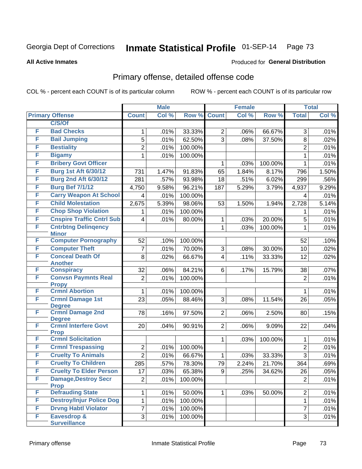#### **All Active Inmates**

#### Produced for **General Distribution**

### Primary offense, detailed offense code

|   |                                             | <b>Male</b>          |       |         | <b>Female</b>  |       |         | <b>Total</b>   |       |
|---|---------------------------------------------|----------------------|-------|---------|----------------|-------|---------|----------------|-------|
|   | <b>Primary Offense</b>                      | <b>Count</b>         | Col % | Row %   | <b>Count</b>   | Col % | Row %   | <b>Total</b>   | Col % |
|   | C/S/Of                                      |                      |       |         |                |       |         |                |       |
| F | <b>Bad Checks</b>                           | 1                    | .01%  | 33.33%  | $\overline{2}$ | .06%  | 66.67%  | 3              | .01%  |
| F | <b>Bail Jumping</b>                         | 5                    | .01%  | 62.50%  | 3              | .08%  | 37.50%  | 8              | .02%  |
| F | <b>Bestiality</b>                           | $\overline{2}$       | .01%  | 100.00% |                |       |         | $\overline{2}$ | .01%  |
| F | <b>Bigamy</b>                               | 1                    | .01%  | 100.00% |                |       |         | 1              | .01%  |
| F | <b>Bribery Govt Officer</b>                 |                      |       |         | $\mathbf{1}$   | .03%  | 100.00% | $\mathbf{1}$   | .01%  |
| F | <b>Burg 1st Aft 6/30/12</b>                 | 731                  | 1.47% | 91.83%  | 65             | 1.84% | 8.17%   | 796            | 1.50% |
| F | <b>Burg 2nd Aft 6/30/12</b>                 | 281                  | .57%  | 93.98%  | 18             | .51%  | 6.02%   | 299            | .56%  |
| F | <b>Burg Bef 7/1/12</b>                      | 4,750                | 9.58% | 96.21%  | 187            | 5.29% | 3.79%   | 4,937          | 9.29% |
| F | <b>Carry Weapon At School</b>               | 4                    | .01%  | 100.00% |                |       |         | $\overline{4}$ | .01%  |
| F | <b>Child Molestation</b>                    | 2,675                | 5.39% | 98.06%  | 53             | 1.50% | 1.94%   | 2,728          | 5.14% |
| F | <b>Chop Shop Violation</b>                  | 1                    | .01%  | 100.00% |                |       |         | 1              | .01%  |
| F | <b>Cnspire Traffic Cntrl Sub</b>            | 4                    | .01%  | 80.00%  | $\mathbf{1}$   | .03%  | 20.00%  | 5              | .01%  |
| F | <b>Cntrbtng Delingency</b>                  |                      |       |         | $\mathbf{1}$   | .03%  | 100.00% | 1              | .01%  |
| F | <b>Minor</b><br><b>Computer Pornography</b> |                      | .10%  |         |                |       |         |                |       |
| F | <b>Computer Theft</b>                       | 52<br>$\overline{7}$ | .01%  | 100.00% |                |       | 30.00%  | 52             | .10%  |
| F | <b>Conceal Death Of</b>                     |                      |       | 70.00%  | 3              | .08%  |         | 10             | .02%  |
|   | <b>Another</b>                              | 8                    | .02%  | 66.67%  | $\overline{4}$ | .11%  | 33.33%  | 12             | .02%  |
| F | <b>Conspiracy</b>                           | 32                   | .06%  | 84.21%  | 6              | .17%  | 15.79%  | 38             | .07%  |
| F | <b>Convsn Paymnts Real</b>                  | $\overline{2}$       | .01%  | 100.00% |                |       |         | $\overline{2}$ | .01%  |
|   | <b>Propy</b>                                |                      |       |         |                |       |         |                |       |
| F | <b>Crmnl Abortion</b>                       | $\mathbf{1}$         | .01%  | 100.00% |                |       |         | 1              | .01%  |
| F | <b>Crmnl Damage 1st</b>                     | 23                   | .05%  | 88.46%  | 3              | .08%  | 11.54%  | 26             | .05%  |
| F | <b>Degree</b><br><b>Crmnl Damage 2nd</b>    | 78                   | .16%  | 97.50%  | $\overline{2}$ | .06%  | 2.50%   | 80             | .15%  |
|   | <b>Degree</b>                               |                      |       |         |                |       |         |                |       |
| F | <b>Crmnl Interfere Govt</b>                 | 20                   | .04%  | 90.91%  | $\overline{2}$ | .06%  | 9.09%   | 22             | .04%  |
|   | <b>Prop</b>                                 |                      |       |         |                |       |         |                |       |
| F | <b>Crmnl Solicitation</b>                   |                      |       |         | 1              | .03%  | 100.00% | 1              | .01%  |
| F | <b>Crmnl Trespassing</b>                    | $\overline{2}$       | .01%  | 100.00% |                |       |         | $\overline{2}$ | .01%  |
| F | <b>Cruelty To Animals</b>                   | $\overline{2}$       | .01%  | 66.67%  | $\mathbf{1}$   | .03%  | 33.33%  | 3              | .01%  |
| F | <b>Cruelty To Children</b>                  | 285                  | .57%  | 78.30%  | 79             | 2.24% | 21.70%  | 364            | .69%  |
| F | <b>Cruelty To Elder Person</b>              | 17                   | .03%  | 65.38%  | 9              | .25%  | 34.62%  | 26             | .05%  |
| F | <b>Damage, Destroy Secr</b>                 | $\overline{2}$       | .01%  | 100.00% |                |       |         | $\overline{2}$ | .01%  |
| F | <b>Prop</b><br><b>Defrauding State</b>      | $\mathbf 1$          | .01%  | 50.00%  | 1 <sup>1</sup> | .03%  | 50.00%  | $\overline{2}$ | .01%  |
| F | <b>Destroy/Injur Police Dog</b>             | $\mathbf{1}$         | .01%  | 100.00% |                |       |         | $\mathbf{1}$   | .01%  |
| F | <b>Drvng Habtl Violator</b>                 | $\overline{7}$       | .01%  | 100.00% |                |       |         | $\overline{7}$ | .01%  |
| F | Eavesdrop &                                 | 3                    | .01%  | 100.00% |                |       |         | 3              | .01%  |
|   | <b>Surveillance</b>                         |                      |       |         |                |       |         |                |       |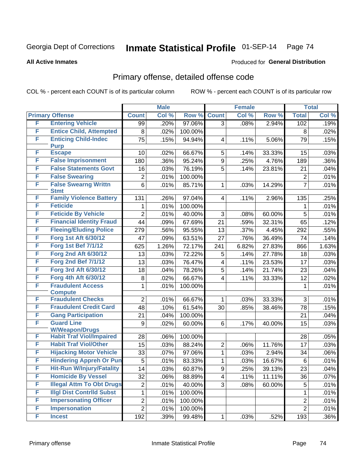#### **All Active Inmates**

#### Produced for **General Distribution**

### Primary offense, detailed offense code

|   |                                                          | <b>Male</b>             |       |         |                | <b>Female</b> |        | <b>Total</b>    |       |
|---|----------------------------------------------------------|-------------------------|-------|---------|----------------|---------------|--------|-----------------|-------|
|   | <b>Primary Offense</b>                                   | <b>Count</b>            | Col % | Row %   | <b>Count</b>   | Col %         | Row %  | <b>Total</b>    | Col % |
| F | <b>Entering Vehicle</b>                                  | 99                      | .20%  | 97.06%  | 3              | .08%          | 2.94%  | 102             | .19%  |
| F | <b>Entice Child, Attempted</b>                           | 8                       | .02%  | 100.00% |                |               |        | 8               | .02%  |
| F | <b>Enticing Child-Indec</b>                              | 75                      | .15%  | 94.94%  | 4              | .11%          | 5.06%  | 79              | .15%  |
|   | <b>Purp</b>                                              |                         |       |         |                |               |        |                 |       |
| F | <b>Escape</b>                                            | 10                      | .02%  | 66.67%  | 5              | .14%          | 33.33% | 15              | .03%  |
| F | <b>False Imprisonment</b>                                | 180                     | .36%  | 95.24%  | 9              | .25%          | 4.76%  | 189             | .36%  |
| F | <b>False Statements Govt</b>                             | 16                      | .03%  | 76.19%  | 5              | .14%          | 23.81% | 21              | .04%  |
| F | <b>False Swearing</b>                                    | 2                       | .01%  | 100.00% |                |               |        | $\overline{2}$  | .01%  |
| F | <b>False Swearng Writtn</b><br><b>Stmt</b>               | 6                       | .01%  | 85.71%  | 1              | .03%          | 14.29% | $\overline{7}$  | .01%  |
| F | <b>Family Violence Battery</b>                           | 131                     | .26%  | 97.04%  | 4              | .11%          | 2.96%  | 135             | .25%  |
| F | <b>Feticide</b>                                          | 1                       | .01%  | 100.00% |                |               |        | 1               | .01%  |
| F | <b>Feticide By Vehicle</b>                               | $\overline{2}$          | .01%  | 40.00%  | 3              | .08%          | 60.00% | 5               | .01%  |
| F | <b>Financial Identity Fraud</b>                          | 44                      | .09%  | 67.69%  | 21             | .59%          | 32.31% | 65              | .12%  |
| F | <b>Fleeing/Eluding Police</b>                            | 279                     | .56%  | 95.55%  | 13             | .37%          | 4.45%  | 292             | .55%  |
| F | <b>Forg 1st Aft 6/30/12</b>                              | 47                      | .09%  | 63.51%  | 27             | .76%          | 36.49% | 74              | .14%  |
| F | <b>Forg 1st Bef 7/1/12</b>                               | 625                     | 1.26% | 72.17%  | 241            | 6.82%         | 27.83% | 866             | 1.63% |
| F | <b>Forg 2nd Aft 6/30/12</b>                              | 13                      | .03%  | 72.22%  | 5              | .14%          | 27.78% | 18              | .03%  |
| F | <b>Forg 2nd Bef 7/1/12</b>                               | 13                      | .03%  | 76.47%  | 4              | .11%          | 23.53% | 17              | .03%  |
| F | <b>Forg 3rd Aft 6/30/12</b>                              | 18                      | .04%  | 78.26%  | 5              | .14%          | 21.74% | 23              | .04%  |
| F | Forg 4th Aft 6/30/12                                     | 8                       | .02%  | 66.67%  | 4              | .11%          | 33.33% | 12              | .02%  |
| F | <b>Fraudulent Access</b>                                 | 1                       | .01%  | 100.00% |                |               |        | 1               | .01%  |
|   | <b>Compute</b>                                           |                         |       |         |                |               |        |                 |       |
| F | <b>Fraudulent Checks</b>                                 | $\overline{2}$          | .01%  | 66.67%  | 1              | .03%          | 33.33% | 3               | .01%  |
| F | <b>Fraudulent Credit Card</b>                            | 48                      | .10%  | 61.54%  | 30             | .85%          | 38.46% | 78              | .15%  |
| F | <b>Gang Participation</b>                                | 21                      | .04%  | 100.00% |                |               |        | 21              | .04%  |
| F | <b>Guard Line</b>                                        | 9                       | .02%  | 60.00%  | 6              | .17%          | 40.00% | 15              | .03%  |
| F | <b>W/Weapon/Drugs</b><br><b>Habit Traf Viol/Impaired</b> | 28                      | .06%  | 100.00% |                |               |        | 28              | .05%  |
| F | <b>Habit Traf Viol/Other</b>                             | 15                      | .03%  | 88.24%  | 2              | .06%          | 11.76% | 17              | .03%  |
| F | <b>Hijacking Motor Vehicle</b>                           | 33                      | .07%  | 97.06%  | 1              | .03%          | 2.94%  | 34              | .06%  |
| F | <b>Hindering Appreh Or Pun</b>                           | 5                       | .01%  | 83.33%  | 1              | .03%          | 16.67% | 6               | .01%  |
| F | <b>Hit-Run W/Injury/Fatality</b>                         | $\overline{14}$         | .03%  | 60.87%  | $\overline{9}$ | .25%          | 39.13% | $\overline{23}$ | .04%  |
| F | <b>Homicide By Vessel</b>                                | 32                      | .06%  | 88.89%  | 4              | .11%          | 11.11% | 36              | .07%  |
| F | <b>Illegal Attm To Obt Drugs</b>                         | $\overline{c}$          | .01%  | 40.00%  | 3 <sup>1</sup> | .08%          | 60.00% | 5               | .01%  |
| F | <b>Illgl Dist Contrild Subst</b>                         | 1                       | .01%  | 100.00% |                |               |        | $\mathbf{1}$    | .01%  |
| F | <b>Impersonating Officer</b>                             | $\overline{\mathbf{c}}$ | .01%  | 100.00% |                |               |        | $\overline{2}$  | .01%  |
| F | <b>Impersonation</b>                                     | $\overline{c}$          | .01%  | 100.00% |                |               |        | $\overline{2}$  | .01%  |
| F | <b>Incest</b>                                            | 192                     | .39%  | 99.48%  | $\mathbf{1}$   | .03%          | .52%   | 193             | .36%  |
|   |                                                          |                         |       |         |                |               |        |                 |       |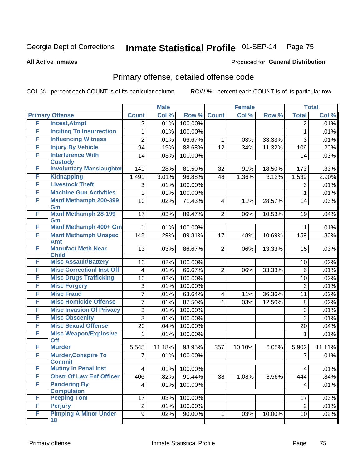**All Active Inmates**

#### Produced for **General Distribution**

### Primary offense, detailed offense code

|   |                                             | <b>Male</b>     |        |         | <b>Female</b>  |        |        | <b>Total</b>    |        |
|---|---------------------------------------------|-----------------|--------|---------|----------------|--------|--------|-----------------|--------|
|   | <b>Primary Offense</b>                      | <b>Count</b>    | Col %  | Row %   | <b>Count</b>   | Col %  | Row %  | <b>Total</b>    | Col %  |
| F | <b>Incest, Atmpt</b>                        | $\overline{2}$  | .01%   | 100.00% |                |        |        | $\overline{2}$  | .01%   |
| F | <b>Inciting To Insurrection</b>             | 1               | .01%   | 100.00% |                |        |        | $\mathbf{1}$    | .01%   |
| F | <b>Influencing Witness</b>                  | $\overline{2}$  | .01%   | 66.67%  | 1              | .03%   | 33.33% | 3               | .01%   |
| F | <b>Injury By Vehicle</b>                    | 94              | .19%   | 88.68%  | 12             | .34%   | 11.32% | 106             | .20%   |
| F | <b>Interference With</b>                    | 14              | .03%   | 100.00% |                |        |        | 14              | .03%   |
|   | <b>Custody</b>                              |                 |        |         |                |        |        |                 |        |
| F | <b>Involuntary Manslaughter</b>             | 141             | .28%   | 81.50%  | 32             | .91%   | 18.50% | 173             | .33%   |
| F | <b>Kidnapping</b>                           | 1,491           | 3.01%  | 96.88%  | 48             | 1.36%  | 3.12%  | 1,539           | 2.90%  |
| F | <b>Livestock Theft</b>                      | 3               | .01%   | 100.00% |                |        |        | 3               | .01%   |
| F | <b>Machine Gun Activities</b>               | 1               | .01%   | 100.00% |                |        |        | 1               | .01%   |
| F | <b>Manf Methamph 200-399</b><br>Gm          | 10              | .02%   | 71.43%  | $\overline{4}$ | .11%   | 28.57% | 14              | .03%   |
| F | <b>Manf Methamph 28-199</b><br>Gm           | 17              | .03%   | 89.47%  | $\overline{2}$ | .06%   | 10.53% | 19              | .04%   |
| F | Manf Methamph 400+ Gm                       | 1               | .01%   | 100.00% |                |        |        | 1               | .01%   |
| F | <b>Manf Methamph Unspec</b>                 | 142             | .29%   | 89.31%  | 17             | .48%   | 10.69% | 159             | .30%   |
|   | Amt                                         |                 |        |         |                |        |        |                 |        |
| F | <b>Manufact Meth Near</b>                   | 13              | .03%   | 86.67%  | $\overline{2}$ | .06%   | 13.33% | 15              | .03%   |
| F | <b>Child</b><br><b>Misc Assault/Battery</b> | 10              | .02%   | 100.00% |                |        |        | 10              | .02%   |
| F | <b>Misc CorrectionI Inst Off</b>            | 4               | .01%   | 66.67%  | $\overline{2}$ | .06%   | 33.33% | 6               | .01%   |
| F | <b>Misc Drugs Trafficking</b>               | 10              | .02%   | 100.00% |                |        |        | 10              | .02%   |
| F | <b>Misc Forgery</b>                         | 3               | .01%   | 100.00% |                |        |        | 3               | .01%   |
| F | <b>Misc Fraud</b>                           | $\overline{7}$  | .01%   | 63.64%  | 4              | .11%   | 36.36% | 11              | .02%   |
| F | <b>Misc Homicide Offense</b>                | $\overline{7}$  | .01%   | 87.50%  | 1              | .03%   | 12.50% | 8               | .02%   |
| F | <b>Misc Invasion Of Privacy</b>             | $\mathfrak{S}$  |        |         |                |        |        |                 |        |
| F | <b>Misc Obscenity</b>                       | 3               | .01%   | 100.00% |                |        |        | 3               | .01%   |
| F | <b>Misc Sexual Offense</b>                  |                 | .01%   | 100.00% |                |        |        | 3               | .01%   |
| F | <b>Misc Weapon/Explosive</b>                | 20              | .04%   | 100.00% |                |        |        | 20              | .04%   |
|   | <b>Off</b>                                  |                 | .01%   | 100.00% |                |        |        | 1               | .01%   |
| F | <b>Murder</b>                               | 5,545           | 11.18% | 93.95%  | 357            | 10.10% | 6.05%  | 5,902           | 11.11% |
| F | <b>Murder, Conspire To</b><br><b>Commit</b> | 7               | .01%   | 100.00% |                |        |        | $\overline{7}$  | .01%   |
| F | <b>Mutiny In Penal Inst</b>                 | $\vert 4 \vert$ | .01%   | 100.00% |                |        |        | $\vert 4 \vert$ | .01%   |
| F | <b>Obstr Of Law Enf Officer</b>             | 406             | .82%   | 91.44%  | 38             | 1.08%  | 8.56%  | 444             | .84%   |
| F | <b>Pandering By</b>                         | 4               | .01%   | 100.00% |                |        |        | 4               | .01%   |
|   | <b>Compulsion</b>                           |                 |        |         |                |        |        |                 |        |
| F | <b>Peeping Tom</b>                          | 17              | .03%   | 100.00% |                |        |        | 17              | .03%   |
| F | <b>Perjury</b>                              | $\overline{c}$  | .01%   | 100.00% |                |        |        | $\overline{2}$  | .01%   |
| F | <b>Pimping A Minor Under</b>                | 9               | .02%   | 90.00%  | 1              | .03%   | 10.00% | 10 <sup>1</sup> | .02%   |
|   | 18                                          |                 |        |         |                |        |        |                 |        |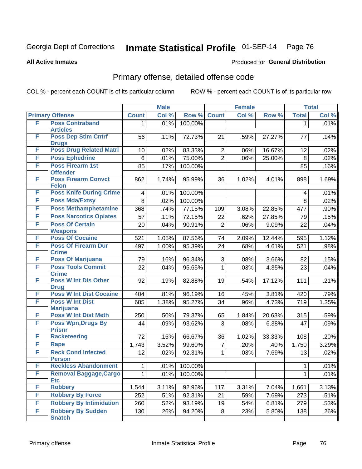**All Active Inmates**

#### Produced for **General Distribution**

### Primary offense, detailed offense code

|   |                                               | <b>Male</b>  |       | <b>Female</b> |                |       | <b>Total</b> |              |       |
|---|-----------------------------------------------|--------------|-------|---------------|----------------|-------|--------------|--------------|-------|
|   | <b>Primary Offense</b>                        | <b>Count</b> | Col % | Row %         | <b>Count</b>   | Col % | Row %        | <b>Total</b> | Col % |
| F | <b>Poss Contraband</b>                        | 1.           | .01%  | 100.00%       |                |       |              | $\mathbf{1}$ | .01%  |
|   | <b>Articles</b>                               |              |       |               |                |       |              |              |       |
| F | <b>Poss Dep Stim Cntrf</b><br><b>Drugs</b>    | 56           | .11%  | 72.73%        | 21             | .59%  | 27.27%       | 77           | .14%  |
| F | <b>Poss Drug Related Matri</b>                | 10           | .02%  | 83.33%        | $\overline{2}$ | .06%  | 16.67%       | 12           | .02%  |
| F | <b>Poss Ephedrine</b>                         | $\,6$        | .01%  | 75.00%        | $\overline{2}$ | .06%  | 25.00%       | $\, 8$       | .02%  |
| F | <b>Poss Firearm 1st</b>                       | 85           | .17%  | 100.00%       |                |       |              | 85           | .16%  |
|   | <b>Offender</b>                               |              |       |               |                |       |              |              |       |
| F | <b>Poss Firearm Convct</b><br><b>Felon</b>    | 862          | 1.74% | 95.99%        | 36             | 1.02% | 4.01%        | 898          | 1.69% |
| F | <b>Poss Knife During Crime</b>                | 4            | .01%  | 100.00%       |                |       |              | 4            | .01%  |
| F | <b>Poss Mda/Extsy</b>                         | 8            | .02%  | 100.00%       |                |       |              | 8            | .02%  |
| F | <b>Poss Methamphetamine</b>                   | 368          | .74%  | 77.15%        | 109            | 3.08% | 22.85%       | 477          | .90%  |
| F | <b>Poss Narcotics Opiates</b>                 | 57           | .11%  | 72.15%        | 22             | .62%  | 27.85%       | 79           | .15%  |
| F | <b>Poss Of Certain</b>                        | 20           | .04%  | 90.91%        | $\overline{c}$ | .06%  | 9.09%        | 22           | .04%  |
| F | <b>Weapons</b><br><b>Poss Of Cocaine</b>      | 521          | 1.05% | 87.56%        | 74             | 2.09% | 12.44%       | 595          | 1.12% |
| F | <b>Poss Of Firearm Dur</b>                    | 497          | 1.00% | 95.39%        | 24             | .68%  | 4.61%        | 521          | .98%  |
|   | <b>Crime</b>                                  |              |       |               |                |       |              |              |       |
| F | <b>Poss Of Marijuana</b>                      | 79           | .16%  | 96.34%        | 3              | .08%  | 3.66%        | 82           | .15%  |
| F | <b>Poss Tools Commit</b>                      | 22           | .04%  | 95.65%        | 1              | .03%  | 4.35%        | 23           | .04%  |
|   | <b>Crime</b>                                  |              |       |               |                |       |              |              |       |
| F | <b>Poss W Int Dis Other</b>                   | 92           | .19%  | 82.88%        | 19             | .54%  | 17.12%       | 111          | .21%  |
| F | <b>Drug</b><br><b>Poss W Int Dist Cocaine</b> | 404          | .81%  | 96.19%        | 16             | .45%  | 3.81%        | 420          | .79%  |
| F | <b>Poss W Int Dist</b>                        | 685          | 1.38% | 95.27%        | 34             | .96%  | 4.73%        | 719          | 1.35% |
|   | <b>Marijuana</b>                              |              |       |               |                |       |              |              |       |
| F | <b>Poss W Int Dist Meth</b>                   | 250          | .50%  | 79.37%        | 65             | 1.84% | 20.63%       | 315          | .59%  |
| F | <b>Poss Wpn, Drugs By</b>                     | 44           | .09%  | 93.62%        | 3              | .08%  | 6.38%        | 47           | .09%  |
| F | <b>Prisnr</b><br><b>Racketeering</b>          |              |       |               |                |       |              |              |       |
| F |                                               | 72           | .15%  | 66.67%        | 36             | 1.02% | 33.33%       | 108          | .20%  |
| F | Rape<br><b>Reck Cond Infected</b>             | 1,743        | 3.52% | 99.60%        | $\overline{7}$ | .20%  | .40%         | 1,750        | 3.29% |
|   | <b>Person</b>                                 | 12           | .02%  | 92.31%        | $\mathbf{1}$   | .03%  | 7.69%        | 13           | .02%  |
| F | <b>Reckless Abandonment</b>                   | 1            | .01%  | 100.00%       |                |       |              | $\mathbf{1}$ | .01%  |
| F | <b>Removal Baggage, Cargo</b>                 | 1            | .01%  | 100.00%       |                |       |              | $\mathbf{1}$ | .01%  |
|   | <b>Etc</b>                                    |              |       |               |                |       |              |              |       |
| F | <b>Robbery</b>                                | 1,544        | 3.11% | 92.96%        | 117            | 3.31% | 7.04%        | 1,661        | 3.13% |
| F | <b>Robbery By Force</b>                       | 252          | .51%  | 92.31%        | 21             | .59%  | 7.69%        | 273          | .51%  |
| F | <b>Robbery By Intimidation</b>                | 260          | .52%  | 93.19%        | 19             | .54%  | 6.81%        | 279          | .53%  |
| F | <b>Robbery By Sudden</b><br><b>Snatch</b>     | 130          | .26%  | 94.20%        | 8 <sup>1</sup> | .23%  | 5.80%        | 138          | .26%  |
|   |                                               |              |       |               |                |       |              |              |       |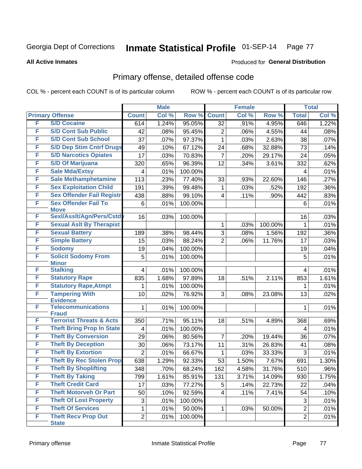#### **All Active Inmates**

#### Produced for **General Distribution**

### Primary offense, detailed offense code

|   |                                           | <b>Male</b>    |       | <b>Female</b> |                |       | <b>Total</b> |                |       |
|---|-------------------------------------------|----------------|-------|---------------|----------------|-------|--------------|----------------|-------|
|   | <b>Primary Offense</b>                    | <b>Count</b>   | Col % | Row %         | <b>Count</b>   | Col % | Row %        | <b>Total</b>   | Col % |
| F | <b>S/D Cocaine</b>                        | 614            | 1.24% | 95.05%        | 32             | .91%  | 4.95%        | 646            | 1.22% |
| F | <b>S/D Cont Sub Public</b>                | 42             | .08%  | 95.45%        | 2              | .06%  | 4.55%        | 44             | .08%  |
| F | <b>S/D Cont Sub School</b>                | 37             | .07%  | 97.37%        | 1              | .03%  | 2.63%        | 38             | .07%  |
| F | <b>S/D Dep Stim Cntrf Drugs</b>           | 49             | .10%  | 67.12%        | 24             | .68%  | 32.88%       | 73             | .14%  |
| F | <b>S/D Narcotics Opiates</b>              | 17             | .03%  | 70.83%        | 7              | .20%  | 29.17%       | 24             | .05%  |
| F | <b>S/D Of Marijuana</b>                   | 320            | .65%  | 96.39%        | 12             | .34%  | 3.61%        | 332            | .62%  |
| F | <b>Sale Mda/Extsy</b>                     | 4              | .01%  | 100.00%       |                |       |              | 4              | .01%  |
| F | <b>Sale Methamphetamine</b>               | 113            | .23%  | 77.40%        | 33             | .93%  | 22.60%       | 146            | .27%  |
| F | <b>Sex Exploitation Child</b>             | 191            | .39%  | 99.48%        | 1              | .03%  | .52%         | 192            | .36%  |
| F | <b>Sex Offender Fail Registr</b>          | 438            | .88%  | 99.10%        | 4              | .11%  | .90%         | 442            | .83%  |
| F | <b>Sex Offender Fail To</b>               | 6              | .01%  | 100.00%       |                |       |              | 6              | .01%  |
|   | <b>Move</b>                               |                |       |               |                |       |              |                |       |
| F | Sexl/Asslt/Agn/Pers/Cstdv                 | 16             | .03%  | 100.00%       |                |       |              | 16             | .03%  |
| F | <b>Sexual Aslt By Therapist</b>           |                |       |               | 1              | .03%  | 100.00%      | 1              | .01%  |
| F | <b>Sexual Battery</b>                     | 189            | .38%  | 98.44%        | 3              | .08%  | 1.56%        | 192            | .36%  |
| F | <b>Simple Battery</b>                     | 15             | .03%  | 88.24%        | $\overline{2}$ | .06%  | 11.76%       | 17             | .03%  |
| F | <b>Sodomy</b>                             | 19             | .04%  | 100.00%       |                |       |              | 19             | .04%  |
| F | <b>Solicit Sodomy From</b>                | 5              | .01%  | 100.00%       |                |       |              | 5              | .01%  |
| F | <b>Minor</b><br><b>Stalking</b>           |                |       |               |                |       |              |                |       |
| F |                                           | 4              | .01%  | 100.00%       |                |       |              | 4              | .01%  |
| F | <b>Statutory Rape</b>                     | 835            | 1.68% | 97.89%        | 18             | .51%  | 2.11%        | 853            | 1.61% |
|   | <b>Statutory Rape, Atmpt</b>              | 1              | .01%  | 100.00%       |                |       |              | 1              | .01%  |
| F | <b>Tampering With</b><br><b>Evidence</b>  | 10             | .02%  | 76.92%        | 3              | .08%  | 23.08%       | 13             | .02%  |
| F | <b>Telecommunications</b><br><b>Fraud</b> | 1              | .01%  | 100.00%       |                |       |              | 1              | .01%  |
| F | <b>Terrorist Threats &amp; Acts</b>       | 350            | .71%  | 95.11%        | 18             | .51%  | 4.89%        | 368            | .69%  |
| F | <b>Theft Bring Prop In State</b>          | 4              | .01%  | 100.00%       |                |       |              | $\overline{4}$ | .01%  |
| F | <b>Theft By Conversion</b>                | 29             | .06%  | 80.56%        | 7              | .20%  | 19.44%       | 36             | .07%  |
| F | <b>Theft By Deception</b>                 | 30             | .06%  | 73.17%        | 11             | .31%  | 26.83%       | 41             | .08%  |
| F | <b>Theft By Extortion</b>                 | $\overline{2}$ | .01%  | 66.67%        | 1              | .03%  | 33.33%       | $\mathfrak{S}$ | .01%  |
| F | <b>Theft By Rec Stolen Prop</b>           | 638            | 1.29% | 92.33%        | 53             | 1.50% | 7.67%        | 691            | 1.30% |
| F | <b>Theft By Shoplifting</b>               | 348            | .70%  | 68.24%        | 162            | 4.58% | 31.76%       | 510            | .96%  |
| F | <b>Theft By Taking</b>                    | 799            | 1.61% | 85.91%        | 131            | 3.71% | 14.09%       | 930            | 1.75% |
| F | <b>Theft Credit Card</b>                  | 17             | .03%  | 77.27%        | 5              | .14%  | 22.73%       | 22             | .04%  |
| F | <b>Theft Motorveh Or Part</b>             | 50             | .10%  | 92.59%        | 4              | .11%  | 7.41%        | 54             | .10%  |
| F | <b>Theft Of Lost Property</b>             | 3              | .01%  | 100.00%       |                |       |              | 3              | .01%  |
| F | <b>Theft Of Services</b>                  | 1              | .01%  | 50.00%        | 1              | .03%  | 50.00%       | $\overline{2}$ | .01%  |
| F | <b>Theft Recv Prop Out</b>                | $\overline{2}$ | .01%  | 100.00%       |                |       |              | $\overline{2}$ | .01%  |
|   | <b>State</b>                              |                |       |               |                |       |              |                |       |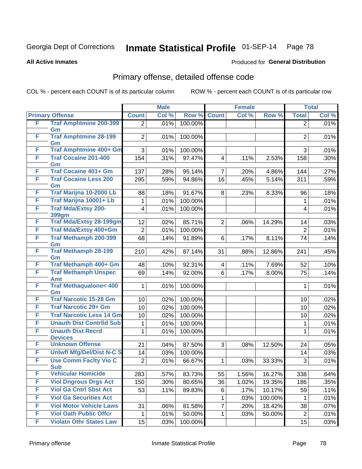#### **All Active Inmates**

### Produced for **General Distribution**

### Primary offense, detailed offense code

| <b>Primary Offense</b><br>Col %<br>Row %<br><b>Count</b><br>Col %<br>Row %<br>Col %<br><b>Count</b><br><b>Total</b><br>F<br><b>Traf Amphtmine 200-399</b><br>100.00%<br>.01%<br>$\overline{2}$<br>$\overline{2}$<br>Gm<br><b>Traf Amphtmine 28-199</b><br>F<br>$\overline{2}$<br>100.00%<br>$\overline{2}$<br>.01%<br>Gm<br><b>Traf Amphtmine 400+ Gm</b><br>F<br>100.00%<br>3<br>.01%<br>3<br>F<br><b>Traf Cocaine 201-400</b><br>154<br>.31%<br>97.47%<br>.11%<br>158<br>$\overline{\mathbf{4}}$<br>2.53%<br>Gm<br><b>Traf Cocaine 401+ Gm</b><br>F<br>95.14%<br>137<br>.28%<br>$\overline{7}$<br>.20%<br>4.86%<br>144<br>.27%<br>F<br><b>Traf Cocaine Less 200</b><br>295<br>.59%<br>94.86%<br>16<br>.45%<br>5.14%<br>311<br>Gm<br>Traf Marijna 10-2000 Lb<br>F<br>91.67%<br>.18%<br>8<br>8.33%<br>.18%<br>88<br>.23%<br>96<br>F<br>Traf Marijna 10001+ Lb<br>100.00%<br>.01%<br>$\mathbf 1$<br>1<br><b>Traf Mda/Extsy 200-</b><br>F<br>100.00%<br>.01%<br>.01%<br>4<br>$\overline{4}$<br>399gm<br><b>Traf Mda/Extsy 28-199gm</b><br>F<br>12<br>85.71%<br>$\overline{2}$<br>.03%<br>.02%<br>.06%<br>14.29%<br>14<br>F<br>Traf Mda/Extsy 400+Gm<br>.01%<br>100.00%<br>.01%<br>$\overline{2}$<br>$\overline{2}$<br>F<br><b>Traf Methamph 200-399</b><br>68<br>.14%<br>91.89%<br>6<br>8.11%<br>74<br>.17%<br>Gm<br><b>Traf Methamph 28-199</b><br>F<br>87.14%<br>.45%<br>210<br>.42%<br>.88%<br>12.86%<br>241<br>31<br>Gm<br>Traf Methamph 400+ Gm<br>F<br>48<br>92.31%<br>.10%<br>$\overline{\mathbf{4}}$<br>.11%<br>7.69%<br>52<br><b>Traf Methamph Unspec</b><br>F<br>.14%<br>92.00%<br>.17%<br>8.00%<br>.14%<br>69<br>6<br>75<br>Amt<br><b>Traf Methaqualone&lt; 400</b><br>F<br>.01%<br>100.00%<br>1<br>$\mathbf{1}$<br>Gm<br><b>Traf Narcotic 15-28 Gm</b><br>F<br>100.00%<br>.02%<br>.02%<br>10<br>10<br>F<br><b>Traf Narcotic 29+ Gm</b><br>10<br>.02%<br>100.00%<br>.02%<br>10<br><b>Traf Narcotic Less 14 Gm</b><br>F<br>100.00%<br>.02%<br>10<br>.02%<br>10<br>F<br><b>Unauth Dist Contrild Sub</b><br>.01%<br>100.00%<br>1<br>$\mathbf{1}$<br>.01%<br>F<br><b>Unauth Dist Recrd</b><br>100.00%<br>1<br>.01%<br>$\mathbf{1}$<br>.01%<br><b>Devices</b><br><b>Unknown Offense</b><br>F<br>87.50%<br>.05%<br>21<br>.04%<br>3<br>.08%<br>12.50%<br>24<br><b>Uniwfl Mfg/Del/Dist N-C S</b><br>F<br>100.00%<br>14<br>.03%<br>14<br>F<br><b>Use Comm Facity Vio C</b><br>$\overline{2}$<br>.01%<br>66.67%<br>33.33%<br>3<br>$\mathbf{1}$<br>.03%<br><b>Sub</b><br>F<br><b>Vehicular Homicide</b><br>283<br>.57%<br>83.73%<br>55<br>1.56%<br>16.27%<br>338<br>F<br><b>Viol Dngrous Drgs Act</b><br>150<br>.30%<br>36<br>.35%<br>80.65%<br>1.02%<br>19.35%<br>186<br><b>Viol Ga Cntrl Sbst Act</b><br>F<br>53<br>.11%<br>89.83%<br>6<br>.17%<br>10.17%<br>59<br>.11%<br>F<br><b>Viol Ga Securities Act</b><br>$\mathbf{1}$<br>.03%<br>100.00%<br>1<br>F<br><b>Viol Motor Vehicle Laws</b><br>$\overline{7}$<br>31<br>.06%<br>81.58%<br>18.42%<br>38<br>.20%<br>.07%<br>F<br><b>Viol Oath Public Offcr</b><br>.01%<br>50.00%<br>.03%<br>50.00%<br>$\overline{2}$<br>.01%<br>1<br>1 |   |                                | <b>Male</b> |      |         | <b>Female</b> |  |  | <b>Total</b> |      |
|--------------------------------------------------------------------------------------------------------------------------------------------------------------------------------------------------------------------------------------------------------------------------------------------------------------------------------------------------------------------------------------------------------------------------------------------------------------------------------------------------------------------------------------------------------------------------------------------------------------------------------------------------------------------------------------------------------------------------------------------------------------------------------------------------------------------------------------------------------------------------------------------------------------------------------------------------------------------------------------------------------------------------------------------------------------------------------------------------------------------------------------------------------------------------------------------------------------------------------------------------------------------------------------------------------------------------------------------------------------------------------------------------------------------------------------------------------------------------------------------------------------------------------------------------------------------------------------------------------------------------------------------------------------------------------------------------------------------------------------------------------------------------------------------------------------------------------------------------------------------------------------------------------------------------------------------------------------------------------------------------------------------------------------------------------------------------------------------------------------------------------------------------------------------------------------------------------------------------------------------------------------------------------------------------------------------------------------------------------------------------------------------------------------------------------------------------------------------------------------------------------------------------------------------------------------------------------------------------------------------------------------------------------------------------------------------------------------------------------------------------------------------------------------------------------------------------------------------------------------------------------------------------------------------------------------------------------------------------------------------------------------------------------------------------------------------------------------|---|--------------------------------|-------------|------|---------|---------------|--|--|--------------|------|
| .01%<br>.01%<br>.01%<br>.30%<br>.59%<br>.01%<br>.14%<br>.10%<br>.01%<br>.03%<br>.01%<br>.64%<br>.01%                                                                                                                                                                                                                                                                                                                                                                                                                                                                                                                                                                                                                                                                                                                                                                                                                                                                                                                                                                                                                                                                                                                                                                                                                                                                                                                                                                                                                                                                                                                                                                                                                                                                                                                                                                                                                                                                                                                                                                                                                                                                                                                                                                                                                                                                                                                                                                                                                                                                                                                                                                                                                                                                                                                                                                                                                                                                                                                                                                                 |   |                                |             |      |         |               |  |  |              |      |
|                                                                                                                                                                                                                                                                                                                                                                                                                                                                                                                                                                                                                                                                                                                                                                                                                                                                                                                                                                                                                                                                                                                                                                                                                                                                                                                                                                                                                                                                                                                                                                                                                                                                                                                                                                                                                                                                                                                                                                                                                                                                                                                                                                                                                                                                                                                                                                                                                                                                                                                                                                                                                                                                                                                                                                                                                                                                                                                                                                                                                                                                                      |   |                                |             |      |         |               |  |  |              |      |
|                                                                                                                                                                                                                                                                                                                                                                                                                                                                                                                                                                                                                                                                                                                                                                                                                                                                                                                                                                                                                                                                                                                                                                                                                                                                                                                                                                                                                                                                                                                                                                                                                                                                                                                                                                                                                                                                                                                                                                                                                                                                                                                                                                                                                                                                                                                                                                                                                                                                                                                                                                                                                                                                                                                                                                                                                                                                                                                                                                                                                                                                                      |   |                                |             |      |         |               |  |  |              |      |
|                                                                                                                                                                                                                                                                                                                                                                                                                                                                                                                                                                                                                                                                                                                                                                                                                                                                                                                                                                                                                                                                                                                                                                                                                                                                                                                                                                                                                                                                                                                                                                                                                                                                                                                                                                                                                                                                                                                                                                                                                                                                                                                                                                                                                                                                                                                                                                                                                                                                                                                                                                                                                                                                                                                                                                                                                                                                                                                                                                                                                                                                                      |   |                                |             |      |         |               |  |  |              |      |
|                                                                                                                                                                                                                                                                                                                                                                                                                                                                                                                                                                                                                                                                                                                                                                                                                                                                                                                                                                                                                                                                                                                                                                                                                                                                                                                                                                                                                                                                                                                                                                                                                                                                                                                                                                                                                                                                                                                                                                                                                                                                                                                                                                                                                                                                                                                                                                                                                                                                                                                                                                                                                                                                                                                                                                                                                                                                                                                                                                                                                                                                                      |   |                                |             |      |         |               |  |  |              |      |
|                                                                                                                                                                                                                                                                                                                                                                                                                                                                                                                                                                                                                                                                                                                                                                                                                                                                                                                                                                                                                                                                                                                                                                                                                                                                                                                                                                                                                                                                                                                                                                                                                                                                                                                                                                                                                                                                                                                                                                                                                                                                                                                                                                                                                                                                                                                                                                                                                                                                                                                                                                                                                                                                                                                                                                                                                                                                                                                                                                                                                                                                                      |   |                                |             |      |         |               |  |  |              |      |
|                                                                                                                                                                                                                                                                                                                                                                                                                                                                                                                                                                                                                                                                                                                                                                                                                                                                                                                                                                                                                                                                                                                                                                                                                                                                                                                                                                                                                                                                                                                                                                                                                                                                                                                                                                                                                                                                                                                                                                                                                                                                                                                                                                                                                                                                                                                                                                                                                                                                                                                                                                                                                                                                                                                                                                                                                                                                                                                                                                                                                                                                                      |   |                                |             |      |         |               |  |  |              |      |
|                                                                                                                                                                                                                                                                                                                                                                                                                                                                                                                                                                                                                                                                                                                                                                                                                                                                                                                                                                                                                                                                                                                                                                                                                                                                                                                                                                                                                                                                                                                                                                                                                                                                                                                                                                                                                                                                                                                                                                                                                                                                                                                                                                                                                                                                                                                                                                                                                                                                                                                                                                                                                                                                                                                                                                                                                                                                                                                                                                                                                                                                                      |   |                                |             |      |         |               |  |  |              |      |
|                                                                                                                                                                                                                                                                                                                                                                                                                                                                                                                                                                                                                                                                                                                                                                                                                                                                                                                                                                                                                                                                                                                                                                                                                                                                                                                                                                                                                                                                                                                                                                                                                                                                                                                                                                                                                                                                                                                                                                                                                                                                                                                                                                                                                                                                                                                                                                                                                                                                                                                                                                                                                                                                                                                                                                                                                                                                                                                                                                                                                                                                                      |   |                                |             |      |         |               |  |  |              |      |
|                                                                                                                                                                                                                                                                                                                                                                                                                                                                                                                                                                                                                                                                                                                                                                                                                                                                                                                                                                                                                                                                                                                                                                                                                                                                                                                                                                                                                                                                                                                                                                                                                                                                                                                                                                                                                                                                                                                                                                                                                                                                                                                                                                                                                                                                                                                                                                                                                                                                                                                                                                                                                                                                                                                                                                                                                                                                                                                                                                                                                                                                                      |   |                                |             |      |         |               |  |  |              |      |
|                                                                                                                                                                                                                                                                                                                                                                                                                                                                                                                                                                                                                                                                                                                                                                                                                                                                                                                                                                                                                                                                                                                                                                                                                                                                                                                                                                                                                                                                                                                                                                                                                                                                                                                                                                                                                                                                                                                                                                                                                                                                                                                                                                                                                                                                                                                                                                                                                                                                                                                                                                                                                                                                                                                                                                                                                                                                                                                                                                                                                                                                                      |   |                                |             |      |         |               |  |  |              |      |
|                                                                                                                                                                                                                                                                                                                                                                                                                                                                                                                                                                                                                                                                                                                                                                                                                                                                                                                                                                                                                                                                                                                                                                                                                                                                                                                                                                                                                                                                                                                                                                                                                                                                                                                                                                                                                                                                                                                                                                                                                                                                                                                                                                                                                                                                                                                                                                                                                                                                                                                                                                                                                                                                                                                                                                                                                                                                                                                                                                                                                                                                                      |   |                                |             |      |         |               |  |  |              |      |
|                                                                                                                                                                                                                                                                                                                                                                                                                                                                                                                                                                                                                                                                                                                                                                                                                                                                                                                                                                                                                                                                                                                                                                                                                                                                                                                                                                                                                                                                                                                                                                                                                                                                                                                                                                                                                                                                                                                                                                                                                                                                                                                                                                                                                                                                                                                                                                                                                                                                                                                                                                                                                                                                                                                                                                                                                                                                                                                                                                                                                                                                                      |   |                                |             |      |         |               |  |  |              |      |
|                                                                                                                                                                                                                                                                                                                                                                                                                                                                                                                                                                                                                                                                                                                                                                                                                                                                                                                                                                                                                                                                                                                                                                                                                                                                                                                                                                                                                                                                                                                                                                                                                                                                                                                                                                                                                                                                                                                                                                                                                                                                                                                                                                                                                                                                                                                                                                                                                                                                                                                                                                                                                                                                                                                                                                                                                                                                                                                                                                                                                                                                                      |   |                                |             |      |         |               |  |  |              |      |
|                                                                                                                                                                                                                                                                                                                                                                                                                                                                                                                                                                                                                                                                                                                                                                                                                                                                                                                                                                                                                                                                                                                                                                                                                                                                                                                                                                                                                                                                                                                                                                                                                                                                                                                                                                                                                                                                                                                                                                                                                                                                                                                                                                                                                                                                                                                                                                                                                                                                                                                                                                                                                                                                                                                                                                                                                                                                                                                                                                                                                                                                                      |   |                                |             |      |         |               |  |  |              |      |
|                                                                                                                                                                                                                                                                                                                                                                                                                                                                                                                                                                                                                                                                                                                                                                                                                                                                                                                                                                                                                                                                                                                                                                                                                                                                                                                                                                                                                                                                                                                                                                                                                                                                                                                                                                                                                                                                                                                                                                                                                                                                                                                                                                                                                                                                                                                                                                                                                                                                                                                                                                                                                                                                                                                                                                                                                                                                                                                                                                                                                                                                                      |   |                                |             |      |         |               |  |  |              |      |
|                                                                                                                                                                                                                                                                                                                                                                                                                                                                                                                                                                                                                                                                                                                                                                                                                                                                                                                                                                                                                                                                                                                                                                                                                                                                                                                                                                                                                                                                                                                                                                                                                                                                                                                                                                                                                                                                                                                                                                                                                                                                                                                                                                                                                                                                                                                                                                                                                                                                                                                                                                                                                                                                                                                                                                                                                                                                                                                                                                                                                                                                                      |   |                                |             |      |         |               |  |  |              |      |
|                                                                                                                                                                                                                                                                                                                                                                                                                                                                                                                                                                                                                                                                                                                                                                                                                                                                                                                                                                                                                                                                                                                                                                                                                                                                                                                                                                                                                                                                                                                                                                                                                                                                                                                                                                                                                                                                                                                                                                                                                                                                                                                                                                                                                                                                                                                                                                                                                                                                                                                                                                                                                                                                                                                                                                                                                                                                                                                                                                                                                                                                                      |   |                                |             |      |         |               |  |  |              |      |
|                                                                                                                                                                                                                                                                                                                                                                                                                                                                                                                                                                                                                                                                                                                                                                                                                                                                                                                                                                                                                                                                                                                                                                                                                                                                                                                                                                                                                                                                                                                                                                                                                                                                                                                                                                                                                                                                                                                                                                                                                                                                                                                                                                                                                                                                                                                                                                                                                                                                                                                                                                                                                                                                                                                                                                                                                                                                                                                                                                                                                                                                                      |   |                                |             |      |         |               |  |  |              |      |
|                                                                                                                                                                                                                                                                                                                                                                                                                                                                                                                                                                                                                                                                                                                                                                                                                                                                                                                                                                                                                                                                                                                                                                                                                                                                                                                                                                                                                                                                                                                                                                                                                                                                                                                                                                                                                                                                                                                                                                                                                                                                                                                                                                                                                                                                                                                                                                                                                                                                                                                                                                                                                                                                                                                                                                                                                                                                                                                                                                                                                                                                                      |   |                                |             |      |         |               |  |  |              |      |
|                                                                                                                                                                                                                                                                                                                                                                                                                                                                                                                                                                                                                                                                                                                                                                                                                                                                                                                                                                                                                                                                                                                                                                                                                                                                                                                                                                                                                                                                                                                                                                                                                                                                                                                                                                                                                                                                                                                                                                                                                                                                                                                                                                                                                                                                                                                                                                                                                                                                                                                                                                                                                                                                                                                                                                                                                                                                                                                                                                                                                                                                                      |   |                                |             |      |         |               |  |  |              |      |
|                                                                                                                                                                                                                                                                                                                                                                                                                                                                                                                                                                                                                                                                                                                                                                                                                                                                                                                                                                                                                                                                                                                                                                                                                                                                                                                                                                                                                                                                                                                                                                                                                                                                                                                                                                                                                                                                                                                                                                                                                                                                                                                                                                                                                                                                                                                                                                                                                                                                                                                                                                                                                                                                                                                                                                                                                                                                                                                                                                                                                                                                                      |   |                                |             |      |         |               |  |  |              |      |
|                                                                                                                                                                                                                                                                                                                                                                                                                                                                                                                                                                                                                                                                                                                                                                                                                                                                                                                                                                                                                                                                                                                                                                                                                                                                                                                                                                                                                                                                                                                                                                                                                                                                                                                                                                                                                                                                                                                                                                                                                                                                                                                                                                                                                                                                                                                                                                                                                                                                                                                                                                                                                                                                                                                                                                                                                                                                                                                                                                                                                                                                                      |   |                                |             |      |         |               |  |  |              |      |
|                                                                                                                                                                                                                                                                                                                                                                                                                                                                                                                                                                                                                                                                                                                                                                                                                                                                                                                                                                                                                                                                                                                                                                                                                                                                                                                                                                                                                                                                                                                                                                                                                                                                                                                                                                                                                                                                                                                                                                                                                                                                                                                                                                                                                                                                                                                                                                                                                                                                                                                                                                                                                                                                                                                                                                                                                                                                                                                                                                                                                                                                                      |   |                                |             |      |         |               |  |  |              |      |
|                                                                                                                                                                                                                                                                                                                                                                                                                                                                                                                                                                                                                                                                                                                                                                                                                                                                                                                                                                                                                                                                                                                                                                                                                                                                                                                                                                                                                                                                                                                                                                                                                                                                                                                                                                                                                                                                                                                                                                                                                                                                                                                                                                                                                                                                                                                                                                                                                                                                                                                                                                                                                                                                                                                                                                                                                                                                                                                                                                                                                                                                                      |   |                                |             |      |         |               |  |  |              |      |
|                                                                                                                                                                                                                                                                                                                                                                                                                                                                                                                                                                                                                                                                                                                                                                                                                                                                                                                                                                                                                                                                                                                                                                                                                                                                                                                                                                                                                                                                                                                                                                                                                                                                                                                                                                                                                                                                                                                                                                                                                                                                                                                                                                                                                                                                                                                                                                                                                                                                                                                                                                                                                                                                                                                                                                                                                                                                                                                                                                                                                                                                                      |   |                                |             |      |         |               |  |  |              |      |
|                                                                                                                                                                                                                                                                                                                                                                                                                                                                                                                                                                                                                                                                                                                                                                                                                                                                                                                                                                                                                                                                                                                                                                                                                                                                                                                                                                                                                                                                                                                                                                                                                                                                                                                                                                                                                                                                                                                                                                                                                                                                                                                                                                                                                                                                                                                                                                                                                                                                                                                                                                                                                                                                                                                                                                                                                                                                                                                                                                                                                                                                                      |   |                                |             |      |         |               |  |  |              |      |
|                                                                                                                                                                                                                                                                                                                                                                                                                                                                                                                                                                                                                                                                                                                                                                                                                                                                                                                                                                                                                                                                                                                                                                                                                                                                                                                                                                                                                                                                                                                                                                                                                                                                                                                                                                                                                                                                                                                                                                                                                                                                                                                                                                                                                                                                                                                                                                                                                                                                                                                                                                                                                                                                                                                                                                                                                                                                                                                                                                                                                                                                                      |   |                                |             |      |         |               |  |  |              |      |
|                                                                                                                                                                                                                                                                                                                                                                                                                                                                                                                                                                                                                                                                                                                                                                                                                                                                                                                                                                                                                                                                                                                                                                                                                                                                                                                                                                                                                                                                                                                                                                                                                                                                                                                                                                                                                                                                                                                                                                                                                                                                                                                                                                                                                                                                                                                                                                                                                                                                                                                                                                                                                                                                                                                                                                                                                                                                                                                                                                                                                                                                                      |   |                                |             |      |         |               |  |  |              |      |
|                                                                                                                                                                                                                                                                                                                                                                                                                                                                                                                                                                                                                                                                                                                                                                                                                                                                                                                                                                                                                                                                                                                                                                                                                                                                                                                                                                                                                                                                                                                                                                                                                                                                                                                                                                                                                                                                                                                                                                                                                                                                                                                                                                                                                                                                                                                                                                                                                                                                                                                                                                                                                                                                                                                                                                                                                                                                                                                                                                                                                                                                                      |   |                                |             |      |         |               |  |  |              |      |
|                                                                                                                                                                                                                                                                                                                                                                                                                                                                                                                                                                                                                                                                                                                                                                                                                                                                                                                                                                                                                                                                                                                                                                                                                                                                                                                                                                                                                                                                                                                                                                                                                                                                                                                                                                                                                                                                                                                                                                                                                                                                                                                                                                                                                                                                                                                                                                                                                                                                                                                                                                                                                                                                                                                                                                                                                                                                                                                                                                                                                                                                                      |   |                                |             |      |         |               |  |  |              |      |
|                                                                                                                                                                                                                                                                                                                                                                                                                                                                                                                                                                                                                                                                                                                                                                                                                                                                                                                                                                                                                                                                                                                                                                                                                                                                                                                                                                                                                                                                                                                                                                                                                                                                                                                                                                                                                                                                                                                                                                                                                                                                                                                                                                                                                                                                                                                                                                                                                                                                                                                                                                                                                                                                                                                                                                                                                                                                                                                                                                                                                                                                                      |   |                                |             |      |         |               |  |  |              |      |
|                                                                                                                                                                                                                                                                                                                                                                                                                                                                                                                                                                                                                                                                                                                                                                                                                                                                                                                                                                                                                                                                                                                                                                                                                                                                                                                                                                                                                                                                                                                                                                                                                                                                                                                                                                                                                                                                                                                                                                                                                                                                                                                                                                                                                                                                                                                                                                                                                                                                                                                                                                                                                                                                                                                                                                                                                                                                                                                                                                                                                                                                                      |   |                                |             |      |         |               |  |  |              |      |
|                                                                                                                                                                                                                                                                                                                                                                                                                                                                                                                                                                                                                                                                                                                                                                                                                                                                                                                                                                                                                                                                                                                                                                                                                                                                                                                                                                                                                                                                                                                                                                                                                                                                                                                                                                                                                                                                                                                                                                                                                                                                                                                                                                                                                                                                                                                                                                                                                                                                                                                                                                                                                                                                                                                                                                                                                                                                                                                                                                                                                                                                                      |   |                                |             |      |         |               |  |  |              |      |
|                                                                                                                                                                                                                                                                                                                                                                                                                                                                                                                                                                                                                                                                                                                                                                                                                                                                                                                                                                                                                                                                                                                                                                                                                                                                                                                                                                                                                                                                                                                                                                                                                                                                                                                                                                                                                                                                                                                                                                                                                                                                                                                                                                                                                                                                                                                                                                                                                                                                                                                                                                                                                                                                                                                                                                                                                                                                                                                                                                                                                                                                                      |   |                                |             |      |         |               |  |  |              |      |
|                                                                                                                                                                                                                                                                                                                                                                                                                                                                                                                                                                                                                                                                                                                                                                                                                                                                                                                                                                                                                                                                                                                                                                                                                                                                                                                                                                                                                                                                                                                                                                                                                                                                                                                                                                                                                                                                                                                                                                                                                                                                                                                                                                                                                                                                                                                                                                                                                                                                                                                                                                                                                                                                                                                                                                                                                                                                                                                                                                                                                                                                                      |   |                                |             |      |         |               |  |  |              |      |
|                                                                                                                                                                                                                                                                                                                                                                                                                                                                                                                                                                                                                                                                                                                                                                                                                                                                                                                                                                                                                                                                                                                                                                                                                                                                                                                                                                                                                                                                                                                                                                                                                                                                                                                                                                                                                                                                                                                                                                                                                                                                                                                                                                                                                                                                                                                                                                                                                                                                                                                                                                                                                                                                                                                                                                                                                                                                                                                                                                                                                                                                                      |   |                                |             |      |         |               |  |  |              |      |
|                                                                                                                                                                                                                                                                                                                                                                                                                                                                                                                                                                                                                                                                                                                                                                                                                                                                                                                                                                                                                                                                                                                                                                                                                                                                                                                                                                                                                                                                                                                                                                                                                                                                                                                                                                                                                                                                                                                                                                                                                                                                                                                                                                                                                                                                                                                                                                                                                                                                                                                                                                                                                                                                                                                                                                                                                                                                                                                                                                                                                                                                                      |   |                                |             |      |         |               |  |  |              |      |
|                                                                                                                                                                                                                                                                                                                                                                                                                                                                                                                                                                                                                                                                                                                                                                                                                                                                                                                                                                                                                                                                                                                                                                                                                                                                                                                                                                                                                                                                                                                                                                                                                                                                                                                                                                                                                                                                                                                                                                                                                                                                                                                                                                                                                                                                                                                                                                                                                                                                                                                                                                                                                                                                                                                                                                                                                                                                                                                                                                                                                                                                                      | F | <b>Violatn Othr States Law</b> | 15          | .03% | 100.00% |               |  |  | 15           | .03% |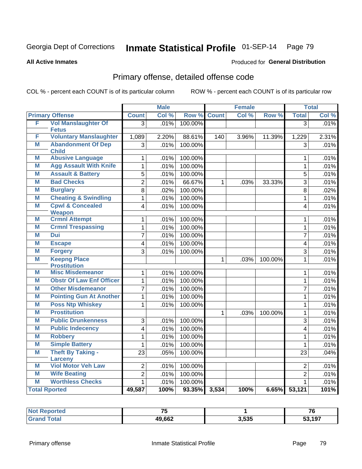**All Active Inmates**

#### Produced for **General Distribution**

### Primary offense, detailed offense code

|   |                                                |                                        | <b>Male</b> |         | <b>Female</b> |       |         | <b>Total</b>            |         |
|---|------------------------------------------------|----------------------------------------|-------------|---------|---------------|-------|---------|-------------------------|---------|
|   | <b>Primary Offense</b>                         | <b>Count</b>                           | Col %       | Row %   | <b>Count</b>  | Col % | Row %   | <b>Total</b>            | Col %   |
| F | <b>Vol Manslaughter Of</b><br><b>Fetus</b>     | $\overline{3}$                         | .01%        | 100.00% |               |       |         | $\overline{3}$          | .01%    |
| F | <b>Voluntary Manslaughter</b>                  | 1,089                                  | 2.20%       | 88.61%  | 140           | 3.96% | 11.39%  | 1,229                   | 2.31%   |
| M | <b>Abandonment Of Dep</b>                      | 3                                      | .01%        | 100.00% |               |       |         | 3                       | .01%    |
|   | <b>Child</b>                                   |                                        |             |         |               |       |         |                         |         |
| M | <b>Abusive Language</b>                        | $\mathbf{1}$                           | .01%        | 100.00% |               |       |         | $\mathbf{1}$            | .01%    |
| M | <b>Agg Assault With Knife</b>                  | $\mathbf{1}$                           | .01%        | 100.00% |               |       |         | $\mathbf{1}$            | .01%    |
| M | <b>Assault &amp; Battery</b>                   | 5                                      | .01%        | 100.00% |               |       |         | $\overline{5}$          | $.01\%$ |
| M | <b>Bad Checks</b>                              | $\overline{2}$                         | .01%        | 66.67%  | $\mathbf{1}$  | .03%  | 33.33%  | $\overline{3}$          | .01%    |
| M | <b>Burglary</b>                                | 8                                      | .02%        | 100.00% |               |       |         | 8                       | .02%    |
| M | <b>Cheating &amp; Swindling</b>                | $\mathbf{1}$                           | .01%        | 100.00% |               |       |         | $\mathbf{1}$            | .01%    |
| M | <b>Cpwl &amp; Concealed</b>                    | $\overline{4}$                         | .01%        | 100.00% |               |       |         | $\overline{4}$          | .01%    |
|   | <b>Weapon</b>                                  |                                        |             |         |               |       |         |                         |         |
| M | <b>Crmnl Attempt</b>                           | $\mathbf{1}$                           | .01%        | 100.00% |               |       |         | 1                       | .01%    |
| M | <b>Crmnl Trespassing</b>                       | $\mathbf{1}$                           | .01%        | 100.00% |               |       |         | $\mathbf{1}$            | .01%    |
| M | <b>Dui</b>                                     | 7                                      | .01%        | 100.00% |               |       |         | $\overline{7}$          | .01%    |
| M | <b>Escape</b>                                  | $\overline{\mathbf{4}}$                | .01%        | 100.00% |               |       |         | $\overline{\mathbf{4}}$ | .01%    |
| M | <b>Forgery</b>                                 | $\overline{3}$                         | .01%        | 100.00% |               |       |         | $\overline{3}$          | .01%    |
| M | <b>Keepng Place</b>                            |                                        |             |         | $\mathbf{1}$  | .03%  | 100.00% | $\mathbf{1}$            | .01%    |
| М | <b>Prostitution</b><br><b>Misc Misdemeanor</b> |                                        |             |         |               |       |         |                         |         |
|   | <b>Obstr Of Law Enf Officer</b>                | 1                                      | .01%        | 100.00% |               |       |         | $\mathbf{1}$            | .01%    |
| M |                                                | $\mathbf{1}$                           | .01%        | 100.00% |               |       |         | $\mathbf{1}$            | .01%    |
| M | <b>Other Misdemeanor</b>                       | $\overline{7}$                         | .01%        | 100.00% |               |       |         | $\overline{7}$          | .01%    |
| M | <b>Pointing Gun At Another</b>                 | $\mathbf{1}$                           | .01%        | 100.00% |               |       |         | $\mathbf{1}$            | .01%    |
| M | <b>Poss Ntp Whiskey</b>                        | 1                                      | .01%        | 100.00% |               |       |         | $\mathbf{1}$            | .01%    |
| M | <b>Prostitution</b>                            |                                        |             |         | $\mathbf{1}$  | .03%  | 100.00% | 1                       | .01%    |
| M | <b>Public Drunkenness</b>                      | 3                                      | .01%        | 100.00% |               |       |         | 3                       | .01%    |
| M | <b>Public Indecency</b>                        | $\overline{4}$                         | .01%        | 100.00% |               |       |         | $\overline{4}$          | .01%    |
| M | <b>Robbery</b>                                 | $\mathbf{1}$                           | .01%        | 100.00% |               |       |         | $\mathbf{1}$            | .01%    |
| M | <b>Simple Battery</b>                          | 1                                      | .01%        | 100.00% |               |       |         | $\mathbf{1}$            | .01%    |
| M | <b>Theft By Taking -</b>                       | $\overline{23}$                        | .05%        | 100.00% |               |       |         | 23                      | .04%    |
|   | <b>Larceny</b>                                 |                                        |             |         |               |       |         |                         |         |
| М | <b>Viol Motor Veh Law</b>                      | $\overline{2}$                         | .01%        | 100.00% |               |       |         | $\overline{2}$          | .01%    |
| M | <b>Wife Beating</b>                            | $\overline{2}$                         | .01%        | 100.00% |               |       |         | $\overline{2}$          | .01%    |
| M | <b>Worthless Checks</b>                        | $\mathbf{1}$                           | .01%        | 100.00% |               |       |         | 1                       | .01%    |
|   | <b>Total Rported</b>                           | 49,587<br>100%<br>93.35% 3,534<br>100% |             | 6.65%   | 53,121        | 101%  |         |                         |         |

| rtea  | $-$    |       | 7c     |
|-------|--------|-------|--------|
| `otal | 49,662 | 3,535 | 53,197 |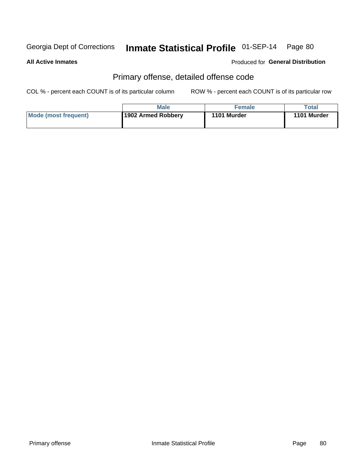#### **All Active Inmates**

#### Produced for **General Distribution**

### Primary offense, detailed offense code

|                      | <b>Male</b>        | Female      | Total       |
|----------------------|--------------------|-------------|-------------|
| Mode (most frequent) | 1902 Armed Robbery | 1101 Murder | 1101 Murder |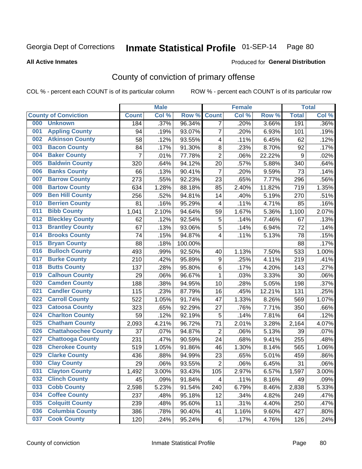**All Active Inmates**

#### Produced for **General Distribution**

### County of conviction of primary offense

|     |                             | <b>Male</b>    |       |         |                         | <b>Female</b> |        | <b>Total</b>     |       |
|-----|-----------------------------|----------------|-------|---------|-------------------------|---------------|--------|------------------|-------|
|     | <b>County of Conviction</b> | <b>Count</b>   | Col % | Row %   | <b>Count</b>            | Col %         | Row %  | <b>Total</b>     | Col % |
| 000 | <b>Unknown</b>              | 184            | .37%  | 96.34%  | $\overline{7}$          | .20%          | 3.66%  | 191              | .36%  |
| 001 | <b>Appling County</b>       | 94             | .19%  | 93.07%  | $\overline{7}$          | .20%          | 6.93%  | 101              | .19%  |
| 002 | <b>Atkinson County</b>      | 58             | .12%  | 93.55%  | 4                       | .11%          | 6.45%  | 62               | .12%  |
| 003 | <b>Bacon County</b>         | 84             | .17%  | 91.30%  | 8                       | .23%          | 8.70%  | 92               | .17%  |
| 004 | <b>Baker County</b>         | $\overline{7}$ | .01%  | 77.78%  | $\overline{2}$          | .06%          | 22.22% | $\boldsymbol{9}$ | .02%  |
| 005 | <b>Baldwin County</b>       | 320            | .64%  | 94.12%  | 20                      | .57%          | 5.88%  | 340              | .64%  |
| 006 | <b>Banks County</b>         | 66             | .13%  | 90.41%  | $\overline{7}$          | .20%          | 9.59%  | 73               | .14%  |
| 007 | <b>Barrow County</b>        | 273            | .55%  | 92.23%  | 23                      | .65%          | 7.77%  | 296              | .56%  |
| 008 | <b>Bartow County</b>        | 634            | 1.28% | 88.18%  | 85                      | 2.40%         | 11.82% | 719              | 1.35% |
| 009 | <b>Ben Hill County</b>      | 256            | .52%  | 94.81%  | 14                      | .40%          | 5.19%  | 270              | .51%  |
| 010 | <b>Berrien County</b>       | 81             | .16%  | 95.29%  | $\overline{\mathbf{4}}$ | .11%          | 4.71%  | 85               | .16%  |
| 011 | <b>Bibb County</b>          | 1,041          | 2.10% | 94.64%  | 59                      | 1.67%         | 5.36%  | 1,100            | 2.07% |
| 012 | <b>Bleckley County</b>      | 62             | .12%  | 92.54%  | 5                       | .14%          | 7.46%  | 67               | .13%  |
| 013 | <b>Brantley County</b>      | 67             | .13%  | 93.06%  | 5                       | .14%          | 6.94%  | 72               | .14%  |
| 014 | <b>Brooks County</b>        | 74             | .15%  | 94.87%  | 4                       | .11%          | 5.13%  | 78               | .15%  |
| 015 | <b>Bryan County</b>         | 88             | .18%  | 100.00% |                         |               |        | 88               | .17%  |
| 016 | <b>Bulloch County</b>       | 493            | .99%  | 92.50%  | 40                      | 1.13%         | 7.50%  | 533              | 1.00% |
| 017 | <b>Burke County</b>         | 210            | .42%  | 95.89%  | 9                       | .25%          | 4.11%  | 219              | .41%  |
| 018 | <b>Butts County</b>         | 137            | .28%  | 95.80%  | $\,6$                   | .17%          | 4.20%  | 143              | .27%  |
| 019 | <b>Calhoun County</b>       | 29             | .06%  | 96.67%  | $\mathbf{1}$            | .03%          | 3.33%  | 30               | .06%  |
| 020 | <b>Camden County</b>        | 188            | .38%  | 94.95%  | 10                      | .28%          | 5.05%  | 198              | .37%  |
| 021 | <b>Candler County</b>       | 115            | .23%  | 87.79%  | 16                      | .45%          | 12.21% | 131              | .25%  |
| 022 | <b>Carroll County</b>       | 522            | 1.05% | 91.74%  | 47                      | 1.33%         | 8.26%  | 569              | 1.07% |
| 023 | <b>Catoosa County</b>       | 323            | .65%  | 92.29%  | 27                      | .76%          | 7.71%  | 350              | .66%  |
| 024 | <b>Charlton County</b>      | 59             | .12%  | 92.19%  | 5                       | .14%          | 7.81%  | 64               | .12%  |
| 025 | <b>Chatham County</b>       | 2,093          | 4.21% | 96.72%  | 71                      | 2.01%         | 3.28%  | 2,164            | 4.07% |
| 026 | <b>Chattahoochee County</b> | 37             | .07%  | 94.87%  | $\mathbf 2$             | .06%          | 5.13%  | 39               | .07%  |
| 027 | <b>Chattooga County</b>     | 231            | .47%  | 90.59%  | 24                      | .68%          | 9.41%  | 255              | .48%  |
| 028 | <b>Cherokee County</b>      | 519            | 1.05% | 91.86%  | 46                      | 1.30%         | 8.14%  | 565              | 1.06% |
| 029 | <b>Clarke County</b>        | 436            | .88%  | 94.99%  | 23                      | .65%          | 5.01%  | 459              | .86%  |
| 030 | <b>Clay County</b>          | 29             | .06%  | 93.55%  | $\overline{2}$          | .06%          | 6.45%  | 31               | .06%  |
| 031 | <b>Clayton County</b>       | 1,492          | 3.00% | 93.43%  | 105                     | 2.97%         | 6.57%  | 1,597            | 3.00% |
| 032 | <b>Clinch County</b>        | 45             | .09%  | 91.84%  | 4                       | .11%          | 8.16%  | 49               | .09%  |
| 033 | <b>Cobb County</b>          | 2,598          | 5.23% | 91.54%  | 240                     | 6.79%         | 8.46%  | 2,838            | 5.33% |
| 034 | <b>Coffee County</b>        | 237            | .48%  | 95.18%  | 12                      | .34%          | 4.82%  | 249              | .47%  |
| 035 | <b>Colquitt County</b>      | 239            | .48%  | 95.60%  | 11                      | .31%          | 4.40%  | 250              | .47%  |
| 036 | <b>Columbia County</b>      | 386            | .78%  | 90.40%  | 41                      | 1.16%         | 9.60%  | 427              | .80%  |
| 037 | <b>Cook County</b>          | 120            | .24%  | 95.24%  | 6                       | .17%          | 4.76%  | 126              | .24%  |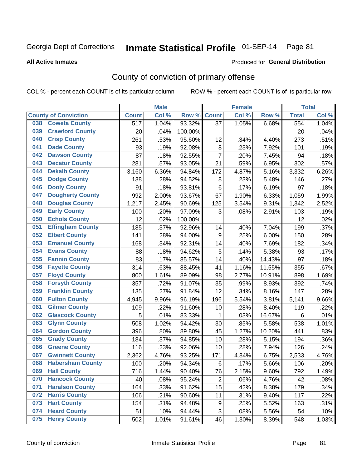#### **All Active Inmates**

#### Produced for **General Distribution**

### County of conviction of primary offense

|                                |              | <b>Male</b> |         | <b>Female</b>  |       |        | <b>Total</b> |       |
|--------------------------------|--------------|-------------|---------|----------------|-------|--------|--------------|-------|
| <b>County of Conviction</b>    | <b>Count</b> | Col %       | Row %   | <b>Count</b>   | Col % | Row %  | <b>Total</b> | Col % |
| <b>Coweta County</b><br>038    | 517          | 1.04%       | 93.32%  | 37             | 1.05% | 6.68%  | 554          | 1.04% |
| <b>Crawford County</b><br>039  | 20           | .04%        | 100.00% |                |       |        | 20           | .04%  |
| <b>Crisp County</b><br>040     | 261          | .53%        | 95.60%  | 12             | .34%  | 4.40%  | 273          | .51%  |
| <b>Dade County</b><br>041      | 93           | .19%        | 92.08%  | 8              | .23%  | 7.92%  | 101          | .19%  |
| <b>Dawson County</b><br>042    | 87           | .18%        | 92.55%  | $\overline{7}$ | .20%  | 7.45%  | 94           | .18%  |
| 043<br><b>Decatur County</b>   | 281          | .57%        | 93.05%  | 21             | .59%  | 6.95%  | 302          | .57%  |
| <b>Dekalb County</b><br>044    | 3,160        | 6.36%       | 94.84%  | 172            | 4.87% | 5.16%  | 3,332        | 6.26% |
| <b>Dodge County</b><br>045     | 138          | .28%        | 94.52%  | 8              | .23%  | 5.48%  | 146          | .27%  |
| <b>Dooly County</b><br>046     | 91           | .18%        | 93.81%  | 6              | .17%  | 6.19%  | 97           | .18%  |
| 047<br><b>Dougherty County</b> | 992          | 2.00%       | 93.67%  | 67             | 1.90% | 6.33%  | 1,059        | 1.99% |
| <b>Douglas County</b><br>048   | 1,217        | 2.45%       | 90.69%  | 125            | 3.54% | 9.31%  | 1,342        | 2.52% |
| <b>Early County</b><br>049     | 100          | .20%        | 97.09%  | 3              | .08%  | 2.91%  | 103          | .19%  |
| <b>Echols County</b><br>050    | 12           | .02%        | 100.00% |                |       |        | 12           | .02%  |
| 051<br><b>Effingham County</b> | 185          | .37%        | 92.96%  | 14             | .40%  | 7.04%  | 199          | .37%  |
| <b>Elbert County</b><br>052    | 141          | .28%        | 94.00%  | 9              | .25%  | 6.00%  | 150          | .28%  |
| <b>Emanuel County</b><br>053   | 168          | .34%        | 92.31%  | 14             | .40%  | 7.69%  | 182          | .34%  |
| <b>Evans County</b><br>054     | 88           | .18%        | 94.62%  | 5              | .14%  | 5.38%  | 93           | .17%  |
| <b>Fannin County</b><br>055    | 83           | .17%        | 85.57%  | 14             | .40%  | 14.43% | 97           | .18%  |
| <b>Fayette County</b><br>056   | 314          | .63%        | 88.45%  | 41             | 1.16% | 11.55% | 355          | .67%  |
| <b>Floyd County</b><br>057     | 800          | 1.61%       | 89.09%  | 98             | 2.77% | 10.91% | 898          | 1.69% |
| <b>Forsyth County</b><br>058   | 357          | .72%        | 91.07%  | 35             | .99%  | 8.93%  | 392          | .74%  |
| <b>Franklin County</b><br>059  | 135          | .27%        | 91.84%  | 12             | .34%  | 8.16%  | 147          | .28%  |
| <b>Fulton County</b><br>060    | 4,945        | 9.96%       | 96.19%  | 196            | 5.54% | 3.81%  | 5,141        | 9.66% |
| <b>Gilmer County</b><br>061    | 109          | .22%        | 91.60%  | 10             | .28%  | 8.40%  | 119          | .22%  |
| <b>Glascock County</b><br>062  | 5            | .01%        | 83.33%  | 1              | .03%  | 16.67% | 6            | .01%  |
| 063<br><b>Glynn County</b>     | 508          | 1.02%       | 94.42%  | 30             | .85%  | 5.58%  | 538          | 1.01% |
| <b>Gordon County</b><br>064    | 396          | .80%        | 89.80%  | 45             | 1.27% | 10.20% | 441          | .83%  |
| <b>Grady County</b><br>065     | 184          | .37%        | 94.85%  | 10             | .28%  | 5.15%  | 194          | .36%  |
| <b>Greene County</b><br>066    | 116          | .23%        | 92.06%  | 10             | .28%  | 7.94%  | 126          | .24%  |
| <b>Gwinnett County</b><br>067  | 2,362        | 4.76%       | 93.25%  | 171            | 4.84% | 6.75%  | 2,533        | 4.76% |
| <b>Habersham County</b><br>068 | 100          | .20%        | 94.34%  | $\,6$          | .17%  | 5.66%  | 106          | .20%  |
| 069<br><b>Hall County</b>      | 716          | 1.44%       | 90.40%  | 76             | 2.15% | 9.60%  | 792          | 1.49% |
| <b>Hancock County</b><br>070   | 40           | .08%        | 95.24%  | $\overline{2}$ | .06%  | 4.76%  | 42           | .08%  |
| <b>Haralson County</b><br>071  | 164          | .33%        | 91.62%  | 15             | .42%  | 8.38%  | 179          | .34%  |
| 072<br><b>Harris County</b>    | 106          | .21%        | 90.60%  | 11             | .31%  | 9.40%  | 117          | .22%  |
| <b>Hart County</b><br>073      | 154          | .31%        | 94.48%  | 9              | .25%  | 5.52%  | 163          | .31%  |
| <b>Heard County</b><br>074     | 51           | .10%        | 94.44%  | 3              | .08%  | 5.56%  | 54           | .10%  |
| <b>Henry County</b><br>075     | 502          | 1.01%       | 91.61%  | 46             | 1.30% | 8.39%  | 548          | 1.03% |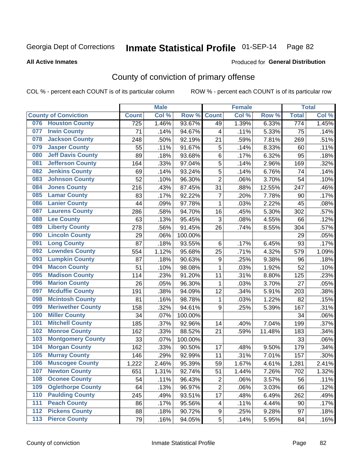#### **All Active Inmates**

#### Produced for **General Distribution**

### County of conviction of primary offense

|     |                             | <b>Male</b>  |       | <b>Female</b> |                |       | <b>Total</b> |                  |       |
|-----|-----------------------------|--------------|-------|---------------|----------------|-------|--------------|------------------|-------|
|     | <b>County of Conviction</b> | <b>Count</b> | Col % | Row %         | <b>Count</b>   | Col%  | Row %        | <b>Total</b>     | Col % |
| 076 | <b>Houston County</b>       | 725          | 1.46% | 93.67%        | 49             | 1.39% | 6.33%        | $\overline{774}$ | 1.45% |
| 077 | <b>Irwin County</b>         | 71           | .14%  | 94.67%        | 4              | .11%  | 5.33%        | 75               | .14%  |
| 078 | <b>Jackson County</b>       | 248          | .50%  | 92.19%        | 21             | .59%  | 7.81%        | 269              | .51%  |
| 079 | <b>Jasper County</b>        | 55           | .11%  | 91.67%        | 5              | .14%  | 8.33%        | 60               | .11%  |
| 080 | <b>Jeff Davis County</b>    | 89           | .18%  | 93.68%        | 6              | .17%  | 6.32%        | 95               | .18%  |
| 081 | <b>Jefferson County</b>     | 164          | .33%  | 97.04%        | 5              | .14%  | 2.96%        | 169              | .32%  |
| 082 | <b>Jenkins County</b>       | 69           | .14%  | 93.24%        | 5              | .14%  | 6.76%        | 74               | .14%  |
| 083 | <b>Johnson County</b>       | 52           | .10%  | 96.30%        | $\overline{2}$ | .06%  | 3.70%        | 54               | .10%  |
| 084 | <b>Jones County</b>         | 216          | .43%  | 87.45%        | 31             | .88%  | 12.55%       | 247              | .46%  |
| 085 | <b>Lamar County</b>         | 83           | .17%  | 92.22%        | $\overline{7}$ | .20%  | 7.78%        | 90               | .17%  |
| 086 | <b>Lanier County</b>        | 44           | .09%  | 97.78%        | $\mathbf{1}$   | .03%  | 2.22%        | 45               | .08%  |
| 087 | <b>Laurens County</b>       | 286          | .58%  | 94.70%        | 16             | .45%  | 5.30%        | 302              | .57%  |
| 088 | <b>Lee County</b>           | 63           | .13%  | 95.45%        | 3              | .08%  | 4.55%        | 66               | .12%  |
| 089 | <b>Liberty County</b>       | 278          | .56%  | 91.45%        | 26             | .74%  | 8.55%        | 304              | .57%  |
| 090 | <b>Lincoln County</b>       | 29           | .06%  | 100.00%       |                |       |              | 29               | .05%  |
| 091 | <b>Long County</b>          | 87           | .18%  | 93.55%        | 6              | .17%  | 6.45%        | 93               | .17%  |
| 092 | <b>Lowndes County</b>       | 554          | 1.12% | 95.68%        | 25             | .71%  | 4.32%        | 579              | 1.09% |
| 093 | <b>Lumpkin County</b>       | 87           | .18%  | 90.63%        | 9              | .25%  | 9.38%        | 96               | .18%  |
| 094 | <b>Macon County</b>         | 51           | .10%  | 98.08%        | $\mathbf{1}$   | .03%  | 1.92%        | 52               | .10%  |
| 095 | <b>Madison County</b>       | 114          | .23%  | 91.20%        | 11             | .31%  | 8.80%        | 125              | .23%  |
| 096 | <b>Marion County</b>        | 26           | .05%  | 96.30%        | $\mathbf{1}$   | .03%  | 3.70%        | 27               | .05%  |
| 097 | <b>Mcduffie County</b>      | 191          | .38%  | 94.09%        | 12             | .34%  | 5.91%        | 203              | .38%  |
| 098 | <b>Mcintosh County</b>      | 81           | .16%  | 98.78%        | 1              | .03%  | 1.22%        | 82               | .15%  |
| 099 | <b>Meriwether County</b>    | 158          | .32%  | 94.61%        | 9              | .25%  | 5.39%        | 167              | .31%  |
| 100 | <b>Miller County</b>        | 34           | .07%  | 100.00%       |                |       |              | 34               | .06%  |
| 101 | <b>Mitchell County</b>      | 185          | .37%  | 92.96%        | 14             | .40%  | 7.04%        | 199              | .37%  |
| 102 | <b>Monroe County</b>        | 162          | .33%  | 88.52%        | 21             | .59%  | 11.48%       | 183              | .34%  |
| 103 | <b>Montgomery County</b>    | 33           | .07%  | 100.00%       |                |       |              | 33               | .06%  |
| 104 | <b>Morgan County</b>        | 162          | .33%  | 90.50%        | 17             | .48%  | 9.50%        | 179              | .34%  |
| 105 | <b>Murray County</b>        | 146          | .29%  | 92.99%        | 11             | .31%  | 7.01%        | 157              | .30%  |
| 106 | <b>Muscogee County</b>      | 1,222        | 2.46% | 95.39%        | 59             | 1.67% | 4.61%        | 1,281            | 2.41% |
| 107 | <b>Newton County</b>        | 651          | 1.31% | 92.74%        | 51             | 1.44% | 7.26%        | 702              | 1.32% |
| 108 | <b>Oconee County</b>        | 54           | .11%  | 96.43%        | $\overline{2}$ | .06%  | 3.57%        | 56               | .11%  |
| 109 | <b>Oglethorpe County</b>    | 64           | .13%  | 96.97%        | $\overline{c}$ | .06%  | 3.03%        | 66               | .12%  |
| 110 | <b>Paulding County</b>      | 245          | .49%  | 93.51%        | 17             | .48%  | 6.49%        | 262              | .49%  |
| 111 | <b>Peach County</b>         | 86           | .17%  | 95.56%        | 4              | .11%  | 4.44%        | 90               | .17%  |
| 112 | <b>Pickens County</b>       | 88           | .18%  | 90.72%        | 9              | .25%  | 9.28%        | 97               | .18%  |
| 113 | <b>Pierce County</b>        | 79           | .16%  | 94.05%        | 5              | .14%  | 5.95%        | 84               | .16%  |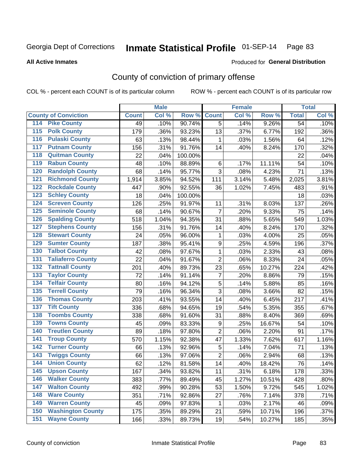**All Active Inmates**

#### Produced for **General Distribution**

### County of conviction of primary offense

|                                          |              | <b>Male</b> |         |                | <b>Female</b> |        |                 | <b>Total</b> |
|------------------------------------------|--------------|-------------|---------|----------------|---------------|--------|-----------------|--------------|
| <b>County of Conviction</b>              | <b>Count</b> | Col %       | Row %   | <b>Count</b>   | Col %         | Row %  | <b>Total</b>    | Col %        |
| <b>Pike County</b><br>114                | 49           | .10%        | 90.74%  | $\overline{5}$ | .14%          | 9.26%  | $\overline{54}$ | .10%         |
| <b>Polk County</b><br>$\overline{115}$   | 179          | .36%        | 93.23%  | 13             | .37%          | 6.77%  | 192             | .36%         |
| <b>Pulaski County</b><br>116             | 63           | .13%        | 98.44%  | 1              | .03%          | 1.56%  | 64              | .12%         |
| <b>Putnam County</b><br>117              | 156          | .31%        | 91.76%  | 14             | .40%          | 8.24%  | 170             | .32%         |
| <b>Quitman County</b><br>118             | 22           | .04%        | 100.00% |                |               |        | 22              | .04%         |
| <b>Rabun County</b><br>119               | 48           | .10%        | 88.89%  | $\,6\,$        | .17%          | 11.11% | 54              | .10%         |
| <b>Randolph County</b><br>120            | 68           | .14%        | 95.77%  | 3              | .08%          | 4.23%  | 71              | .13%         |
| <b>Richmond County</b><br>121            | 1,914        | 3.85%       | 94.52%  | 111            | 3.14%         | 5.48%  | 2,025           | 3.81%        |
| <b>Rockdale County</b><br>122            | 447          | .90%        | 92.55%  | 36             | 1.02%         | 7.45%  | 483             | .91%         |
| <b>Schley County</b><br>123              | 18           | .04%        | 100.00% |                |               |        | 18              | .03%         |
| <b>Screven County</b><br>124             | 126          | .25%        | 91.97%  | 11             | .31%          | 8.03%  | 137             | .26%         |
| <b>Seminole County</b><br>125            | 68           | .14%        | 90.67%  | 7              | .20%          | 9.33%  | 75              | .14%         |
| <b>Spalding County</b><br>126            | 518          | 1.04%       | 94.35%  | 31             | .88%          | 5.65%  | 549             | 1.03%        |
| <b>Stephens County</b><br>127            | 156          | .31%        | 91.76%  | 14             | .40%          | 8.24%  | 170             | .32%         |
| <b>Stewart County</b><br>128             | 24           | .05%        | 96.00%  | 1              | .03%          | 4.00%  | 25              | .05%         |
| <b>Sumter County</b><br>129              | 187          | .38%        | 95.41%  | 9              | .25%          | 4.59%  | 196             | .37%         |
| <b>Talbot County</b><br>130              | 42           | .08%        | 97.67%  | $\mathbf{1}$   | .03%          | 2.33%  | 43              | .08%         |
| <b>Taliaferro County</b><br>131          | 22           | .04%        | 91.67%  | $\overline{2}$ | .06%          | 8.33%  | 24              | .05%         |
| <b>Tattnall County</b><br>132            | 201          | .40%        | 89.73%  | 23             | .65%          | 10.27% | 224             | .42%         |
| <b>Taylor County</b><br>133              | 72           | .14%        | 91.14%  | 7              | .20%          | 8.86%  | 79              | .15%         |
| <b>Telfair County</b><br>134             | 80           | .16%        | 94.12%  | 5              | .14%          | 5.88%  | 85              | .16%         |
| <b>Terrell County</b><br>135             | 79           | .16%        | 96.34%  | 3              | .08%          | 3.66%  | 82              | .15%         |
| <b>Thomas County</b><br>136              | 203          | .41%        | 93.55%  | 14             | .40%          | 6.45%  | 217             | .41%         |
| <b>Tift County</b><br>137                | 336          | .68%        | 94.65%  | 19             | .54%          | 5.35%  | 355             | .67%         |
| <b>Toombs County</b><br>138              | 338          | .68%        | 91.60%  | 31             | .88%          | 8.40%  | 369             | .69%         |
| <b>Towns County</b><br>139               | 45           | .09%        | 83.33%  | 9              | .25%          | 16.67% | 54              | .10%         |
| <b>Treutlen County</b><br>140            | 89           | .18%        | 97.80%  | $\overline{2}$ | .06%          | 2.20%  | 91              | .17%         |
| <b>Troup County</b><br>141               | 570          | 1.15%       | 92.38%  | 47             | 1.33%         | 7.62%  | 617             | 1.16%        |
| <b>Turner County</b><br>142              | 66           | .13%        | 92.96%  | 5              | .14%          | 7.04%  | 71              | .13%         |
| <b>Twiggs County</b><br>$\overline{143}$ | 66           | .13%        | 97.06%  | $\overline{2}$ | .06%          | 2.94%  | 68              | .13%         |
| <b>Union County</b><br>144               | 62           | .12%        | 81.58%  | 14             | .40%          | 18.42% | 76              | .14%         |
| 145<br><b>Upson County</b>               | 167          | .34%        | 93.82%  | 11             | .31%          | 6.18%  | 178             | .33%         |
| <b>Walker County</b><br>146              | 383          | .77%        | 89.49%  | 45             | 1.27%         | 10.51% | 428             | .80%         |
| <b>Walton County</b><br>147              | 492          | .99%        | 90.28%  | 53             | 1.50%         | 9.72%  | 545             | 1.02%        |
| <b>Ware County</b><br>148                | 351          | .71%        | 92.86%  | 27             | .76%          | 7.14%  | 378             | .71%         |
| <b>Warren County</b><br>149              | 45           | .09%        | 97.83%  | 1              | .03%          | 2.17%  | 46              | .09%         |
| <b>Washington County</b><br>150          | 175          | .35%        | 89.29%  | 21             | .59%          | 10.71% | 196             | .37%         |
| <b>Wayne County</b><br>151               | 166          | .33%        | 89.73%  | 19             | .54%          | 10.27% | 185             | .35%         |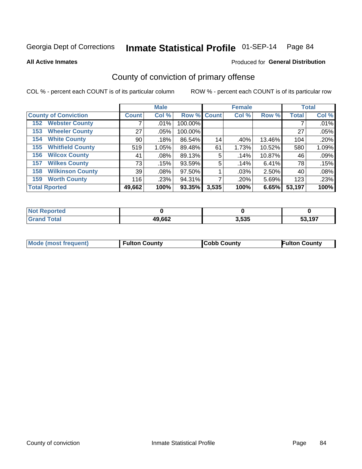**All Active Inmates**

#### Produced for **General Distribution**

### County of conviction of primary offense

|                                |              | <b>Male</b> |             |       | <b>Female</b> |        |              | <b>Total</b> |
|--------------------------------|--------------|-------------|-------------|-------|---------------|--------|--------------|--------------|
| <b>County of Conviction</b>    | <b>Count</b> | Col %       | Row % Count |       | Col %         | Row %  | <b>Total</b> | Col %        |
| <b>Webster County</b><br>152   |              | $.01\%$     | 100.00%     |       |               |        |              | .01%         |
| <b>Wheeler County</b><br>153   | 27           | $.05\%$     | 100.00%     |       |               |        | 27           | .05%         |
| <b>White County</b><br>154     | 90           | .18%        | 86.54%      | 14    | .40%          | 13.46% | 104          | .20%         |
| <b>Whitfield County</b><br>155 | 519          | 1.05%       | 89.48%      | 61    | 1.73%         | 10.52% | 580          | 1.09%        |
| <b>Wilcox County</b><br>156    | 41           | $.08\%$     | 89.13%      | 5     | .14%          | 10.87% | 46           | .09%         |
| <b>Wilkes County</b><br>157    | 73           | .15%        | 93.59%      | 5     | .14%          | 6.41%  | 78           | .15%         |
| <b>Wilkinson County</b><br>158 | 39           | $.08\%$     | 97.50%      |       | .03%          | 2.50%  | 40           | .08%         |
| <b>Worth County</b><br>159     | 116          | .23%        | 94.31%      |       | .20%          | 5.69%  | 123          | .23%         |
| <b>Total Rported</b>           | 49,662       | 100%        | 93.35%      | 3,535 | 100%          | 6.65%  | 53,197       | 100%         |

| <b>Not</b><br>: Reported |        |       |        |
|--------------------------|--------|-------|--------|
| <b>Total</b>             | 49,662 | 3,535 | 53,197 |

| <b>Mode (most frequent)</b> | <b>Fulton County</b> | <b>Cobb County</b> | <b>Fulton County</b> |
|-----------------------------|----------------------|--------------------|----------------------|
|                             |                      |                    |                      |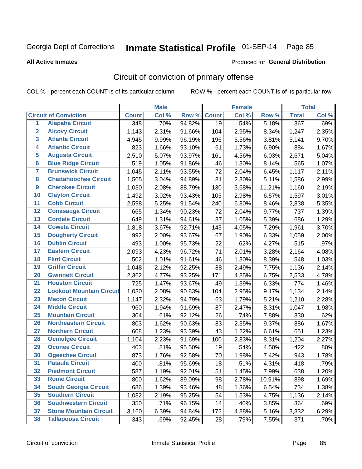Produced for **General Distribution**

#### **All Active Inmates**

# Circuit of conviction of primary offense

|                         |                                 |              | <b>Male</b> |        |              | <b>Female</b> |        |                    | <b>Total</b> |
|-------------------------|---------------------------------|--------------|-------------|--------|--------------|---------------|--------|--------------------|--------------|
|                         | <b>Circuit of Conviction</b>    | <b>Count</b> | Col %       | Row %  | <b>Count</b> | Col %         | Row %  | <b>Total</b>       | Col %        |
| $\overline{1}$          | <b>Alapaha Circuit</b>          | 348          | .70%        | 94.82% | 19           | .54%          | 5.18%  | 367                | .69%         |
| $\overline{2}$          | <b>Alcovy Circuit</b>           | 1,143        | 2.31%       | 91.66% | 104          | 2.95%         | 8.34%  | 1,247              | 2.35%        |
| $\overline{\mathbf{3}}$ | <b>Atlanta Circuit</b>          | 4,945        | 9.99%       | 96.19% | 196          | 5.56%         | 3.81%  | 5,141              | 9.70%        |
| 4                       | <b>Atlantic Circuit</b>         | 823          | 1.66%       | 93.10% | 61           | 1.73%         | 6.90%  | 884                | 1.67%        |
| 5                       | <b>Augusta Circuit</b>          | 2,510        | 5.07%       | 93.97% | 161          | 4.56%         | 6.03%  | 2,671              | 5.04%        |
| $\overline{\mathbf{6}}$ | <b>Blue Ridge Circuit</b>       | 519          | 1.05%       | 91.86% | 46           | 1.30%         | 8.14%  | 565                | 1.07%        |
| $\overline{\mathbf{7}}$ | <b>Brunswick Circuit</b>        | 1,045        | 2.11%       | 93.55% | 72           | 2.04%         | 6.45%  | 1,117              | 2.11%        |
| 8                       | <b>Chattahoochee Circuit</b>    | 1,505        | 3.04%       | 94.89% | 81           | 2.30%         | 5.11%  | 1,586              | 2.99%        |
| $\overline{9}$          | <b>Cherokee Circuit</b>         | 1,030        | 2.08%       | 88.79% | 130          | 3.68%         | 11.21% | 1,160              | 2.19%        |
| 10                      | <b>Clayton Circuit</b>          | 1,492        | 3.02%       | 93.43% | 105          | 2.98%         | 6.57%  | 1,597              | 3.01%        |
| 11                      | <b>Cobb Circuit</b>             | 2,598        | 5.25%       | 91.54% | 240          | 6.80%         | 8.46%  | 2,838              | 5.35%        |
| 12                      | <b>Conasauga Circuit</b>        | 665          | 1.34%       | 90.23% | 72           | 2.04%         | 9.77%  | 737                | 1.39%        |
| 13                      | <b>Cordele Circuit</b>          | 649          | 1.31%       | 94.61% | 37           | 1.05%         | 5.39%  | 686                | 1.29%        |
| 14                      | <b>Coweta Circuit</b>           | 1,818        | 3.67%       | 92.71% | 143          | 4.05%         | 7.29%  | 1,961              | 3.70%        |
| 15                      | <b>Dougherty Circuit</b>        | 992          | 2.00%       | 93.67% | 67           | 1.90%         | 6.33%  | 1,059              | 2.00%        |
| 16                      | <b>Dublin Circuit</b>           | 493          | 1.00%       | 95.73% | 22           | .62%          | 4.27%  | 515                | .97%         |
| 17                      | <b>Eastern Circuit</b>          | 2,093        | 4.23%       | 96.72% | 71           | 2.01%         | 3.28%  | $\overline{2,}164$ | 4.08%        |
| 18                      | <b>Flint Circuit</b>            | 502          | 1.01%       | 91.61% | 46           | 1.30%         | 8.39%  | 548                | 1.03%        |
| 19                      | <b>Griffin Circuit</b>          | 1,048        | 2.12%       | 92.25% | 88           | 2.49%         | 7.75%  | 1,136              | 2.14%        |
| 20                      | <b>Gwinnett Circuit</b>         | 2,362        | 4.77%       | 93.25% | 171          | 4.85%         | 6.75%  | 2,533              | 4.78%        |
| $\overline{21}$         | <b>Houston Circuit</b>          | 725          | 1.47%       | 93.67% | 49           | 1.39%         | 6.33%  | 774                | 1.46%        |
| $\overline{22}$         | <b>Lookout Mountain Circuit</b> | 1,030        | 2.08%       | 90.83% | 104          | 2.95%         | 9.17%  | 1,134              | 2.14%        |
| 23                      | <b>Macon Circuit</b>            | 1,147        | 2.32%       | 94.79% | 63           | 1.79%         | 5.21%  | 1,210              | 2.28%        |
| 24                      | <b>Middle Circuit</b>           | 960          | 1.94%       | 91.69% | 87           | 2.47%         | 8.31%  | 1,047              | 1.98%        |
| 25                      | <b>Mountain Circuit</b>         | 304          | .61%        | 92.12% | 26           | .74%          | 7.88%  | 330                | .62%         |
| 26                      | <b>Northeastern Circuit</b>     | 803          | 1.62%       | 90.63% | 83           | 2.35%         | 9.37%  | 886                | 1.67%        |
| $\overline{27}$         | <b>Northern Circuit</b>         | 608          | 1.23%       | 93.39% | 43           | 1.22%         | 6.61%  | 651                | 1.23%        |
| 28                      | <b>Ocmulgee Circuit</b>         | 1,104        | 2.23%       | 91.69% | 100          | 2.83%         | 8.31%  | 1,204              | 2.27%        |
| 29                      | <b>Oconee Circuit</b>           | 403          | .81%        | 95.50% | 19           | .54%          | 4.50%  | 422                | .80%         |
| 30                      | <b>Ogeechee Circuit</b>         | 873          | 1.76%       | 92.58% | 70           | 1.98%         | 7.42%  | 943                | 1.78%        |
| $\overline{31}$         | <b>Pataula Circuit</b>          | 400          | .81%        | 95.69% | 18           | .51%          | 4.31%  | 418                | .79%         |
| 32                      | <b>Piedmont Circuit</b>         | 587          | 1.19%       | 92.01% | 51           | 1.45%         | 7.99%  | 638                | 1.20%        |
| 33                      | <b>Rome Circuit</b>             | 800          | 1.62%       | 89.09% | 98           | 2.78%         | 10.91% | 898                | 1.69%        |
| 34                      | <b>South Georgia Circuit</b>    | 686          | 1.39%       | 93.46% | 48           | 1.36%         | 6.54%  | 734                | 1.38%        |
| 35                      | <b>Southern Circuit</b>         | 1,082        | 2.19%       | 95.25% | 54           | 1.53%         | 4.75%  | 1,136              | 2.14%        |
| 36                      | <b>Southwestern Circuit</b>     | 350          | .71%        | 96.15% | 14           | .40%          | 3.85%  | 364                | .69%         |
| 37                      | <b>Stone Mountain Circuit</b>   | 3,160        | 6.39%       | 94.84% | 172          | 4.88%         | 5.16%  | 3,332              | 6.29%        |
| 38                      | <b>Tallapoosa Circuit</b>       | 343          | .69%        | 92.45% | 28           | .79%          | 7.55%  | 371                | .70%         |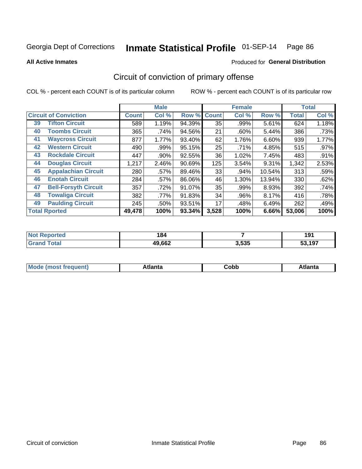**All Active Inmates**

#### Produced for **General Distribution**

### Circuit of conviction of primary offense

|    |                              |              | <b>Male</b> |        |              | <b>Female</b> |        |              | <b>Total</b> |
|----|------------------------------|--------------|-------------|--------|--------------|---------------|--------|--------------|--------------|
|    | <b>Circuit of Conviction</b> | <b>Count</b> | Col %       | Row %  | <b>Count</b> | Col %         | Row %  | <b>Total</b> | Col %        |
| 39 | <b>Tifton Circuit</b>        | 589          | 1.19%       | 94.39% | 35           | .99%          | 5.61%  | 624          | 1.18%        |
| 40 | <b>Toombs Circuit</b>        | 365          | .74%        | 94.56% | 21           | .60%          | 5.44%  | 386          | .73%         |
| 41 | <b>Waycross Circuit</b>      | 877          | 1.77%       | 93.40% | 62           | 1.76%         | 6.60%  | 939          | 1.77%        |
| 42 | <b>Western Circuit</b>       | 490          | .99%        | 95.15% | 25           | .71%          | 4.85%  | 515          | .97%         |
| 43 | <b>Rockdale Circuit</b>      | 447          | .90%        | 92.55% | 36           | 1.02%         | 7.45%  | 483          | .91%         |
| 44 | <b>Douglas Circuit</b>       | 1,217        | 2.46%       | 90.69% | 125          | 3.54%         | 9.31%  | 1,342        | 2.53%        |
| 45 | <b>Appalachian Circuit</b>   | 280          | .57%        | 89.46% | 33           | .94%          | 10.54% | 313          | .59%         |
| 46 | <b>Enotah Circuit</b>        | 284          | .57%        | 86.06% | 46           | 1.30%         | 13.94% | 330          | .62%         |
| 47 | <b>Bell-Forsyth Circuit</b>  | 357          | .72%        | 91.07% | 35           | .99%          | 8.93%  | 392          | .74%         |
| 48 | <b>Towaliga Circuit</b>      | 382          | .77%        | 91.83% | 34           | .96%          | 8.17%  | 416          | .78%         |
| 49 | <b>Paulding Circuit</b>      | 245          | .50%        | 93.51% | 17           | .48%          | 6.49%  | 262          | .49%         |
|    | <b>Total Rported</b>         | 49,478       | 100%        | 93.34% | 3,528        | 100%          | 6.66%  | 53,006       | 100%         |

| тес. | 184<br>$ -$ |       | . .<br>1 J I  |
|------|-------------|-------|---------------|
|      | 49,662      | 3,535 | <b>:າ 107</b> |

| M | . | ----<br>oг  | ----<br>пLс |
|---|---|-------------|-------------|
|   |   | <b>OUNN</b> |             |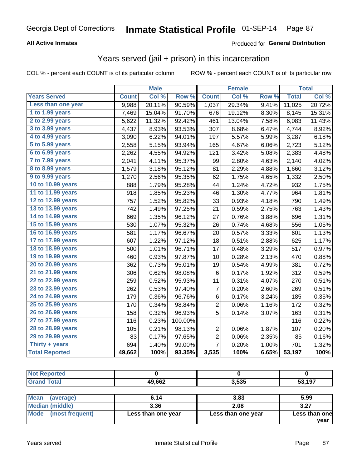### **All Active Inmates**

### Produced for **General Distribution**

### Years served (jail + prison) in this incarceration

COL % - percent each COUNT is of its particular column ROW % - percent each COUNT is of its particular row

|                              |              | <b>Male</b> |         |                | <b>Female</b> |       |              | <b>Total</b> |
|------------------------------|--------------|-------------|---------|----------------|---------------|-------|--------------|--------------|
| <b>Years Served</b>          | <b>Count</b> | Col %       | Row %   | <b>Count</b>   | Col %         | Row % | <b>Total</b> | Col %        |
| Less than one year           | 9,988        | 20.11%      | 90.59%  | 1,037          | 29.34%        | 9.41% | 11,025       | 20.72%       |
| 1 to 1.99 years              | 7,469        | 15.04%      | 91.70%  | 676            | 19.12%        | 8.30% | 8,145        | 15.31%       |
| 2 to 2.99 years              | 5,622        | 11.32%      | 92.42%  | 461            | 13.04%        | 7.58% | 6,083        | 11.43%       |
| $3$ to $3.99$ years          | 4,437        | 8.93%       | 93.53%  | 307            | 8.68%         | 6.47% | 4,744        | 8.92%        |
| $\overline{4}$ to 4.99 years | 3,090        | 6.22%       | 94.01%  | 197            | 5.57%         | 5.99% | 3,287        | 6.18%        |
| $\overline{5}$ to 5.99 years | 2,558        | 5.15%       | 93.94%  | 165            | 4.67%         | 6.06% | 2,723        | 5.12%        |
| 6 to 6.99 years              | 2,262        | 4.55%       | 94.92%  | 121            | 3.42%         | 5.08% | 2,383        | 4.48%        |
| 7 to 7.99 years              | 2,041        | 4.11%       | 95.37%  | 99             | 2.80%         | 4.63% | 2,140        | 4.02%        |
| 8 to 8.99 years              | 1,579        | 3.18%       | 95.12%  | 81             | 2.29%         | 4.88% | 1,660        | 3.12%        |
| 9 to 9.99 years              | 1,270        | 2.56%       | 95.35%  | 62             | 1.75%         | 4.65% | 1,332        | 2.50%        |
| 10 to 10.99 years            | 888          | 1.79%       | 95.28%  | 44             | 1.24%         | 4.72% | 932          | 1.75%        |
| 11 to 11.99 years            | 918          | 1.85%       | 95.23%  | 46             | 1.30%         | 4.77% | 964          | 1.81%        |
| 12 to 12.99 years            | 757          | 1.52%       | 95.82%  | 33             | 0.93%         | 4.18% | 790          | 1.49%        |
| 13 to 13.99 years            | 742          | 1.49%       | 97.25%  | 21             | 0.59%         | 2.75% | 763          | 1.43%        |
| 14 to 14.99 years            | 669          | 1.35%       | 96.12%  | 27             | 0.76%         | 3.88% | 696          | 1.31%        |
| 15 to 15.99 years            | 530          | 1.07%       | 95.32%  | 26             | 0.74%         | 4.68% | 556          | 1.05%        |
| 16 to 16.99 years            | 581          | 1.17%       | 96.67%  | 20             | 0.57%         | 3.33% | 601          | 1.13%        |
| 17 to 17.99 years            | 607          | 1.22%       | 97.12%  | 18             | 0.51%         | 2.88% | 625          | 1.17%        |
| 18 to 18.99 years            | 500          | 1.01%       | 96.71%  | 17             | 0.48%         | 3.29% | 517          | 0.97%        |
| 19 to 19.99 years            | 460          | 0.93%       | 97.87%  | 10             | 0.28%         | 2.13% | 470          | 0.88%        |
| 20 to 20.99 years            | 362          | 0.73%       | 95.01%  | 19             | 0.54%         | 4.99% | 381          | 0.72%        |
| 21 to 21.99 years            | 306          | 0.62%       | 98.08%  | $\,6$          | 0.17%         | 1.92% | 312          | 0.59%        |
| 22 to 22.99 years            | 259          | 0.52%       | 95.93%  | 11             | 0.31%         | 4.07% | 270          | 0.51%        |
| 23 to 23.99 years            | 262          | 0.53%       | 97.40%  | 7              | 0.20%         | 2.60% | 269          | 0.51%        |
| 24 to 24.99 years            | 179          | 0.36%       | 96.76%  | 6              | 0.17%         | 3.24% | 185          | 0.35%        |
| 25 to 25.99 years            | 170          | 0.34%       | 98.84%  | $\overline{2}$ | 0.06%         | 1.16% | 172          | 0.32%        |
| 26 to 26.99 years            | 158          | 0.32%       | 96.93%  | 5              | 0.14%         | 3.07% | 163          | 0.31%        |
| 27 to 27.99 years            | 116          | 0.23%       | 100.00% |                |               |       | 116          | 0.22%        |
| 28 to 28.99 years            | 105          | 0.21%       | 98.13%  | $\overline{c}$ | 0.06%         | 1.87% | 107          | 0.20%        |
| 29 to 29.99 years            | 83           | 0.17%       | 97.65%  | $\overline{c}$ | 0.06%         | 2.35% | 85           | 0.16%        |
| Thirty + years               | 694          | 1.40%       | 99.00%  | $\overline{7}$ | 0.20%         | 1.00% | 701          | 1.32%        |
| <b>Total Reported</b>        | 49,662       | 100%        | 93.35%  | 3,535          | 100%          | 6.65% | 53,197       | 100%         |

| <b>Not Reported</b>      |        |       |        |
|--------------------------|--------|-------|--------|
| <b>Grand Total</b>       | 49,662 | 3,535 | 53,197 |
|                          |        |       |        |
| <b>Mean</b><br>(average) | 6.14   | 3.83  | 5.99   |
| Median (middle)          | 3.36   | 2.08  | 3.27   |

| <b>Mode</b><br>(most frequent) | Less than one year | Less than one year | Less than one<br>vear |
|--------------------------------|--------------------|--------------------|-----------------------|
|                                |                    |                    |                       |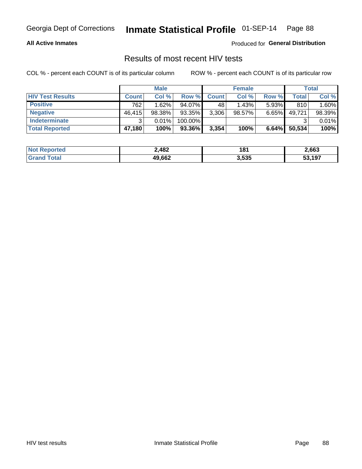#### **All Active Inmates**

Produced for **General Distribution**

### Results of most recent HIV tests

|                         |              | <b>Male</b> |         |              | <b>Female</b> |          |        | Total  |
|-------------------------|--------------|-------------|---------|--------------|---------------|----------|--------|--------|
| <b>HIV Test Results</b> | <b>Count</b> | Col%        | Row %I  | <b>Count</b> | Col %         | Row %    | Total  | Col %  |
| <b>Positive</b>         | 762          | $1.62\%$    | 94.07%  | 48           | 1.43%         | $5.93\%$ | 810    | 1.60%  |
| <b>Negative</b>         | 46,415       | 98.38%      | 93.35%  | 3,306        | $98.57\%$     | $6.65\%$ | 49,721 | 98.39% |
| <b>Indeterminate</b>    | ີ            | 0.01%       | 100.00% |              |               |          |        | 0.01%  |
| <b>Total Reported</b>   | 47,180       | 100%        | 93.36%  | 3,354        | 100%          | 6.64%    | 50,534 | 100%   |

| <b>Not Reported</b> | 2,482  | 181   | 2,663  |
|---------------------|--------|-------|--------|
| <b>Grand Total</b>  | 49,662 | 3,535 | 53,197 |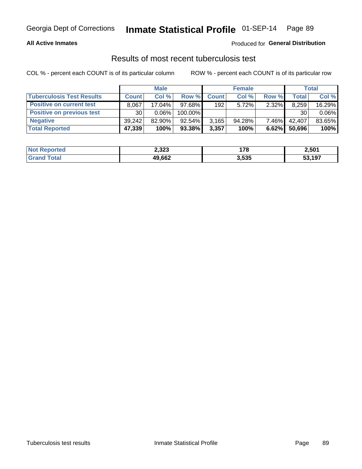#### **All Active Inmates**

### Produced for **General Distribution**

### Results of most recent tuberculosis test

|                                  | <b>Male</b>     |           |           | <b>Female</b> |           |          | Total        |          |
|----------------------------------|-----------------|-----------|-----------|---------------|-----------|----------|--------------|----------|
| <b>Tuberculosis Test Results</b> | <b>Count</b>    | Col%      | Row %     | <b>Count</b>  | Col %     | Row %    | <b>Total</b> | Col %    |
| <b>Positive on current test</b>  | 8.067           | 17.04%    | 97.68%    | 192           | 5.72%     | 2.32%    | 8,259        | 16.29%   |
| <b>Positive on previous test</b> | 30 <sup>1</sup> | $0.06\%$  | 100.00%   |               |           |          | 30           | $0.06\%$ |
| <b>Negative</b>                  | 39.242          | $82.90\%$ | $92.54\%$ | 3,165         | $94.28\%$ | $7.46\%$ | 42.407       | 83.65%   |
| <b>Total Reported</b>            | 47,339          | 100%      | 93.38%    | 3,357         | 100%      | 6.62%    | 50,696       | 100%     |

| <b>Not Reported</b> | 2,323  | 170   | 2,501  |
|---------------------|--------|-------|--------|
| Total<br>'Grand     | 49,662 | 3,535 | 53,197 |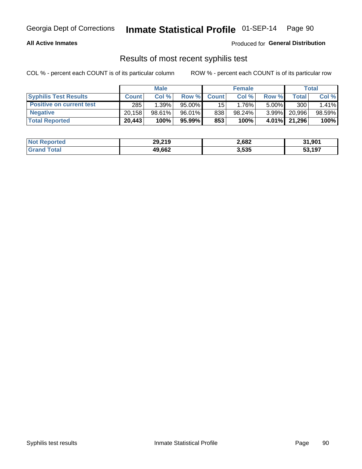#### **All Active Inmates**

Produced for **General Distribution**

### Results of most recent syphilis test

|                                 | <b>Male</b>  |        |           | <b>Female</b>   |           |          | Total        |        |
|---------------------------------|--------------|--------|-----------|-----------------|-----------|----------|--------------|--------|
| <b>Syphilis Test Results</b>    | <b>Count</b> | Col%   | Row %I    | <b>Count</b>    | Col %     | Row %    | Total I      | Col %  |
| <b>Positive on current test</b> | 285          | 1.39%  | $95.00\%$ | 15 <sup>1</sup> | 1.76%     | $5.00\%$ | 300          | 1.41%  |
| <b>Negative</b>                 | 20.158       | 98.61% | 96.01%    | 838             | $98.24\%$ | $3.99\%$ | 20,996       | 98.59% |
| <b>Total Reported</b>           | 20,443       | 100%   | 95.99% I  | 853             | 100%      |          | 4.01% 21,296 | 100%   |

| <b>Not Reported</b> | 29,219 | 2,682 | 31,901 |
|---------------------|--------|-------|--------|
| <b>Grand Total</b>  | 49,662 | 3,535 | 53.197 |